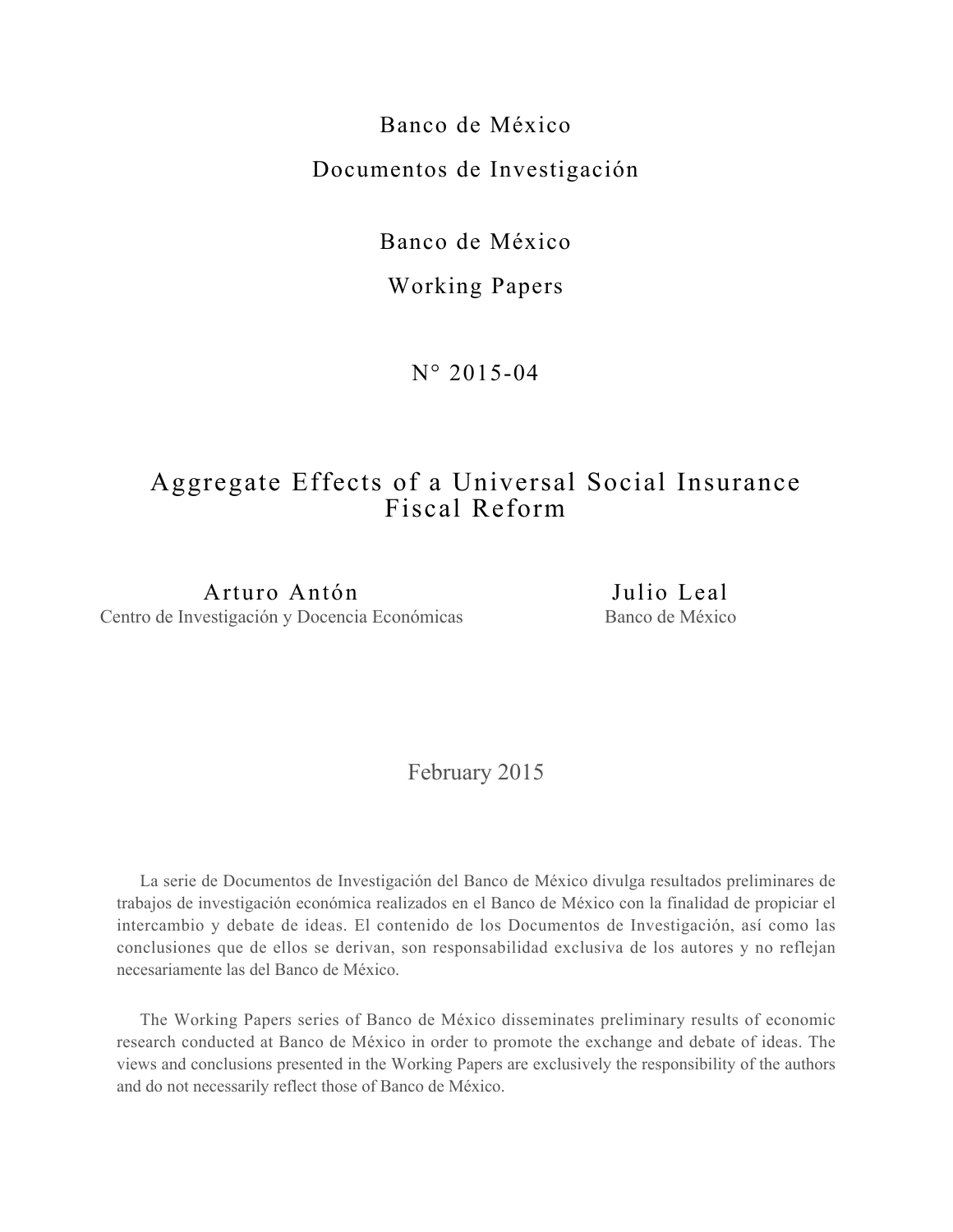Banco de México Documentos de Investigación

Banco de México

# Working Papers

N° 2015-04

# Aggregate Effects of a Universal Social Insurance Fiscal Reform

Arturo Antón Centro de Investigación y Docencia Económicas

Julio Leal Banco de México

February 2015

La serie de Documentos de Investigación del Banco de México divulga resultados preliminares de trabajos de investigación económica realizados en el Banco de México con la finalidad de propiciar el intercambio y debate de ideas. El contenido de los Documentos de Investigación, así como las conclusiones que de ellos se derivan, son responsabilidad exclusiva de los autores y no reflejan necesariamente las del Banco de México.

The Working Papers series of Banco de México disseminates preliminary results of economic research conducted at Banco de México in order to promote the exchange and debate of ideas. The views and conclusions presented in the Working Papers are exclusively the responsibility of the authors and do not necessarily reflect those of Banco de México.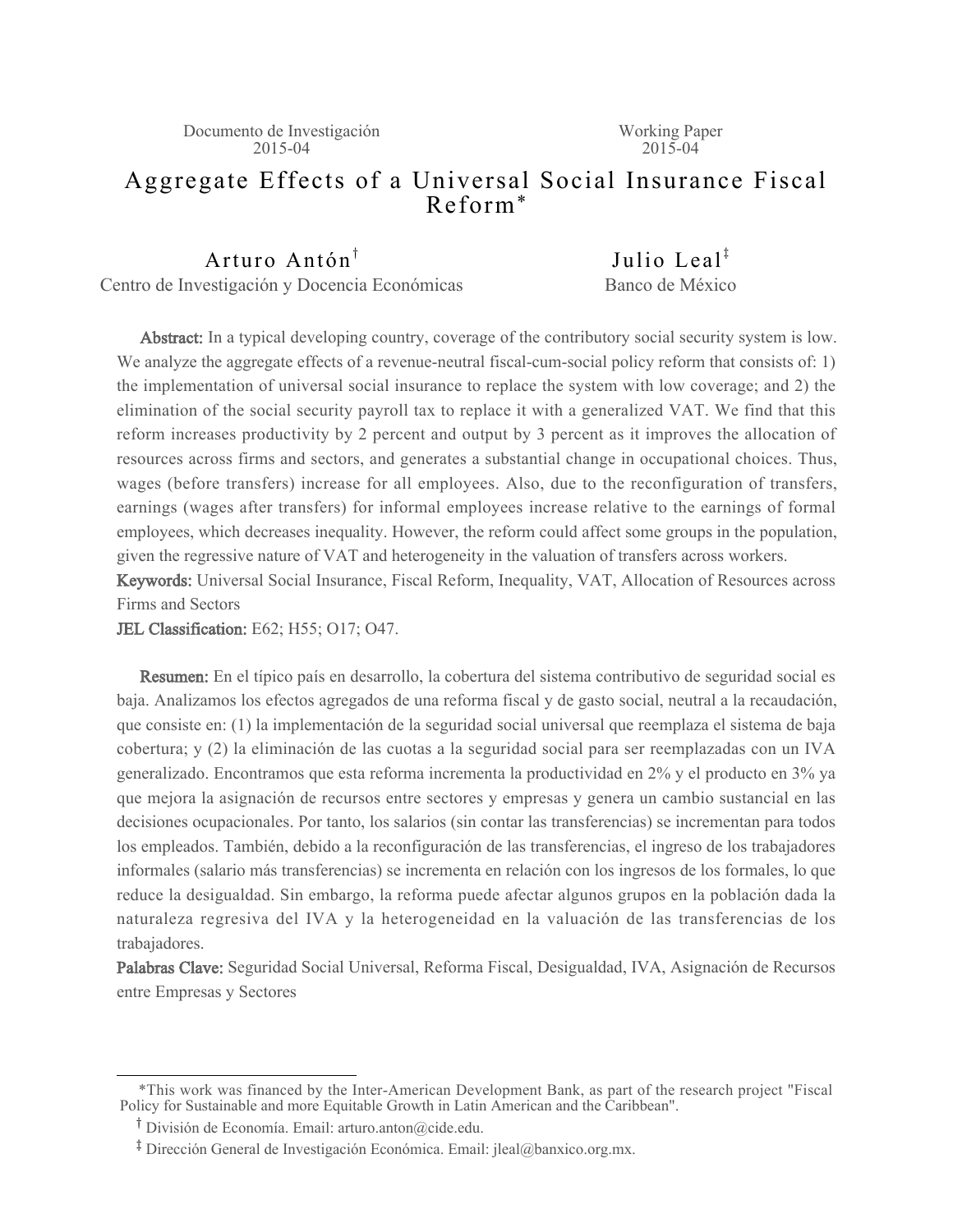# Aggregate Effects of a Universal Social Insurance Fiscal Reform\*

Arturo Antón<sup>†</sup> Centro de Investigación y Docencia Económicas

Iulio Leal<sup> $\ddagger$ </sup> Banco de México

Abstract: In a typical developing country, coverage of the contributory social security system is low. We analyze the aggregate effects of a revenue-neutral fiscal-cum-social policy reform that consists of: 1) the implementation of universal social insurance to replace the system with low coverage; and 2) the elimination of the social security payroll tax to replace it with a generalized VAT. We find that this reform increases productivity by 2 percent and output by 3 percent as it improves the allocation of resources across firms and sectors, and generates a substantial change in occupational choices. Thus, wages (before transfers) increase for all employees. Also, due to the reconfiguration of transfers, earnings (wages after transfers) for informal employees increase relative to the earnings of formal employees, which decreases inequality. However, the reform could affect some groups in the population, given the regressive nature of VAT and heterogeneity in the valuation of transfers across workers.

Keywords: Universal Social Insurance, Fiscal Reform, Inequality, VAT, Allocation of Resources across Firms and Sectors

JEL Classification: E62; H55; O17; O47.

Resumen: En el típico país en desarrollo, la cobertura del sistema contributivo de seguridad social es baja. Analizamos los efectos agregados de una reforma fiscal y de gasto social, neutral a la recaudación, que consiste en: (1) la implementación de la seguridad social universal que reemplaza el sistema de baja cobertura; y (2) la eliminación de las cuotas a la seguridad social para ser reemplazadas con un IVA generalizado. Encontramos que esta reforma incrementa la productividad en 2% y el producto en 3% ya que mejora la asignación de recursos entre sectores y empresas y genera un cambio sustancial en las decisiones ocupacionales. Por tanto, los salarios (sin contar las transferencias) se incrementan para todos los empleados. También, debido a la reconfiguración de las transferencias, el ingreso de los trabajadores informales (salario más transferencias) se incrementa en relación con los ingresos de los formales, lo que reduce la desigualdad. Sin embargo, la reforma puede afectar algunos grupos en la población dada la naturaleza regresiva del IVA y la heterogeneidad en la valuación de las transferencias de los trabajadores.

Palabras Clave: Seguridad Social Universal, Reforma Fiscal, Desigualdad, IVA, Asignación de Recursos entre Empresas y Sectores

 <sup>\*</sup>This work was financed by the Inter-American Development Bank, as part of the research project "Fiscal Policy for Sustainable and more Equitable Growth in Latin American and the Caribbean".

<sup>&</sup>lt;sup>T</sup> División de Economía. Email: arturo.anton@cide.edu.

<sup>&</sup>lt;sup>1</sup> Dirección General de Investigación Económica. Email: jleal@banxico.org.mx.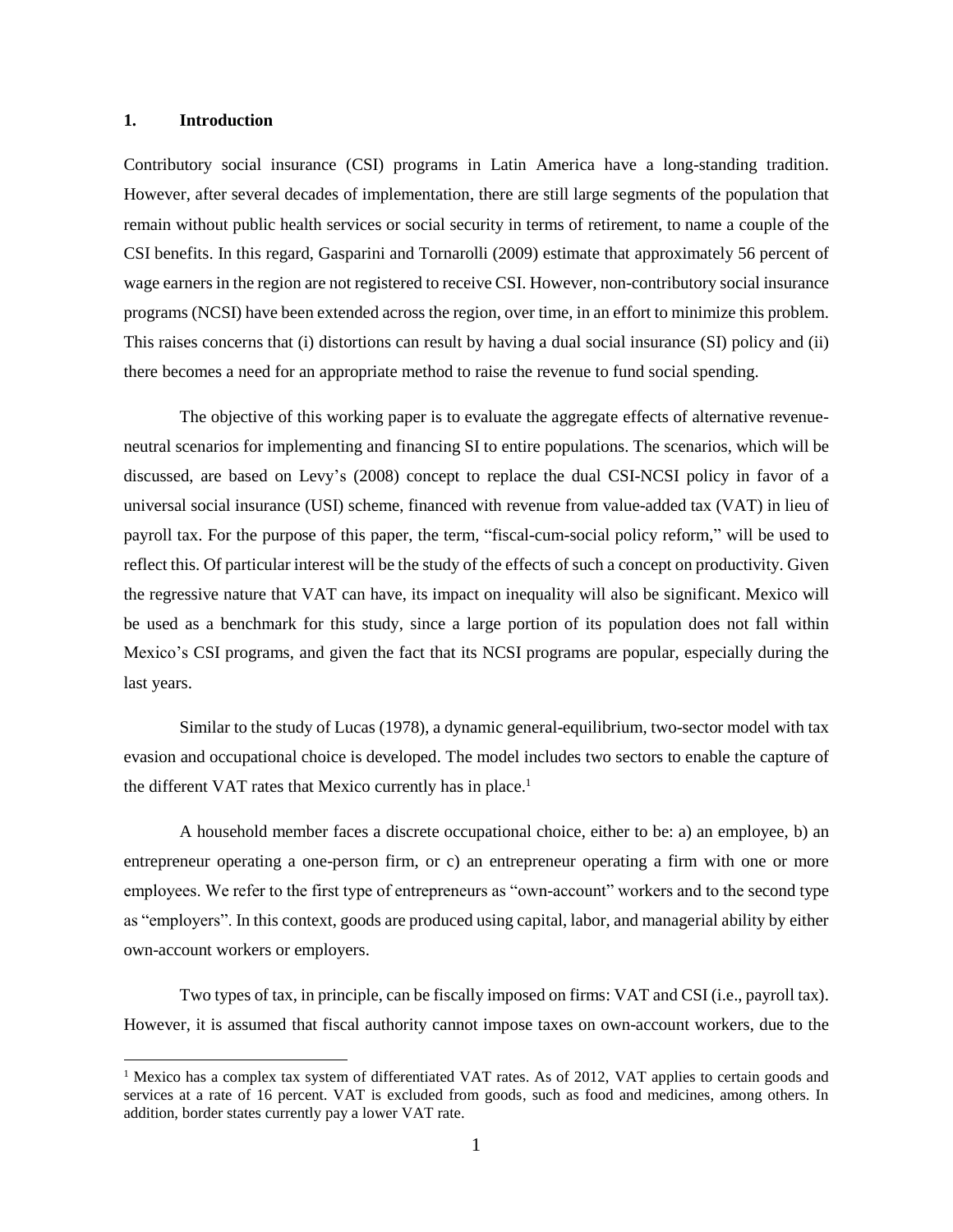### $1.$ **Introduction**

Contributory social insurance (CSI) programs in Latin America have a long-standing tradition. However, after several decades of implementation, there are still large segments of the population that remain without public health services or social security in terms of retirement, to name a couple of the CSI benefits. In this regard, Gasparini and Tornarolli (2009) estimate that approximately 56 percent of wage earners in the region are not registered to receive CSI. However, non-contributory social insurance programs (NCSI) have been extended across the region, over time, in an effort to minimize this problem. This raises concerns that (i) distortions can result by having a dual social insurance (SI) policy and (ii) there becomes a need for an appropriate method to raise the revenue to fund social spending.

The objective of this working paper is to evaluate the aggregate effects of alternative revenueneutral scenarios for implementing and financing SI to entire populations. The scenarios, which will be discussed, are based on Levy's (2008) concept to replace the dual CSI-NCSI policy in favor of a universal social insurance (USI) scheme, financed with revenue from value-added tax (VAT) in lieu of payroll tax. For the purpose of this paper, the term, "fiscal-cum-social policy reform," will be used to reflect this. Of particular interest will be the study of the effects of such a concept on productivity. Given the regressive nature that VAT can have, its impact on inequality will also be significant. Mexico will be used as a benchmark for this study, since a large portion of its population does not fall within Mexico's CSI programs, and given the fact that its NCSI programs are popular, especially during the last years.

Similar to the study of Lucas (1978), a dynamic general-equilibrium, two-sector model with tax evasion and occupational choice is developed. The model includes two sectors to enable the capture of the different VAT rates that Mexico currently has in place.<sup>1</sup>

A household member faces a discrete occupational choice, either to be: a) an employee, b) an entrepreneur operating a one-person firm, or c) an entrepreneur operating a firm with one or more employees. We refer to the first type of entrepreneurs as "own-account" workers and to the second type as "employers". In this context, goods are produced using capital, labor, and managerial ability by either own-account workers or employers.

Two types of tax, in principle, can be fiscally imposed on firms: VAT and CSI (i.e., payroll tax). However, it is assumed that fiscal authority cannot impose taxes on own-account workers, due to the

<sup>&</sup>lt;sup>1</sup> Mexico has a complex tax system of differentiated VAT rates. As of 2012, VAT applies to certain goods and services at a rate of 16 percent. VAT is excluded from goods, such as food and medicines, among others. In addition, border states currently pay a lower VAT rate.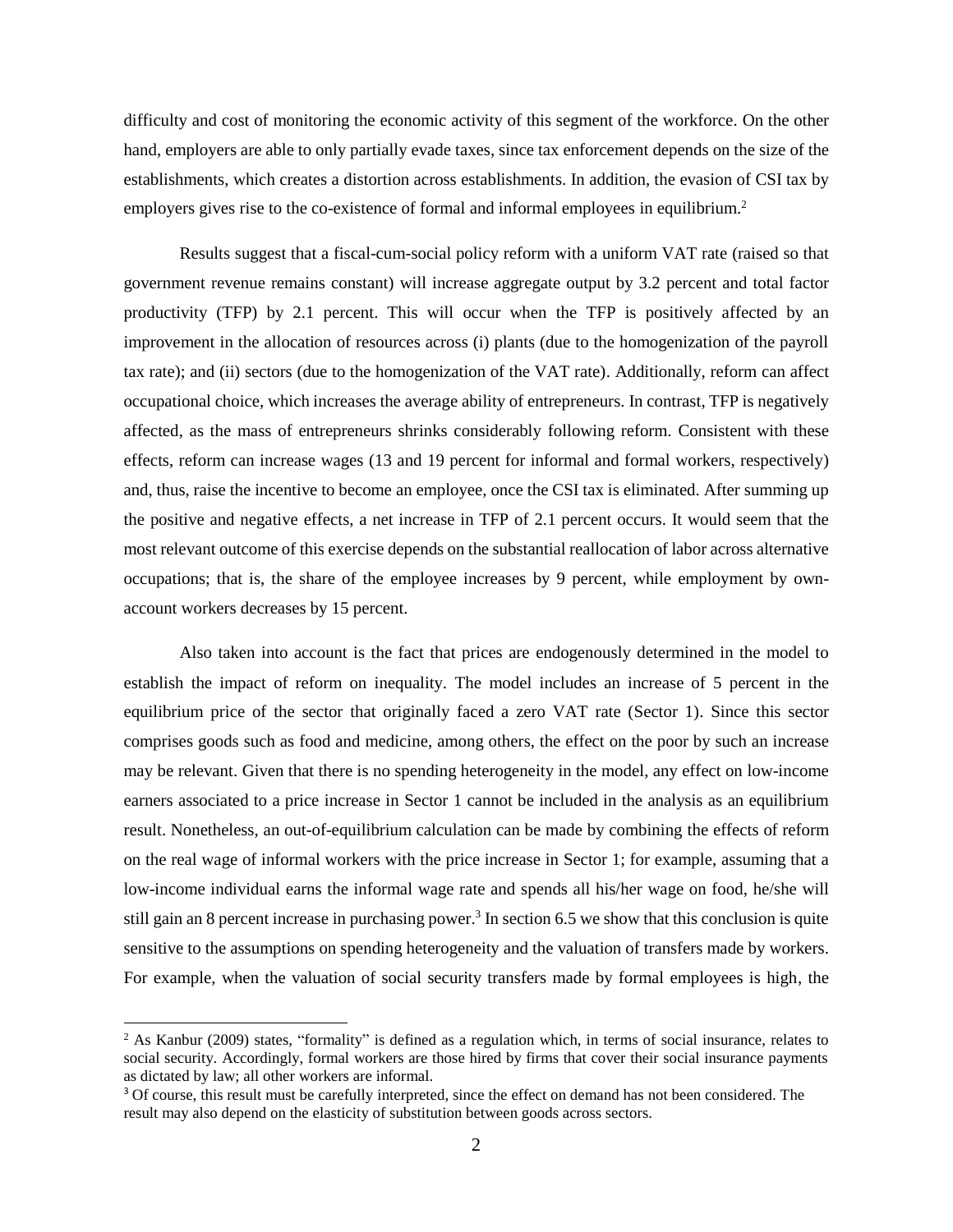difficulty and cost of monitoring the economic activity of this segment of the workforce. On the other hand, employers are able to only partially evade taxes, since tax enforcement depends on the size of the establishments, which creates a distortion across establishments. In addition, the evasion of CSI tax by employers gives rise to the co-existence of formal and informal employees in equilibrium.<sup>2</sup>

Results suggest that a fiscal-cum-social policy reform with a uniform VAT rate (raised so that government revenue remains constant) will increase aggregate output by 3.2 percent and total factor productivity (TFP) by 2.1 percent. This will occur when the TFP is positively affected by an improvement in the allocation of resources across (i) plants (due to the homogenization of the payroll tax rate); and (ii) sectors (due to the homogenization of the VAT rate). Additionally, reform can affect occupational choice, which increases the average ability of entrepreneurs. In contrast, TFP is negatively affected, as the mass of entrepreneurs shrinks considerably following reform. Consistent with these effects, reform can increase wages (13 and 19 percent for informal and formal workers, respectively) and, thus, raise the incentive to become an employee, once the CSI tax is eliminated. After summing up the positive and negative effects, a net increase in TFP of 2.1 percent occurs. It would seem that the most relevant outcome of this exercise depends on the substantial reallocation of labor across alternative occupations; that is, the share of the employee increases by 9 percent, while employment by ownaccount workers decreases by 15 percent.

Also taken into account is the fact that prices are endogenously determined in the model to establish the impact of reform on inequality. The model includes an increase of 5 percent in the equilibrium price of the sector that originally faced a zero VAT rate (Sector 1). Since this sector comprises goods such as food and medicine, among others, the effect on the poor by such an increase may be relevant. Given that there is no spending heterogeneity in the model, any effect on low-income earners associated to a price increase in Sector 1 cannot be included in the analysis as an equilibrium result. Nonetheless, an out-of-equilibrium calculation can be made by combining the effects of reform on the real wage of informal workers with the price increase in Sector 1; for example, assuming that a low-income individual earns the informal wage rate and spends all his/her wage on food, he/she will still gain an 8 percent increase in purchasing power.<sup>3</sup> In section 6.5 we show that this conclusion is quite sensitive to the assumptions on spending heterogeneity and the valuation of transfers made by workers. For example, when the valuation of social security transfers made by formal employees is high, the

 $2$  As Kanbur (2009) states, "formality" is defined as a regulation which, in terms of social insurance, relates to social security. Accordingly, formal workers are those hired by firms that cover their social insurance payments as dictated by law; all other workers are informal.

<sup>&</sup>lt;sup>3</sup> Of course, this result must be carefully interpreted, since the effect on demand has not been considered. The result may also depend on the elasticity of substitution between goods across sectors.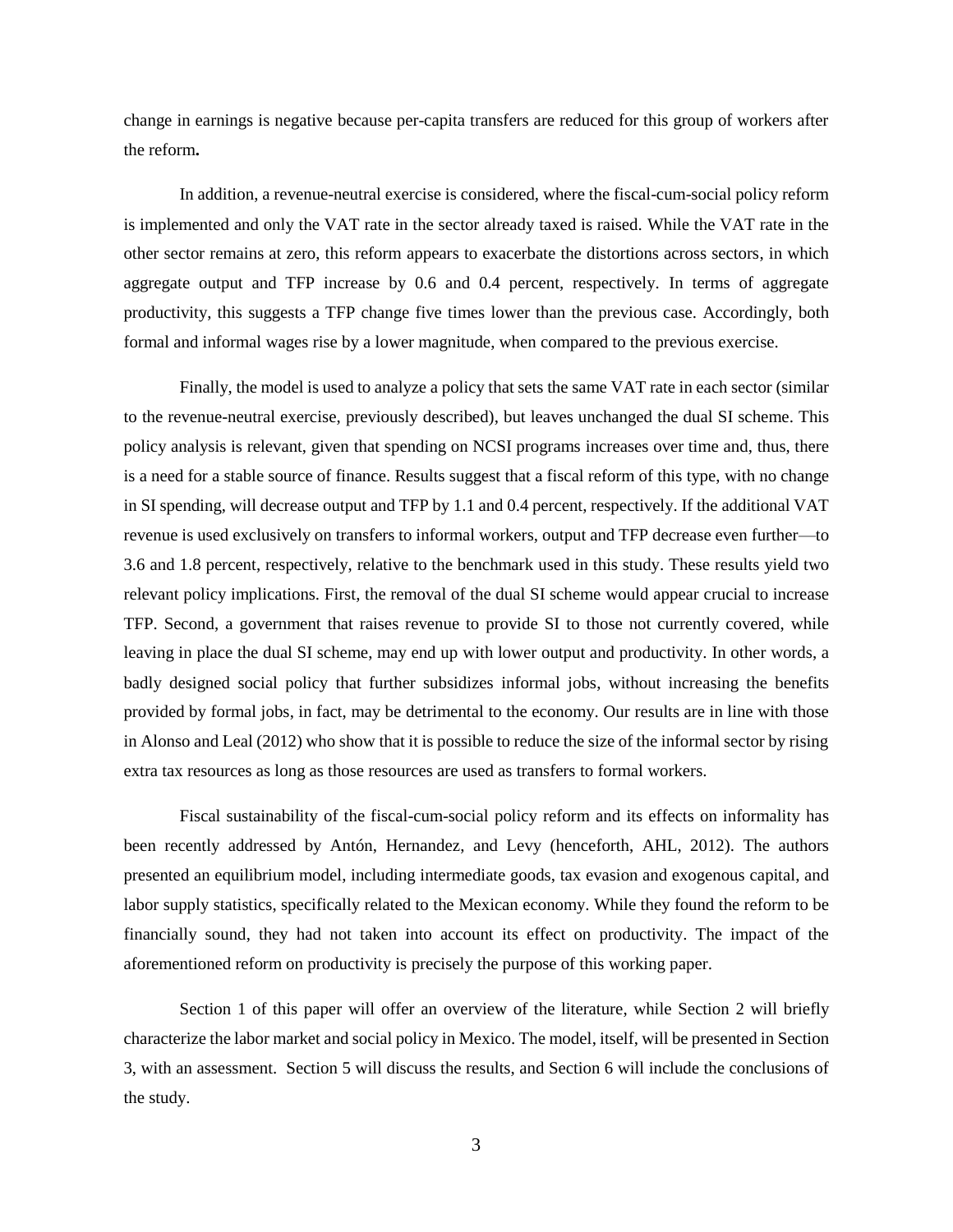change in earnings is negative because per-capita transfers are reduced for this group of workers after the reform.

In addition, a revenue-neutral exercise is considered, where the fiscal-cum-social policy reform is implemented and only the VAT rate in the sector already taxed is raised. While the VAT rate in the other sector remains at zero, this reform appears to exacerbate the distortions across sectors, in which aggregate output and TFP increase by 0.6 and 0.4 percent, respectively. In terms of aggregate productivity, this suggests a TFP change five times lower than the previous case. Accordingly, both formal and informal wages rise by a lower magnitude, when compared to the previous exercise.

Finally, the model is used to analyze a policy that sets the same VAT rate in each sector (similar to the revenue-neutral exercise, previously described), but leaves unchanged the dual SI scheme. This policy analysis is relevant, given that spending on NCSI programs increases over time and, thus, there is a need for a stable source of finance. Results suggest that a fiscal reform of this type, with no change in SI spending, will decrease output and TFP by 1.1 and 0.4 percent, respectively. If the additional VAT revenue is used exclusively on transfers to informal workers, output and TFP decrease even further—to 3.6 and 1.8 percent, respectively, relative to the benchmark used in this study. These results yield two relevant policy implications. First, the removal of the dual SI scheme would appear crucial to increase TFP. Second, a government that raises revenue to provide SI to those not currently covered, while leaving in place the dual SI scheme, may end up with lower output and productivity. In other words, a badly designed social policy that further subsidizes informal jobs, without increasing the benefits provided by formal jobs, in fact, may be detrimental to the economy. Our results are in line with those in Alonso and Leal (2012) who show that it is possible to reduce the size of the informal sector by rising extra tax resources as long as those resources are used as transfers to formal workers.

Fiscal sustainability of the fiscal-cum-social policy reform and its effects on informality has been recently addressed by Antón, Hernandez, and Levy (henceforth, AHL, 2012). The authors presented an equilibrium model, including intermediate goods, tax evasion and exogenous capital, and labor supply statistics, specifically related to the Mexican economy. While they found the reform to be financially sound, they had not taken into account its effect on productivity. The impact of the aforementioned reform on productivity is precisely the purpose of this working paper.

Section 1 of this paper will offer an overview of the literature, while Section 2 will briefly characterize the labor market and social policy in Mexico. The model, itself, will be presented in Section 3, with an assessment. Section 5 will discuss the results, and Section 6 will include the conclusions of the study.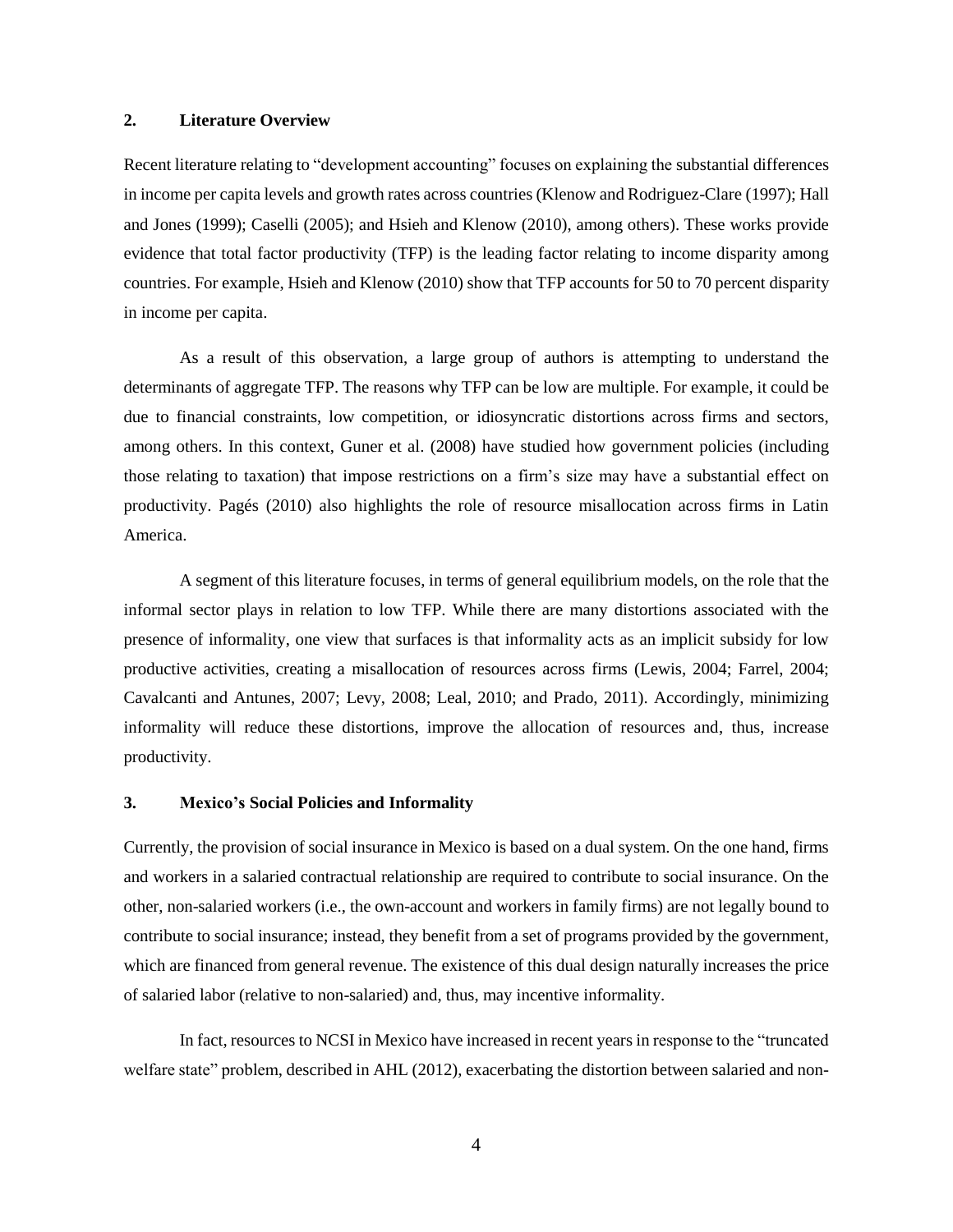### **Literature Overview**  $2.$

Recent literature relating to "development accounting" focuses on explaining the substantial differences in income per capita levels and growth rates across countries (Klenow and Rodriguez-Clare (1997); Hall and Jones (1999); Caselli (2005); and Hsieh and Klenow (2010), among others). These works provide evidence that total factor productivity (TFP) is the leading factor relating to income disparity among countries. For example, Hsieh and Klenow (2010) show that TFP accounts for 50 to 70 percent disparity in income per capita.

As a result of this observation, a large group of authors is attempting to understand the determinants of aggregate TFP. The reasons why TFP can be low are multiple. For example, it could be due to financial constraints, low competition, or idiosyncratic distortions across firms and sectors, among others. In this context, Guner et al. (2008) have studied how government policies (including those relating to taxation) that impose restrictions on a firm's size may have a substantial effect on productivity. Pagés (2010) also highlights the role of resource misallocation across firms in Latin America.

A segment of this literature focuses, in terms of general equilibrium models, on the role that the informal sector plays in relation to low TFP. While there are many distortions associated with the presence of informality, one view that surfaces is that informality acts as an implicit subsidy for low productive activities, creating a misallocation of resources across firms (Lewis, 2004; Farrel, 2004; Cavalcanti and Antunes, 2007; Levy, 2008; Leal, 2010; and Prado, 2011). Accordingly, minimizing informality will reduce these distortions, improve the allocation of resources and, thus, increase productivity.

### $3.$ **Mexico's Social Policies and Informality**

Currently, the provision of social insurance in Mexico is based on a dual system. On the one hand, firms and workers in a salaried contractual relationship are required to contribute to social insurance. On the other, non-salaried workers (i.e., the own-account and workers in family firms) are not legally bound to contribute to social insurance; instead, they benefit from a set of programs provided by the government, which are financed from general revenue. The existence of this dual design naturally increases the price of salaried labor (relative to non-salaried) and, thus, may incentive informality.

In fact, resources to NCSI in Mexico have increased in recent years in response to the "truncated" welfare state" problem, described in AHL (2012), exacerbating the distortion between salaried and non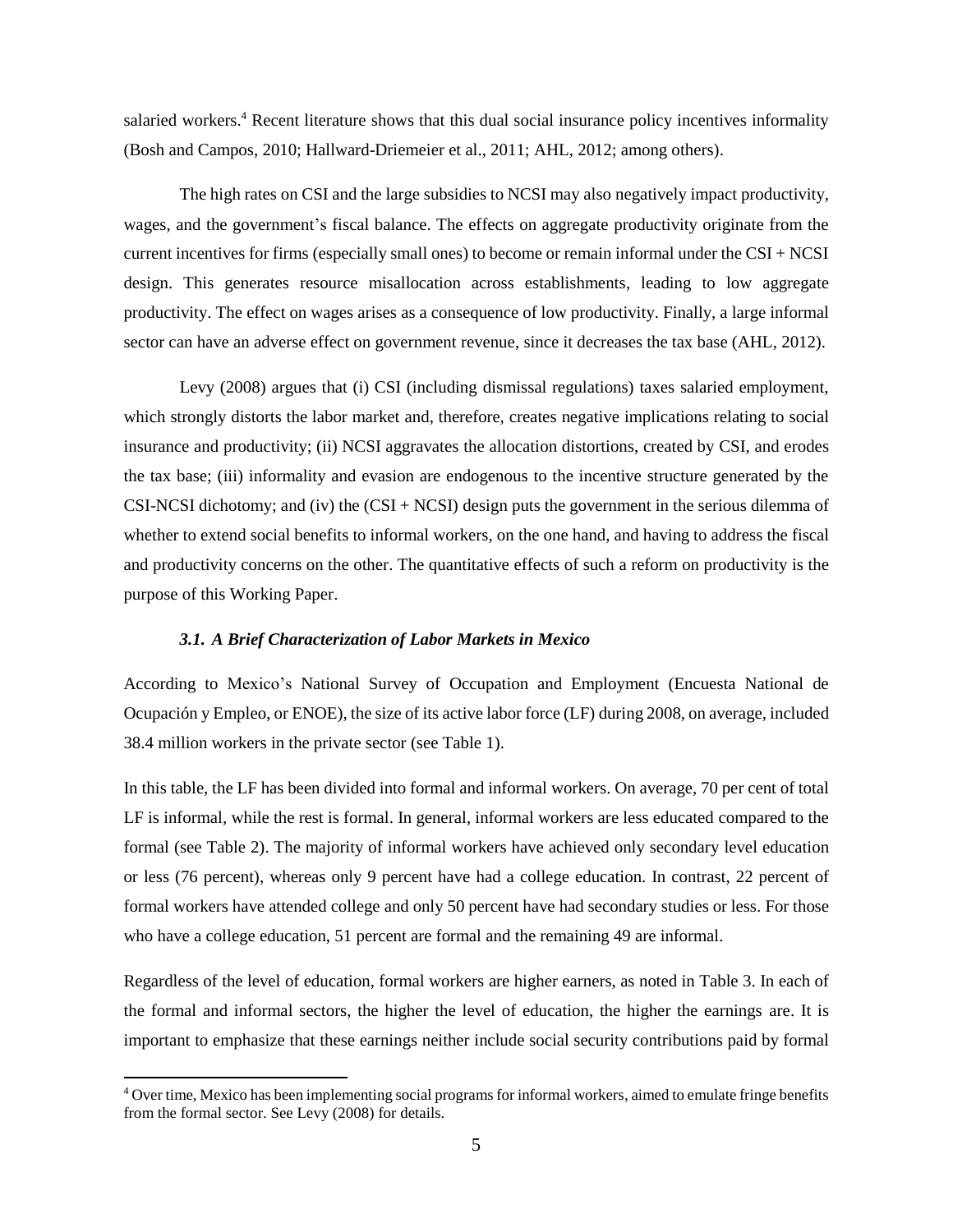salaried workers.<sup>4</sup> Recent literature shows that this dual social insurance policy incentives informality (Bosh and Campos, 2010; Hallward-Driemeier et al., 2011; AHL, 2012; among others).

The high rates on CSI and the large subsidies to NCSI may also negatively impact productivity, wages, and the government's fiscal balance. The effects on aggregate productivity originate from the current incentives for firms (especially small ones) to become or remain informal under the  $CSI + NCSI$ design. This generates resource misallocation across establishments, leading to low aggregate productivity. The effect on wages arises as a consequence of low productivity. Finally, a large informal sector can have an adverse effect on government revenue, since it decreases the tax base (AHL, 2012).

Levy (2008) argues that (i) CSI (including dismissal regulations) taxes salaried employment, which strongly distorts the labor market and, therefore, creates negative implications relating to social insurance and productivity; (ii) NCSI aggravates the allocation distortions, created by CSI, and erodes the tax base; (iii) informality and evasion are endogenous to the incentive structure generated by the CSI-NCSI dichotomy; and (iv) the  $(CSI + NCSI)$  design puts the government in the serious dilemma of whether to extend social benefits to informal workers, on the one hand, and having to address the fiscal and productivity concerns on the other. The quantitative effects of such a reform on productivity is the purpose of this Working Paper.

### 3.1. A Brief Characterization of Labor Markets in Mexico

According to Mexico's National Survey of Occupation and Employment (Encuesta National de Ocupación y Empleo, or ENOE), the size of its active labor force (LF) during 2008, on average, included 38.4 million workers in the private sector (see Table 1).

In this table, the LF has been divided into formal and informal workers. On average, 70 per cent of total LF is informal, while the rest is formal. In general, informal workers are less educated compared to the formal (see Table 2). The majority of informal workers have achieved only secondary level education or less (76 percent), whereas only 9 percent have had a college education. In contrast, 22 percent of formal workers have attended college and only 50 percent have had secondary studies or less. For those who have a college education, 51 percent are formal and the remaining 49 are informal.

Regardless of the level of education, formal workers are higher earners, as noted in Table 3. In each of the formal and informal sectors, the higher the level of education, the higher the earnings are. It is important to emphasize that these earnings neither include social security contributions paid by formal

<sup>&</sup>lt;sup>4</sup> Over time, Mexico has been implementing social programs for informal workers, aimed to emulate fringe benefits from the formal sector. See Levy (2008) for details.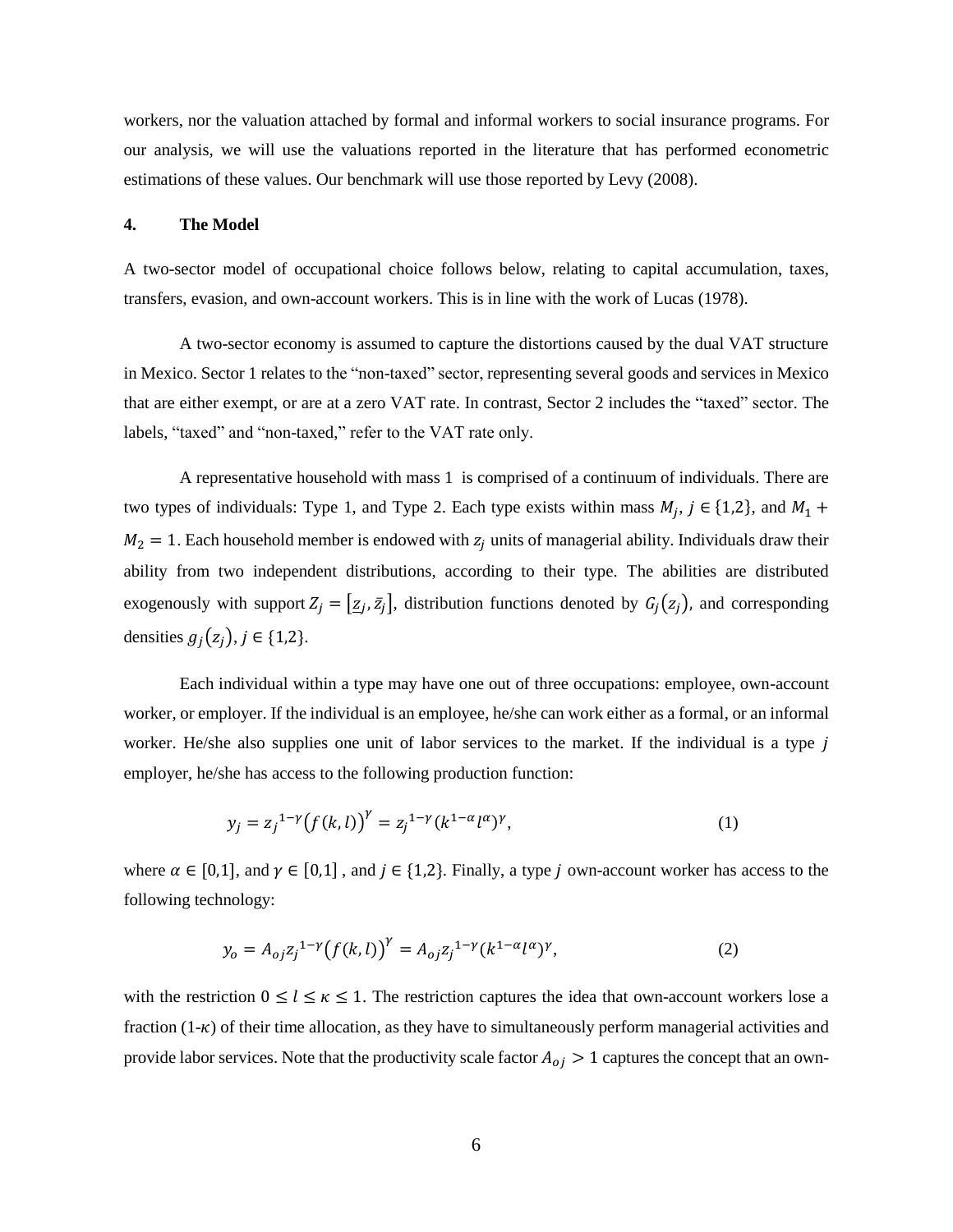workers, nor the valuation attached by formal and informal workers to social insurance programs. For our analysis, we will use the valuations reported in the literature that has performed econometric estimations of these values. Our benchmark will use those reported by Levy (2008).

### **The Model** 4.

A two-sector model of occupational choice follows below, relating to capital accumulation, taxes, transfers, evasion, and own-account workers. This is in line with the work of Lucas (1978).

A two-sector economy is assumed to capture the distortions caused by the dual VAT structure in Mexico. Sector 1 relates to the "non-taxed" sector, representing several goods and services in Mexico that are either exempt, or are at a zero VAT rate. In contrast, Sector 2 includes the "taxed" sector. The labels, "taxed" and "non-taxed," refer to the VAT rate only.

A representative household with mass 1 is comprised of a continuum of individuals. There are two types of individuals: Type 1, and Type 2. Each type exists within mass  $M_j$ ,  $j \in \{1,2\}$ , and  $M_1$  +  $M_2 = 1$ . Each household member is endowed with  $z_i$  units of managerial ability. Individuals draw their ability from two independent distributions, according to their type. The abilities are distributed exogenously with support  $Z_j = [\underline{z}_j, \overline{z}_j]$ , distribution functions denoted by  $G_j(z_j)$ , and corresponding densities  $g_i(z_i)$ ,  $j \in \{1,2\}$ .

Each individual within a type may have one out of three occupations: employee, own-account worker, or employer. If the individual is an employee, he/she can work either as a formal, or an informal worker. He/she also supplies one unit of labor services to the market. If the individual is a type  $j$ employer, he/she has access to the following production function:

$$
y_j = z_j^{1-\gamma} (f(k,l))^{\gamma} = z_j^{1-\gamma} (k^{1-\alpha} l^{\alpha})^{\gamma}, \tag{1}
$$

where  $\alpha \in [0,1]$ , and  $\gamma \in [0,1]$ , and  $j \in \{1,2\}$ . Finally, a type j own-account worker has access to the following technology:

$$
y_o = A_{oj} z_j^{1-\gamma} (f(k,l))^{\gamma} = A_{oj} z_j^{1-\gamma} (k^{1-\alpha} l^{\alpha})^{\gamma},
$$
 (2)

with the restriction  $0 \le l \le \kappa \le 1$ . The restriction captures the idea that own-account workers lose a fraction  $(1-\kappa)$  of their time allocation, as they have to simultaneously perform managerial activities and provide labor services. Note that the productivity scale factor  $A_{oj} > 1$  captures the concept that an own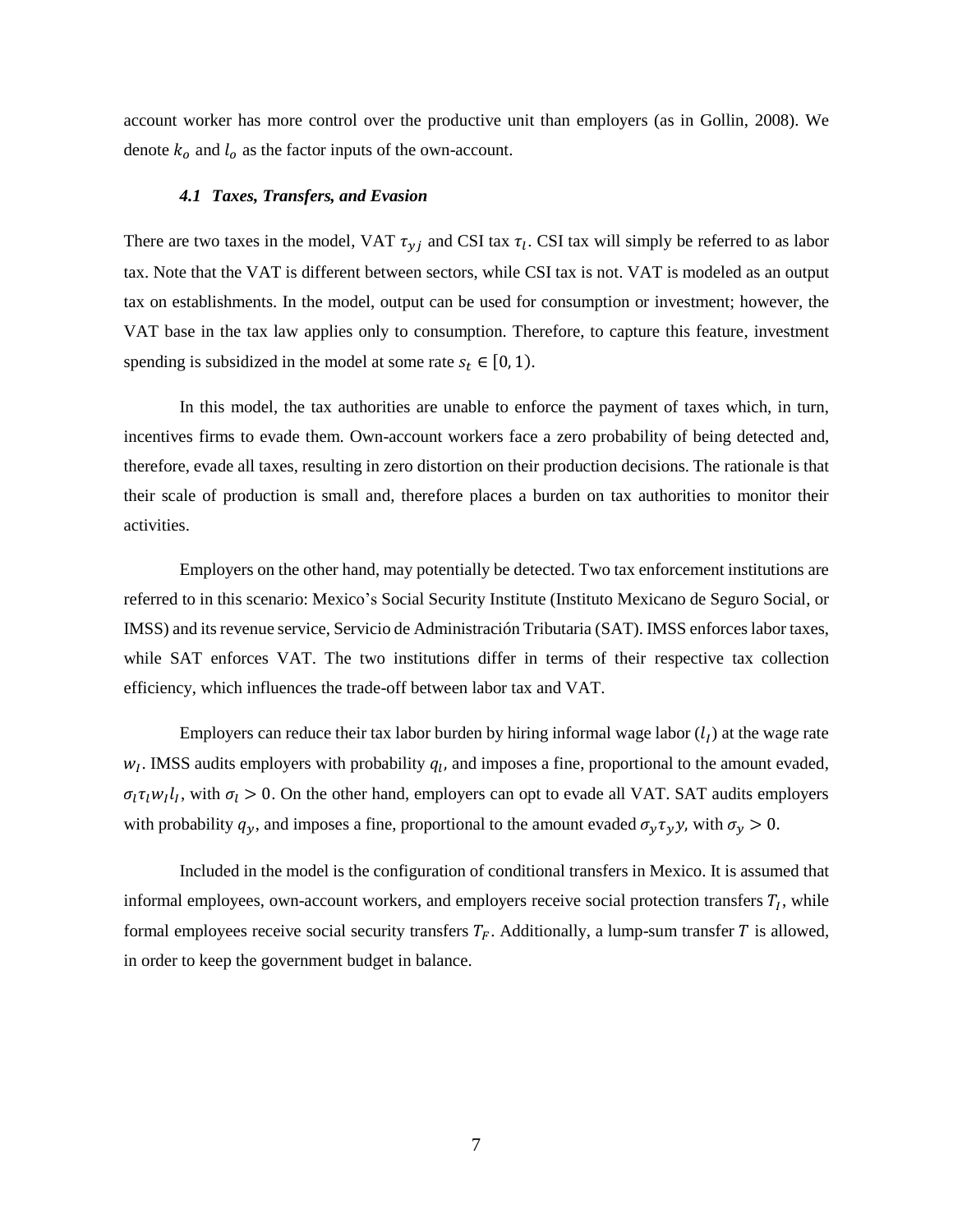account worker has more control over the productive unit than employers (as in Gollin, 2008). We denote  $k_0$  and  $l_0$  as the factor inputs of the own-account.

### 4.1 Taxes, Transfers, and Evasion

There are two taxes in the model, VAT  $\tau_{\gamma i}$  and CSI tax  $\tau_i$ . CSI tax will simply be referred to as labor tax. Note that the VAT is different between sectors, while CSI tax is not. VAT is modeled as an output tax on establishments. In the model, output can be used for consumption or investment; however, the VAT base in the tax law applies only to consumption. Therefore, to capture this feature, investment spending is subsidized in the model at some rate  $s_t \in [0, 1)$ .

In this model, the tax authorities are unable to enforce the payment of taxes which, in turn, incentives firms to evade them. Own-account workers face a zero probability of being detected and, therefore, evade all taxes, resulting in zero distortion on their production decisions. The rationale is that their scale of production is small and, therefore places a burden on tax authorities to monitor their activities.

Employers on the other hand, may potentially be detected. Two tax enforcement institutions are referred to in this scenario: Mexico's Social Security Institute (Instituto Mexicano de Seguro Social, or IMSS) and its revenue service, Servicio de Administración Tributaria (SAT). IMSS enforces labor taxes, while SAT enforces VAT. The two institutions differ in terms of their respective tax collection efficiency, which influences the trade-off between labor tax and VAT.

Employers can reduce their tax labor burden by hiring informal wage labor  $(l_I)$  at the wage rate  $w_l$ . IMSS audits employers with probability  $q_l$ , and imposes a fine, proportional to the amount evaded,  $\sigma_l \tau_l w_l l_l$ , with  $\sigma_l > 0$ . On the other hand, employers can opt to evade all VAT. SAT audits employers with probability  $q_y$ , and imposes a fine, proportional to the amount evaded  $\sigma_y \tau_y y$ , with  $\sigma_y > 0$ .

Included in the model is the configuration of conditional transfers in Mexico. It is assumed that informal employees, own-account workers, and employers receive social protection transfers  $T_I$ , while formal employees receive social security transfers  $T_F$ . Additionally, a lump-sum transfer T is allowed, in order to keep the government budget in balance.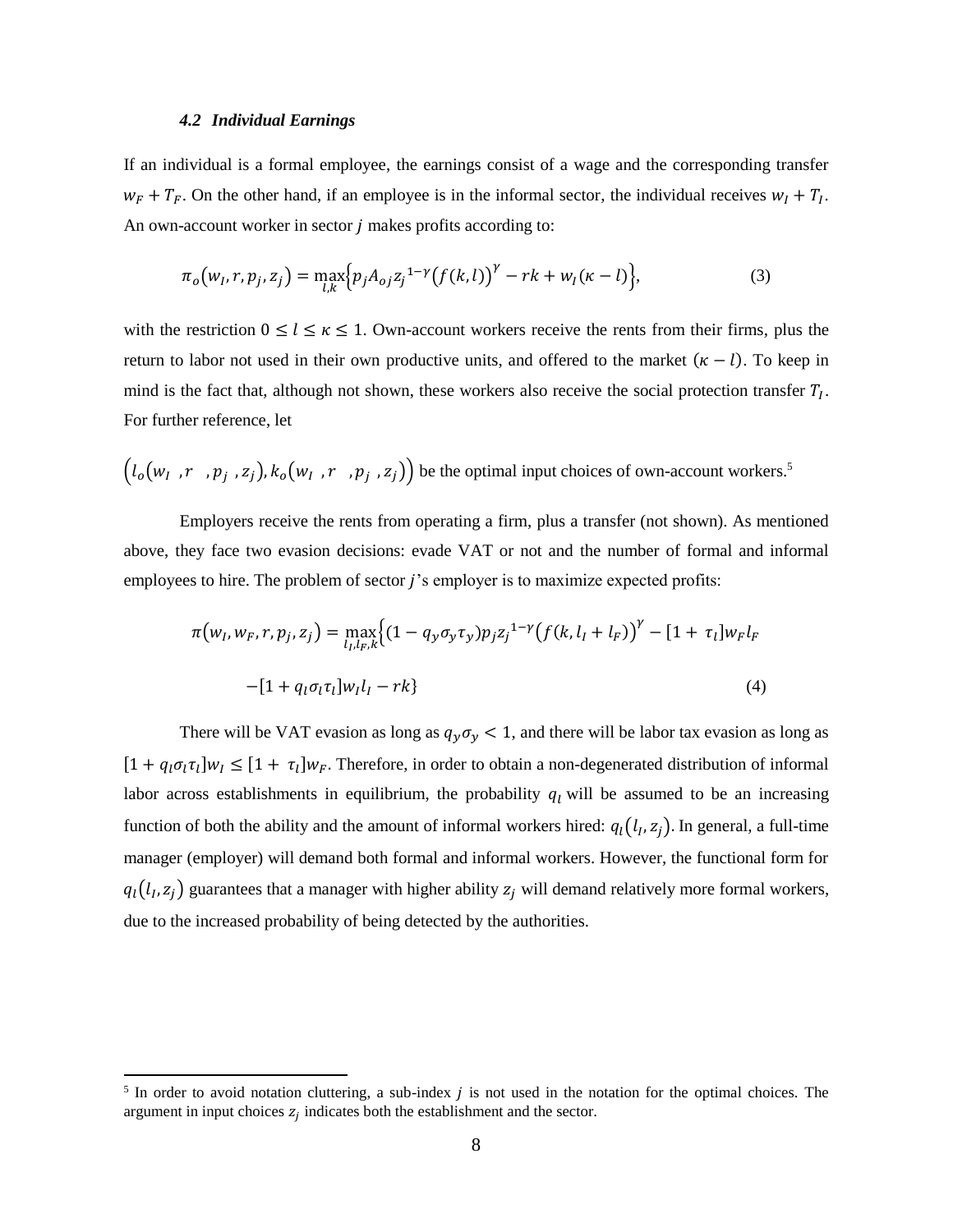### **4.2 Individual Earnings**

If an individual is a formal employee, the earnings consist of a wage and the corresponding transfer  $w_F + T_F$ . On the other hand, if an employee is in the informal sector, the individual receives  $w_I + T_I$ . An own-account worker in sector *j* makes profits according to:

$$
\pi_o(w_I, r, p_j, z_j) = \max_{l,k} \{ p_j A_{oj} z_j^{1-\gamma} (f(k, l))^{\gamma} - rk + w_I(\kappa - l) \},\tag{3}
$$

with the restriction  $0 \le l \le \kappa \le 1$ . Own-account workers receive the rents from their firms, plus the return to labor not used in their own productive units, and offered to the market  $(\kappa - l)$ . To keep in mind is the fact that, although not shown, these workers also receive the social protection transfer  $T_l$ . For further reference, let

$$
(l_o(w_l, r, p_j, z_j), k_o(w_l, r, p_j, z_j))
$$
 be the optimal input choices of own-account workers.<sup>5</sup>

Employers receive the rents from operating a firm, plus a transfer (not shown). As mentioned above, they face two evasion decisions: evade VAT or not and the number of formal and informal employees to hire. The problem of sector *j*'s employer is to maximize expected profits:

$$
\pi(w_I, w_F, r, p_j, z_j) = \max_{l_I, l_F, k} \{ (1 - q_y \sigma_y \tau_y) p_j z_j^{1-\gamma} (f(k, l_I + l_F))^{\gamma} - [1 + \tau_l] w_F l_F - [1 + q_l \sigma_l \tau_l] w_l l_I - rk \}
$$
\n(4)

There will be VAT evasion as long as  $q_y \sigma_y < 1$ , and there will be labor tax evasion as long as  $[1 + q_l \sigma_l \tau_l] w_l \leq [1 + \tau_l] w_F$ . Therefore, in order to obtain a non-degenerated distribution of informal labor across establishments in equilibrium, the probability  $q_l$  will be assumed to be an increasing function of both the ability and the amount of informal workers hired:  $q_l(l_l, z_j)$ . In general, a full-time manager (employer) will demand both formal and informal workers. However, the functional form for  $q_l(l_l, z_j)$  guarantees that a manager with higher ability  $z_j$  will demand relatively more formal workers, due to the increased probability of being detected by the authorities.

<sup>&</sup>lt;sup>5</sup> In order to avoid notation cluttering, a sub-index  $j$  is not used in the notation for the optimal choices. The argument in input choices  $z_j$  indicates both the establishment and the sector.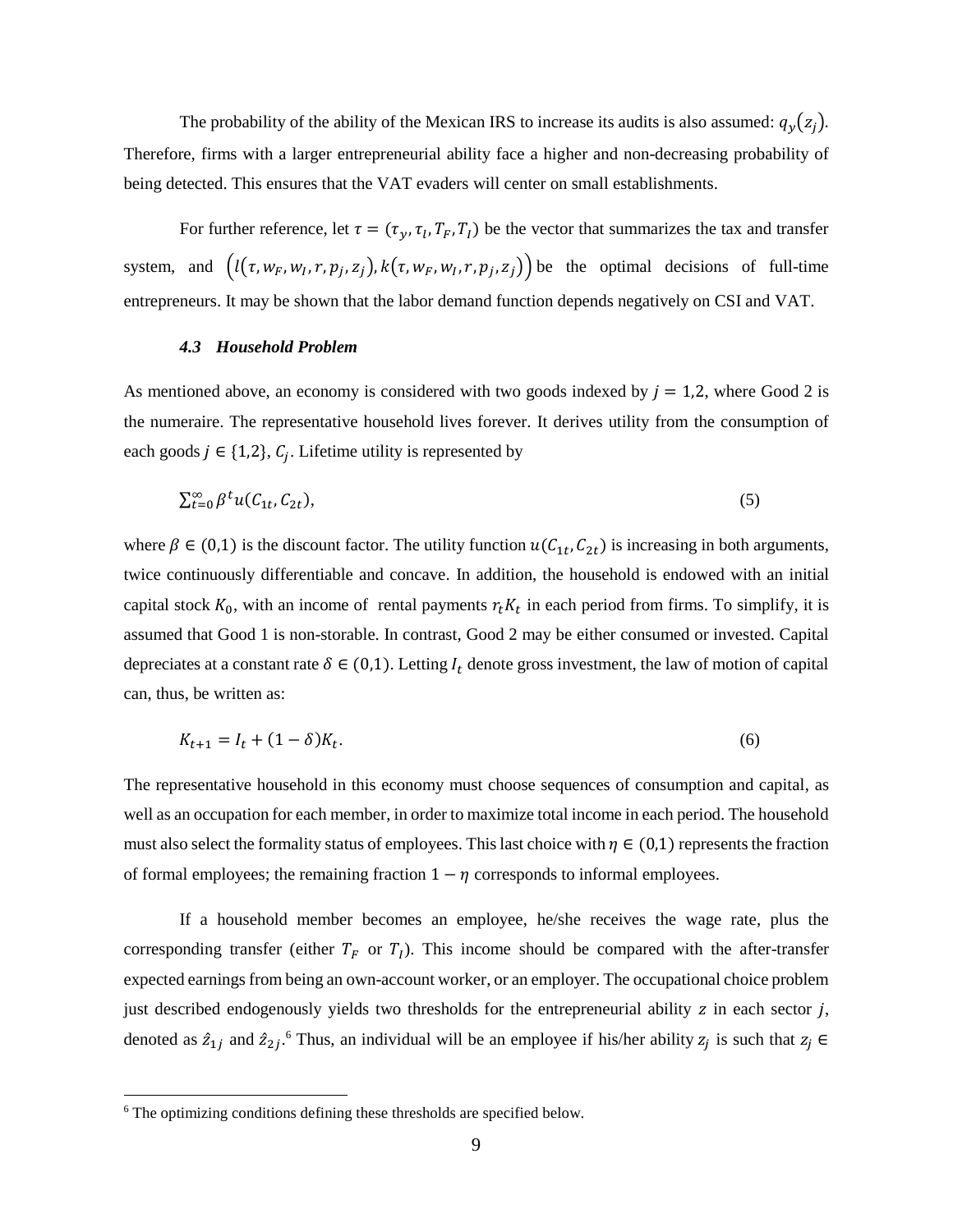The probability of the ability of the Mexican IRS to increase its audits is also assumed:  $q_y(z_j)$ . Therefore, firms with a larger entrepreneurial ability face a higher and non-decreasing probability of being detected. This ensures that the VAT evaders will center on small establishments.

For further reference, let  $\tau = (\tau_y, \tau_l, T_F, T_I)$  be the vector that summarizes the tax and transfer system, and  $(l(\tau, w_F, w_I, r, p_j, z_j), k(\tau, w_F, w_I, r, p_j, z_j))$  be the optimal decisions of full-time entrepreneurs. It may be shown that the labor demand function depends negatively on CSI and VAT.

### 4.3 Household Problem

As mentioned above, an economy is considered with two goods indexed by  $j = 1,2$ , where Good 2 is the numeraire. The representative household lives forever. It derives utility from the consumption of each goods  $j \in \{1,2\}$ ,  $C_j$ . Lifetime utility is represented by

$$
\sum_{t=0}^{\infty} \beta^t u(C_{1t}, C_{2t}), \tag{5}
$$

where  $\beta \in (0,1)$  is the discount factor. The utility function  $u(C_{1t}, C_{2t})$  is increasing in both arguments, twice continuously differentiable and concave. In addition, the household is endowed with an initial capital stock  $K_0$ , with an income of rental payments  $r_t K_t$  in each period from firms. To simplify, it is assumed that Good 1 is non-storable. In contrast, Good 2 may be either consumed or invested. Capital depreciates at a constant rate  $\delta \in (0,1)$ . Letting  $I_t$  denote gross investment, the law of motion of capital can, thus, be written as:

$$
K_{t+1} = I_t + (1 - \delta)K_t.
$$
\n(6)

The representative household in this economy must choose sequences of consumption and capital, as well as an occupation for each member, in order to maximize total income in each period. The household must also select the formality status of employees. This last choice with  $\eta \in (0,1)$  represents the fraction of formal employees; the remaining fraction  $1 - \eta$  corresponds to informal employees.

If a household member becomes an employee, he/she receives the wage rate, plus the corresponding transfer (either  $T_F$  or  $T_I$ ). This income should be compared with the after-transfer expected earnings from being an own-account worker, or an employer. The occupational choice problem just described endogenously yields two thresholds for the entrepreneurial ability  $z$  in each sector  $j$ , denoted as  $\hat{z}_{1j}$  and  $\hat{z}_{2j}$ .<sup>6</sup> Thus, an individual will be an employee if his/her ability  $z_j$  is such that  $z_j \in$ 

<sup>&</sup>lt;sup>6</sup> The optimizing conditions defining these thresholds are specified below.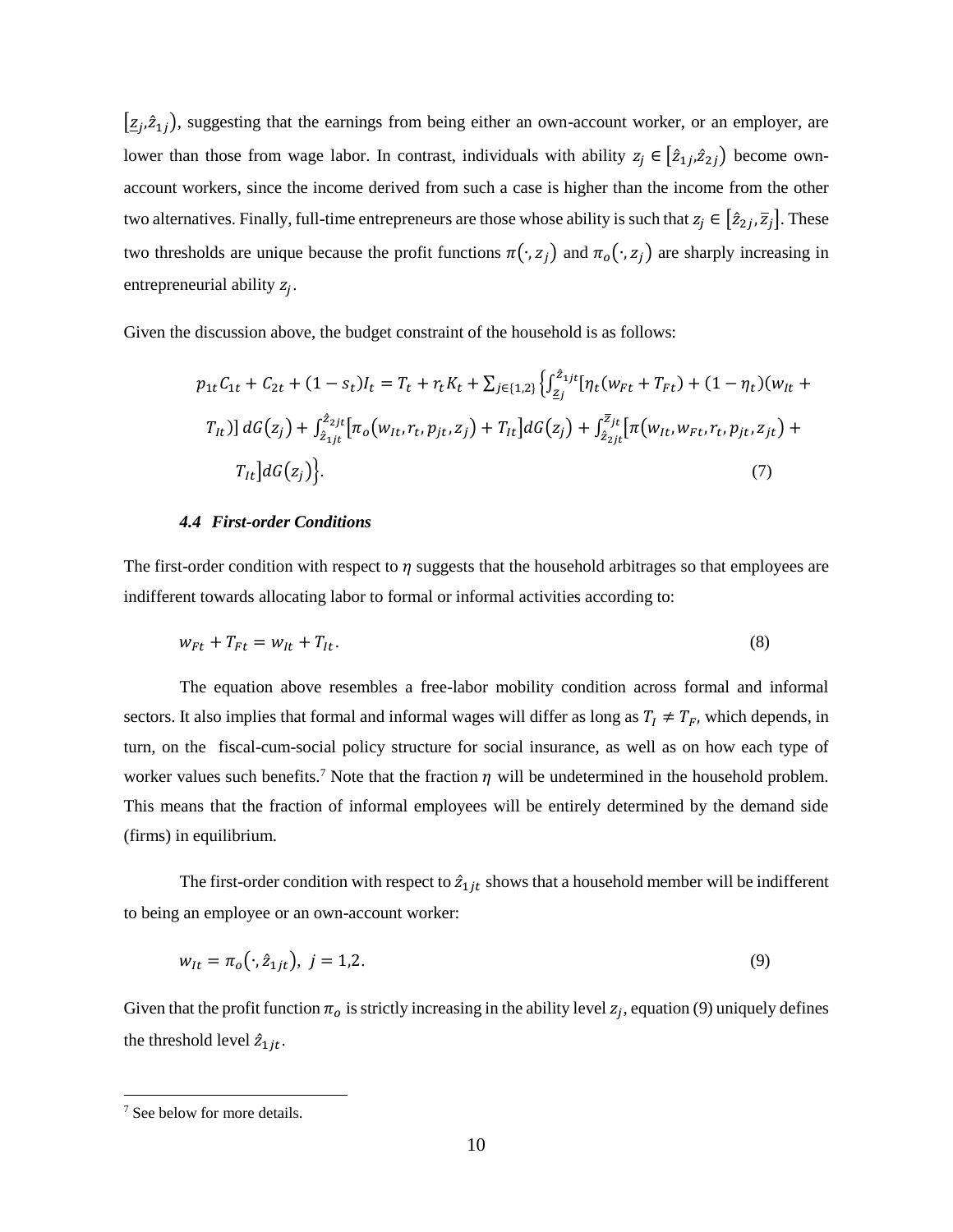$[\underline{z}_i, \hat{z}_{1i})$ , suggesting that the earnings from being either an own-account worker, or an employer, are lower than those from wage labor. In contrast, individuals with ability  $z_j \in [\hat{z}_{1j}, \hat{z}_{2j}]$  become ownaccount workers, since the income derived from such a case is higher than the income from the other two alternatives. Finally, full-time entrepreneurs are those whose ability is such that  $z_i \in [\hat{z}_{2i}, \overline{z}_i]$ . These two thresholds are unique because the profit functions  $\pi(\cdot, z_j)$  and  $\pi_o(\cdot, z_j)$  are sharply increasing in entrepreneurial ability  $z_i$ .

Given the discussion above, the budget constraint of the household is as follows:

$$
p_{1t}C_{1t} + C_{2t} + (1 - s_t)I_t = T_t + r_t K_t + \sum_{j \in \{1,2\}} \left\{ \int_{\underline{z}_j}^{\hat{z}_{1jt}} [\eta_t(w_{Ft} + T_{Ft}) + (1 - \eta_t)(w_{It} + T_{It})] \, dG(z_j) + \int_{\hat{z}_{1jt}}^{\hat{z}_{2jt}} [\pi_w(w_{It}, r_t, p_{jt}, z_j) + T_{It}] \, dG(z_j) + \int_{\hat{z}_{2jt}}^{\hat{z}_{jt}} [\pi(w_{It}, w_{Ft}, r_t, p_{jt}, z_{jt}) + T_{It}] \, dG(z_j) \right\}.
$$
\n
$$
(7)
$$

### **4.4 First-order Conditions**

The first-order condition with respect to  $\eta$  suggests that the household arbitrages so that employees are indifferent towards allocating labor to formal or informal activities according to:

$$
w_{Ft} + T_{Ft} = w_{It} + T_{It}.\tag{8}
$$

The equation above resembles a free-labor mobility condition across formal and informal sectors. It also implies that formal and informal wages will differ as long as  $T_I \neq T_F$ , which depends, in turn, on the fiscal-cum-social policy structure for social insurance, as well as on how each type of worker values such benefits.<sup>7</sup> Note that the fraction  $\eta$  will be undetermined in the household problem. This means that the fraction of informal employees will be entirely determined by the demand side (firms) in equilibrium.

The first-order condition with respect to  $\hat{z}_{1it}$  shows that a household member will be indifferent to being an employee or an own-account worker:

$$
w_{lt} = \pi_o(\cdot, \hat{z}_{1jt}), \ j = 1, 2. \tag{9}
$$

Given that the profit function  $\pi_o$  is strictly increasing in the ability level  $z_j$ , equation (9) uniquely defines the threshold level  $\hat{z}_{1jt}$ .

<sup>&</sup>lt;sup>7</sup> See below for more details.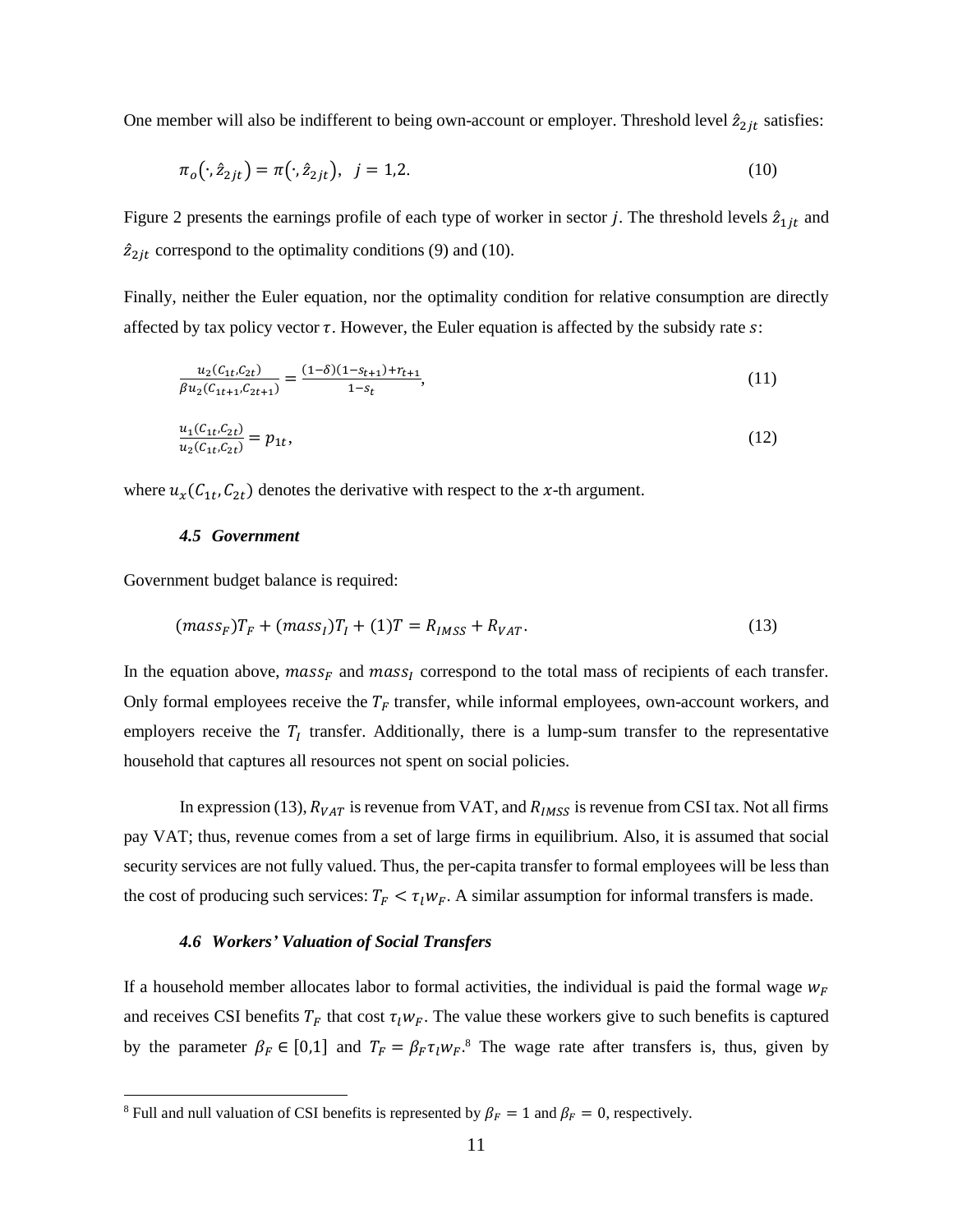One member will also be indifferent to being own-account or employer. Threshold level  $\hat{z}_{2it}$  satisfies:

$$
\pi_o(\cdot,\hat{z}_{2jt}) = \pi(\cdot,\hat{z}_{2jt}), \quad j = 1,2. \tag{10}
$$

Figure 2 presents the earnings profile of each type of worker in sector *j*. The threshold levels  $\hat{z}_{1jt}$  and  $\hat{z}_{2jt}$  correspond to the optimality conditions (9) and (10).

Finally, neither the Euler equation, nor the optimality condition for relative consumption are directly affected by tax policy vector  $\tau$ . However, the Euler equation is affected by the subsidy rate s:

$$
\frac{u_2(C_{1t}, C_{2t})}{\beta u_2(C_{1t+1}, C_{2t+1})} = \frac{(1-\delta)(1-s_{t+1}) + r_{t+1}}{1-s_t},\tag{11}
$$

$$
\frac{u_1(C_{1t}, C_{2t})}{u_2(C_{1t}, C_{2t})} = p_{1t},\tag{12}
$$

where  $u_x(C_{1t}, C_{2t})$  denotes the derivative with respect to the x-th argument.

### 4.5 Government

Government budget balance is required:

$$
(mass_F)T_F + (mass_I)T_I + (1)T = R_{IMSS} + R_{VAT}.
$$
\n(13)

In the equation above, mass<sub>F</sub> and mass<sub>I</sub> correspond to the total mass of recipients of each transfer. Only formal employees receive the  $T_F$  transfer, while informal employees, own-account workers, and employers receive the  $T_I$  transfer. Additionally, there is a lump-sum transfer to the representative household that captures all resources not spent on social policies.

In expression (13),  $R_{VAT}$  is revenue from VAT, and  $R_{IMSS}$  is revenue from CSI tax. Not all firms pay VAT; thus, revenue comes from a set of large firms in equilibrium. Also, it is assumed that social security services are not fully valued. Thus, the per-capita transfer to formal employees will be less than the cost of producing such services:  $T_F < \tau_l w_F$ . A similar assumption for informal transfers is made.

### 4.6 Workers' Valuation of Social Transfers

If a household member allocates labor to formal activities, the individual is paid the formal wage  $w_F$ and receives CSI benefits  $T_F$  that cost  $\tau_l w_F$ . The value these workers give to such benefits is captured by the parameter  $\beta_F \in [0,1]$  and  $T_F = \beta_F \tau_l w_F$ .<sup>8</sup> The wage rate after transfers is, thus, given by

<sup>&</sup>lt;sup>8</sup> Full and null valuation of CSI benefits is represented by  $\beta_F = 1$  and  $\beta_F = 0$ , respectively.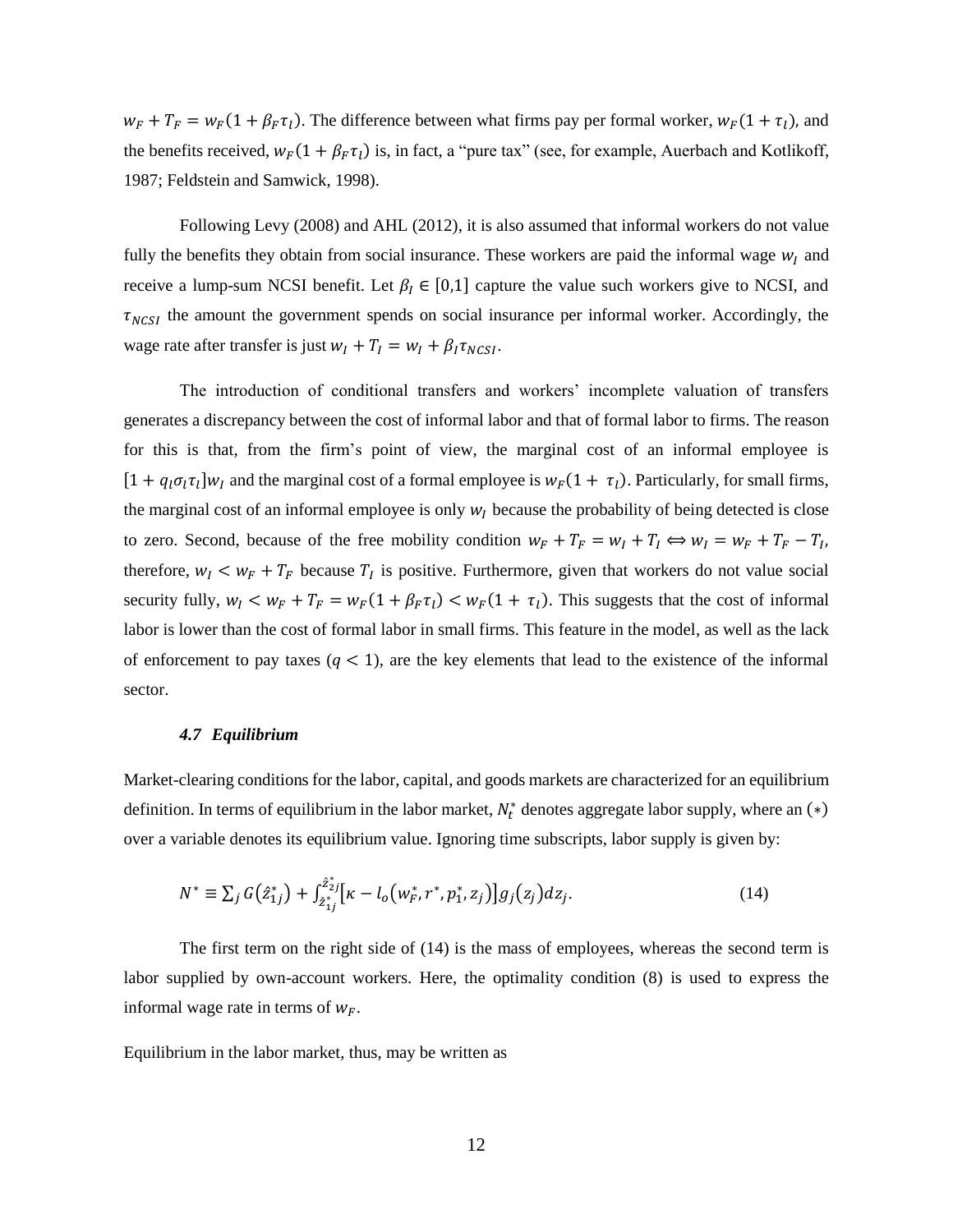$w_F + T_F = w_F(1 + \beta_F \tau_l)$ . The difference between what firms pay per formal worker,  $w_F(1 + \tau_l)$ , and the benefits received,  $w_F(1 + \beta_F \tau_l)$  is, in fact, a "pure tax" (see, for example, Auerbach and Kotlikoff, 1987; Feldstein and Samwick, 1998).

Following Levy (2008) and AHL (2012), it is also assumed that informal workers do not value fully the benefits they obtain from social insurance. These workers are paid the informal wage  $w_l$  and receive a lump-sum NCSI benefit. Let  $\beta_I \in [0,1]$  capture the value such workers give to NCSI, and  $\tau_{NCSI}$  the amount the government spends on social insurance per informal worker. Accordingly, the wage rate after transfer is just  $w_I + T_I = w_I + \beta_I \tau_{NCSI}$ .

The introduction of conditional transfers and workers' incomplete valuation of transfers generates a discrepancy between the cost of informal labor and that of formal labor to firms. The reason for this is that, from the firm's point of view, the marginal cost of an informal employee is  $[1 + q_1 \sigma_1 \tau_1] w_I$  and the marginal cost of a formal employee is  $w_F(1 + \tau_1)$ . Particularly, for small firms, the marginal cost of an informal employee is only  $w_l$  because the probability of being detected is close to zero. Second, because of the free mobility condition  $w_F + T_F = w_I + T_I \Leftrightarrow w_I = w_F + T_F - T_I$ , therefore,  $w_I \leq w_F + T_F$  because  $T_I$  is positive. Furthermore, given that workers do not value social security fully,  $w_I < w_F + T_F = w_F(1 + \beta_F \tau_I) < w_F(1 + \tau_I)$ . This suggests that the cost of informal labor is lower than the cost of formal labor in small firms. This feature in the model, as well as the lack of enforcement to pay taxes  $(q < 1)$ , are the key elements that lead to the existence of the informal sector.

### 4.7 Equilibrium

Market-clearing conditions for the labor, capital, and goods markets are characterized for an equilibrium definition. In terms of equilibrium in the labor market,  $N_t^*$  denotes aggregate labor supply, where an (\*) over a variable denotes its equilibrium value. Ignoring time subscripts, labor supply is given by:

$$
N^* \equiv \sum_j G(\hat{z}_{1j}^*) + \int_{\hat{z}_{1j}}^{\hat{z}_{2j}^*} \left[ \kappa - l_o \left( w_F^*, r^*, p_1^*, z_j \right) \right] g_j(z_j) dz_j. \tag{14}
$$

The first term on the right side of  $(14)$  is the mass of employees, whereas the second term is labor supplied by own-account workers. Here, the optimality condition (8) is used to express the informal wage rate in terms of  $w_F$ .

Equilibrium in the labor market, thus, may be written as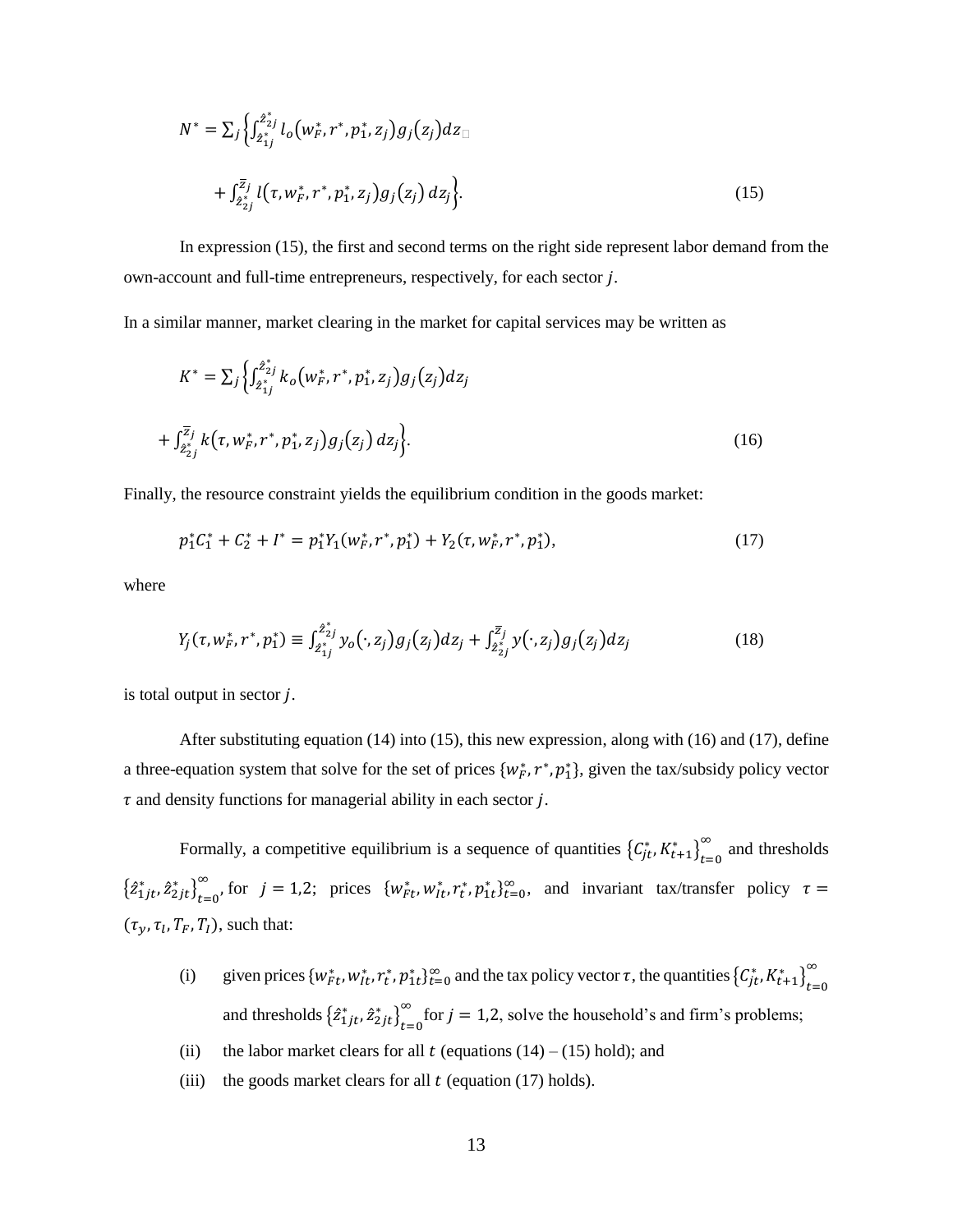$$
N^* = \sum_j \left\{ \int_{2_{1j}^*}^{2_{2j}^*} l_o(w_F^*, r^*, p_1^*, z_j) g_j(z_j) dz_{\square} \right. \\
\left. + \int_{2_{2j}^*}^{Z_j} l(\tau, w_F^*, r^*, p_1^*, z_j) g_j(z_j) dz_j \right\}.
$$
\n(15)

In expression (15), the first and second terms on the right side represent labor demand from the own-account and full-time entrepreneurs, respectively, for each sector j.

In a similar manner, market clearing in the market for capital services may be written as

$$
K^* = \sum_j \left\{ \int_{\hat{z}_{1j}}^{\hat{z}_{2j}} k_o(w_F^*, r^*, p_1^*, z_j) g_j(z_j) dz_j \right. \\
\left. + \int_{\hat{z}_{2j}}^{\overline{z}_j} k(\tau, w_F^*, r^*, p_1^*, z_j) g_j(z_j) dz_j \right\}.
$$
\n(16)

Finally, the resource constraint yields the equilibrium condition in the goods market:

$$
p_1^* C_1^* + C_2^* + I^* = p_1^* Y_1(w_F^*, r^*, p_1^*) + Y_2(\tau, w_F^*, r^*, p_1^*),
$$
\n(17)

where

$$
Y_j(\tau, w_F^*, r^*, p_1^*) \equiv \int_{\hat{z}_{1j}}^{\hat{z}_{2j}^*} y_o(\cdot, z_j) g_j(z_j) dz_j + \int_{\hat{z}_{2j}^*}^{\overline{z}_j} y(\cdot, z_j) g_j(z_j) dz_j \tag{18}
$$

is total output in sector  $j$ .

After substituting equation  $(14)$  into  $(15)$ , this new expression, along with  $(16)$  and  $(17)$ , define a three-equation system that solve for the set of prices  $\{w^*_F, r^*, p^*_1\}$ , given the tax/subsidy policy vector  $\tau$  and density functions for managerial ability in each sector j.

Formally, a competitive equilibrium is a sequence of quantities  ${C_{jt}^*, K_{t+1}^*}_{t=0}^{\infty}$  and thresholds  $\left\{ \hat{z}_{1jt}^*, \hat{z}_{2jt}^* \right\}_{t=0}^{\infty}$ , for  $j = 1,2$ ; prices  $\{w_{Ft}^*, w_{It}^*, r_t^*, p_{1t}^* \}_{t=0}^{\infty}$ , and invariant tax/transfer policy  $\tau =$  $(\tau_{\nu}, \tau_l, T_F, T_I)$ , such that:

- given prices  $\{w_{Ft}^*, w_{it}^*, r_t^*, p_{1t}^*\}_{t=0}^{\infty}$  and the tax policy vector  $\tau$ , the quantities  $\{C_{jt}^*, K_{t+1}^*\}_{t=0}^{\infty}$  $(i)$ and thresholds  $\left\{ \hat{z}_{1jt}^*, \hat{z}_{2jt}^* \right\}_{t=0}^{\infty}$  for  $j = 1,2$ , solve the household's and firm's problems;
- $(ii)$ the labor market clears for all t (equations  $(14) - (15)$  hold); and
- the goods market clears for all  $t$  (equation (17) holds).  $(iii)$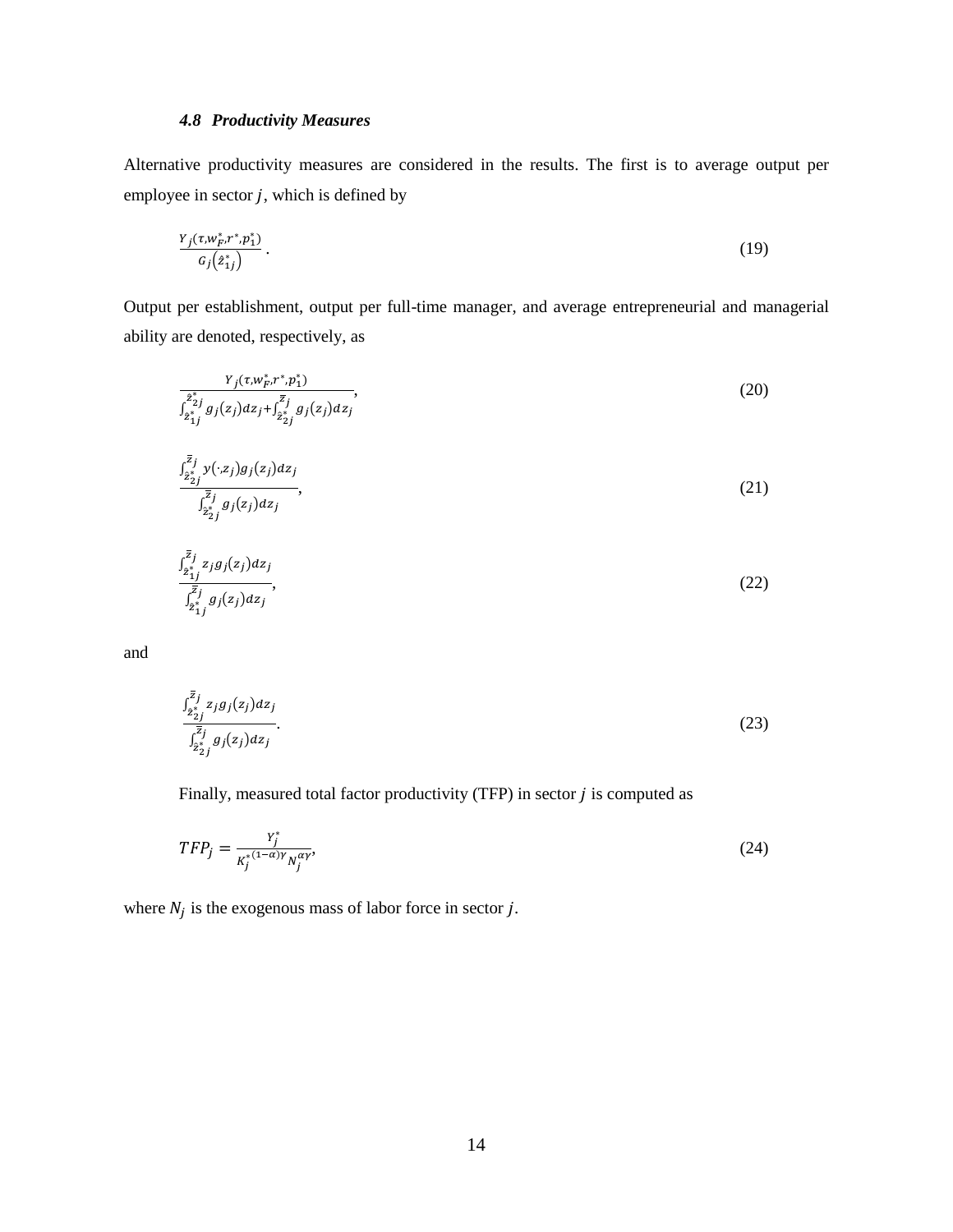### **4.8 Productivity Measures**

Alternative productivity measures are considered in the results. The first is to average output per employee in sector  $j$ , which is defined by

$$
\frac{Y_j(\tau, w_F^*, r^*, p_1^*)}{G_j(z_{1j}^*)} \,. \tag{19}
$$

Output per establishment, output per full-time manager, and average entrepreneurial and managerial ability are denoted, respectively, as

$$
\frac{Y_j(\tau, w^*_p, r^*, p_1^*)}{Z_{2j}^{z_j} g_j(z_j) dz_j + \int_{2\frac{s_j}{2}j}^{\overline{z}_j} g_j(z_j) dz_j},\tag{20}
$$

$$
\frac{\int_{2j}^{\overline{z}_j} y(\cdot, z_j) g_j(z_j) dz_j}{\int_{2\overline{z}_j}^{\overline{z}_j} g_j(z_j) dz_j},\tag{21}
$$

$$
\int_{\substack{2_{1}^{*}\\2_{1}^{*}\\2_{1}^{*}}}^{\bar{z}_{j}} g_{j}(z_{j}) dz_{j},
$$
\n(22)

and

$$
\frac{a_{\hat{z}_{j}^{*}j}^{z_{j}}g_{j}(z_{j})dz_{j}}{\int_{\hat{z}_{j}^{*}}^{\bar{z}_{j}}g_{j}(z_{j})dz_{j}}.
$$
\n(23)

Finally, measured total factor productivity (TFP) in sector  $j$  is computed as

$$
TFP_j = \frac{Y_j^*}{K_j^{*(1-\alpha)}Y_N_j^{\alpha\gamma}},\tag{24}
$$

where  $N_j$  is the exogenous mass of labor force in sector j.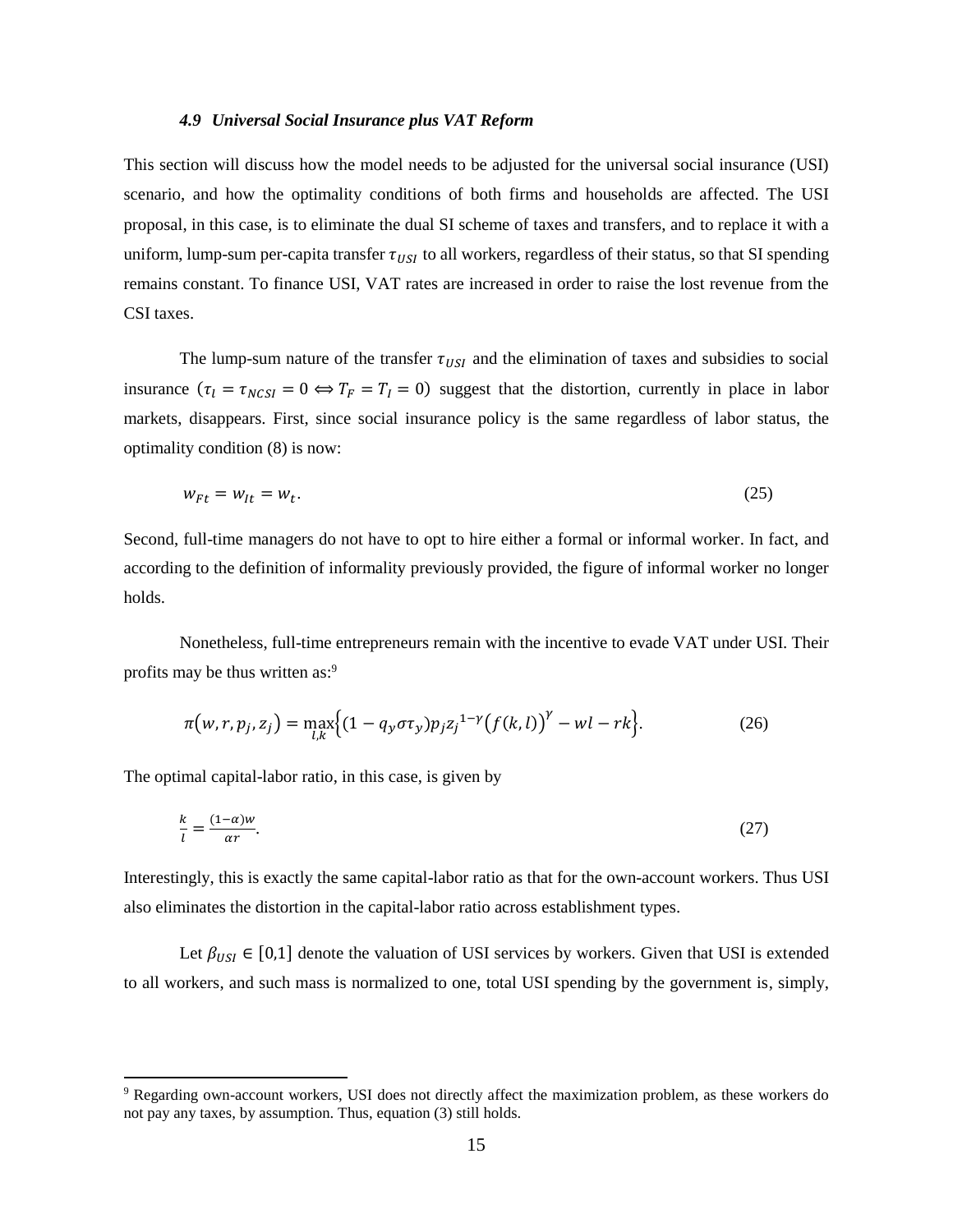### 4.9 Universal Social Insurance plus VAT Reform

This section will discuss how the model needs to be adjusted for the universal social insurance (USI) scenario, and how the optimality conditions of both firms and households are affected. The USI proposal, in this case, is to eliminate the dual SI scheme of taxes and transfers, and to replace it with a uniform, lump-sum per-capita transfer  $\tau_{USI}$  to all workers, regardless of their status, so that SI spending remains constant. To finance USI, VAT rates are increased in order to raise the lost revenue from the CSI taxes.

The lump-sum nature of the transfer  $\tau_{USI}$  and the elimination of taxes and subsidies to social insurance  $(\tau_l = \tau_{NCSI} = 0 \Leftrightarrow T_F = T_I = 0)$  suggest that the distortion, currently in place in labor markets, disappears. First, since social insurance policy is the same regardless of labor status, the optimality condition (8) is now:

$$
w_{Ft} = w_{lt} = w_t. \tag{25}
$$

Second, full-time managers do not have to opt to hire either a formal or informal worker. In fact, and according to the definition of informality previously provided, the figure of informal worker no longer holds.

Nonetheless, full-time entrepreneurs remain with the incentive to evade VAT under USI. Their profits may be thus written as:<sup>9</sup>

$$
\pi(w,r,p_j,z_j) = \max_{l,k} \left\{ (1 - q_y \sigma \tau_y) p_j z_j^{-1-\gamma} (f(k,l))^{\gamma} - w l - r k \right\}.
$$
 (26)

The optimal capital-labor ratio, in this case, is given by

$$
\frac{k}{l} = \frac{(1-\alpha)w}{\alpha r}.\tag{27}
$$

Interestingly, this is exactly the same capital-labor ratio as that for the own-account workers. Thus USI also eliminates the distortion in the capital-labor ratio across establishment types.

Let  $\beta_{USI} \in [0,1]$  denote the valuation of USI services by workers. Given that USI is extended to all workers, and such mass is normalized to one, total USI spending by the government is, simply,

<sup>&</sup>lt;sup>9</sup> Regarding own-account workers, USI does not directly affect the maximization problem, as these workers do not pay any taxes, by assumption. Thus, equation (3) still holds.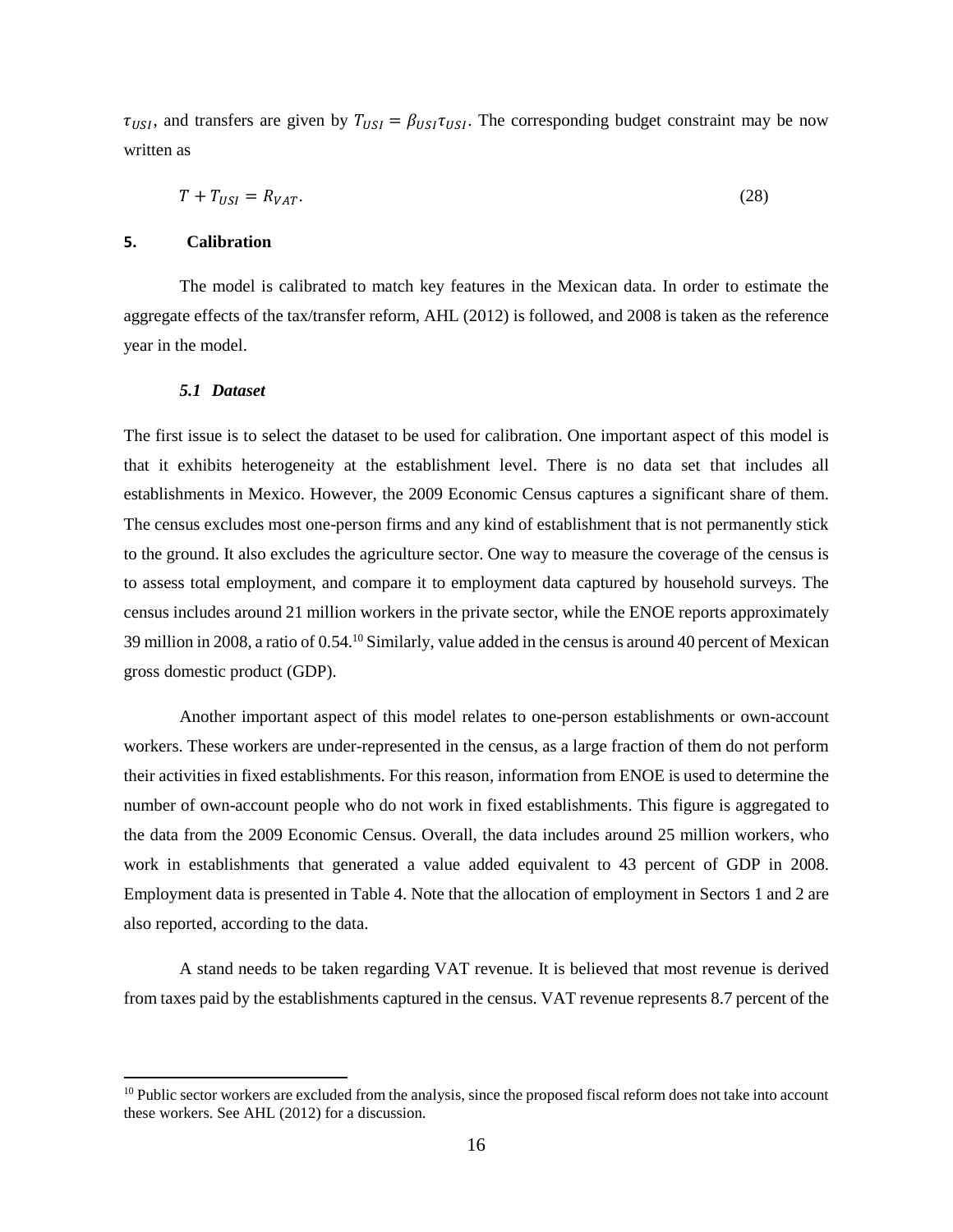$\tau_{USI}$ , and transfers are given by  $T_{USI} = \beta_{USI} \tau_{USI}$ . The corresponding budget constraint may be now written as

$$
T + T_{USI} = R_{VAT}.\tag{28}
$$

### 5. **Calibration**

The model is calibrated to match key features in the Mexican data. In order to estimate the aggregate effects of the tax/transfer reform, AHL (2012) is followed, and 2008 is taken as the reference year in the model.

### 5.1 Dataset

The first issue is to select the dataset to be used for calibration. One important aspect of this model is that it exhibits heterogeneity at the establishment level. There is no data set that includes all establishments in Mexico. However, the 2009 Economic Census captures a significant share of them. The census excludes most one-person firms and any kind of establishment that is not permanently stick to the ground. It also excludes the agriculture sector. One way to measure the coverage of the census is to assess total employment, and compare it to employment data captured by household surveys. The census includes around 21 million workers in the private sector, while the ENOE reports approximately 39 million in 2008, a ratio of 0.54.<sup>10</sup> Similarly, value added in the census is around 40 percent of Mexican gross domestic product (GDP).

Another important aspect of this model relates to one-person establishments or own-account workers. These workers are under-represented in the census, as a large fraction of them do not perform their activities in fixed establishments. For this reason, information from ENOE is used to determine the number of own-account people who do not work in fixed establishments. This figure is aggregated to the data from the 2009 Economic Census. Overall, the data includes around 25 million workers, who work in establishments that generated a value added equivalent to 43 percent of GDP in 2008. Employment data is presented in Table 4. Note that the allocation of employment in Sectors 1 and 2 are also reported, according to the data.

A stand needs to be taken regarding VAT revenue. It is believed that most revenue is derived from taxes paid by the establishments captured in the census. VAT revenue represents 8.7 percent of the

 $10$  Public sector workers are excluded from the analysis, since the proposed fiscal reform does not take into account these workers. See AHL (2012) for a discussion.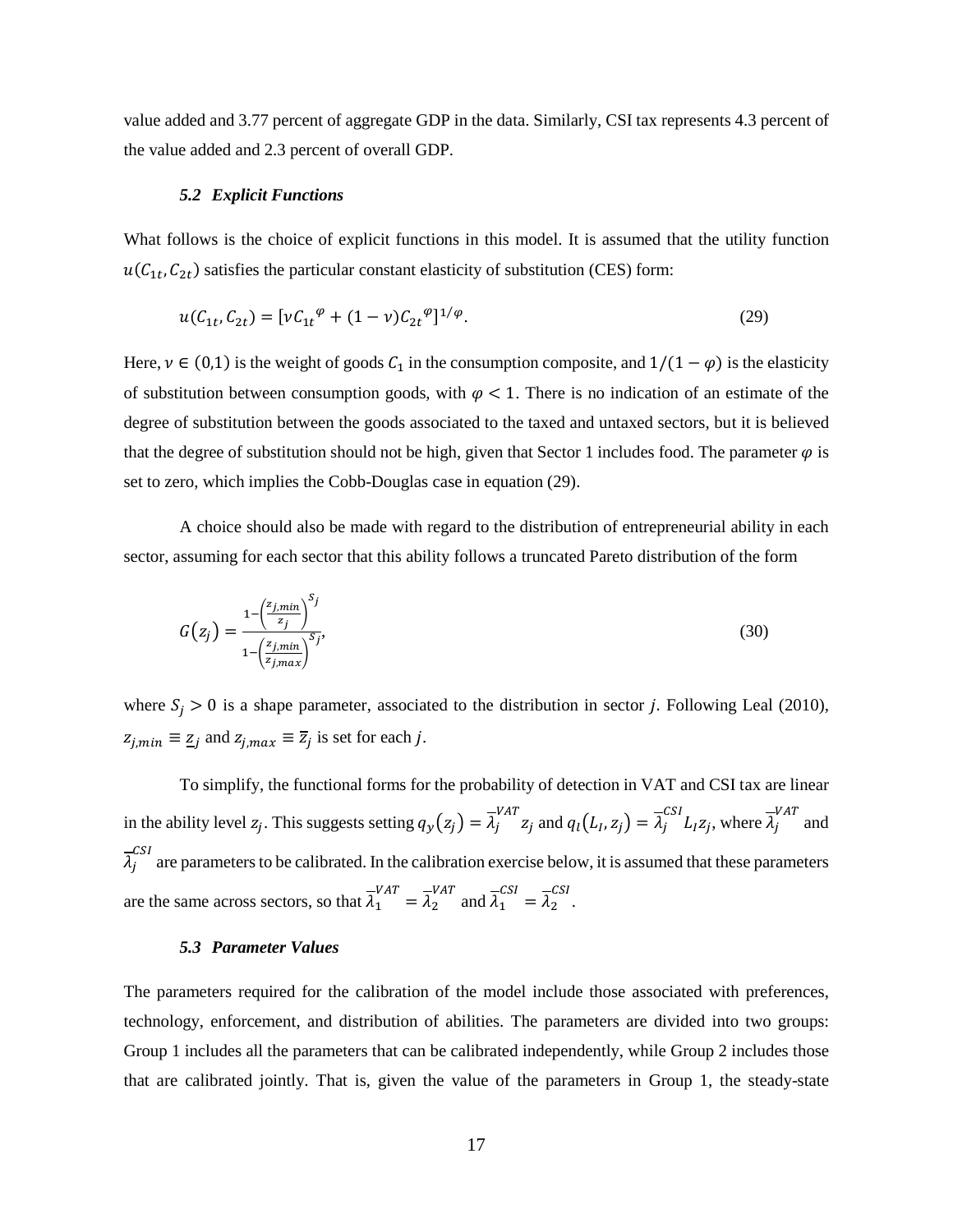value added and 3.77 percent of aggregate GDP in the data. Similarly, CSI tax represents 4.3 percent of the value added and 2.3 percent of overall GDP.

### 5.2 Explicit Functions

What follows is the choice of explicit functions in this model. It is assumed that the utility function  $u(C_{1t}, C_{2t})$  satisfies the particular constant elasticity of substitution (CES) form:

$$
u(C_{1t}, C_{2t}) = [vC_{1t}^{\phi} + (1 - v)C_{2t}^{\phi}]^{1/\phi}.
$$
 (29)

Here,  $\nu \in (0,1)$  is the weight of goods  $C_1$  in the consumption composite, and  $1/(1 - \varphi)$  is the elasticity of substitution between consumption goods, with  $\varphi$  < 1. There is no indication of an estimate of the degree of substitution between the goods associated to the taxed and untaxed sectors, but it is believed that the degree of substitution should not be high, given that Sector 1 includes food. The parameter  $\varphi$  is set to zero, which implies the Cobb-Douglas case in equation (29).

A choice should also be made with regard to the distribution of entrepreneurial ability in each sector, assuming for each sector that this ability follows a truncated Pareto distribution of the form

$$
G(z_j) = \frac{1 - \left(\frac{z_{j,min}}{z_j}\right)^{S_j}}{1 - \left(\frac{z_{j,min}}{z_{j,max}}\right)^{S_j}},\tag{30}
$$

where  $S_j > 0$  is a shape parameter, associated to the distribution in sector *j*. Following Leal (2010),  $z_{j,min} \equiv \underline{z}_j$  and  $z_{j,max} \equiv \overline{z}_j$  is set for each j.

To simplify, the functional forms for the probability of detection in VAT and CSI tax are linear in the ability level  $z_j$ . This suggests setting  $q_y(z_j) = \overline{\lambda}_j^{VAT} z_j$  and  $q_l(L_l, z_j) = \overline{\lambda}_j^{CSI} L_l z_j$ , where  $\overline{\lambda}_j^{VAT}$  and  $\overline{\lambda}_i^{CSI}$  are parameters to be calibrated. In the calibration exercise below, it is assumed that these parameters are the same across sectors, so that  $\overline{\lambda}_1^{VAT} = \overline{\lambda}_2^{VAT}$  and  $\overline{\lambda}_1^{CSI} = \overline{\lambda}_2^{CSI}$ .

### 5.3 Parameter Values

The parameters required for the calibration of the model include those associated with preferences, technology, enforcement, and distribution of abilities. The parameters are divided into two groups: Group 1 includes all the parameters that can be calibrated independently, while Group 2 includes those that are calibrated jointly. That is, given the value of the parameters in Group 1, the steady-state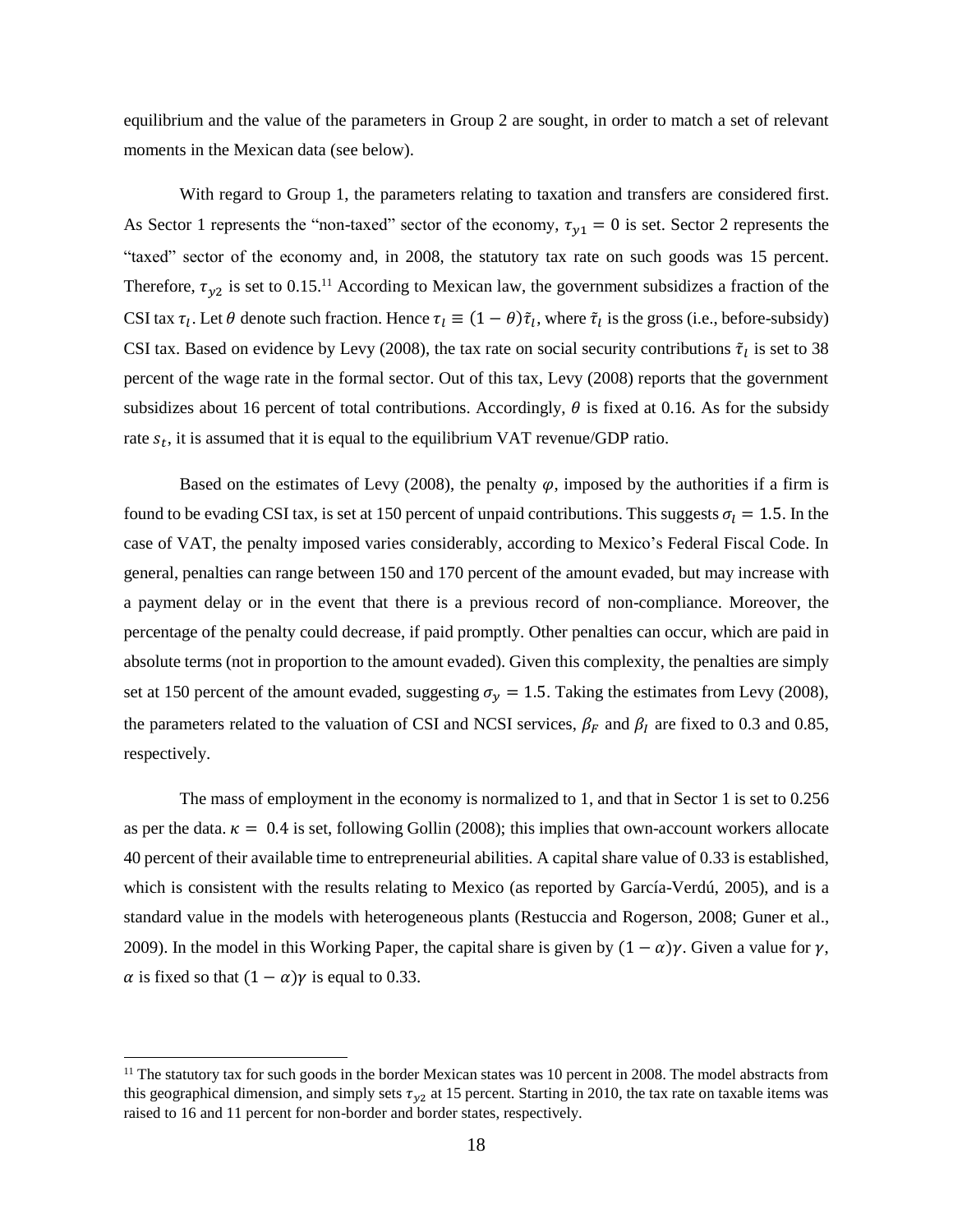equilibrium and the value of the parameters in Group 2 are sought, in order to match a set of relevant moments in the Mexican data (see below).

With regard to Group 1, the parameters relating to taxation and transfers are considered first. As Sector 1 represents the "non-taxed" sector of the economy,  $\tau_{y1} = 0$  is set. Sector 2 represents the "taxed" sector of the economy and, in 2008, the statutory tax rate on such goods was 15 percent. Therefore,  $\tau_{v2}$  is set to 0.15.<sup>11</sup> According to Mexican law, the government subsidizes a fraction of the CSI tax  $\tau_l$ . Let  $\theta$  denote such fraction. Hence  $\tau_l \equiv (1 - \theta)\tilde{\tau}_l$ , where  $\tilde{\tau}_l$  is the gross (i.e., before-subsidy) CSI tax. Based on evidence by Levy (2008), the tax rate on social security contributions  $\tilde{\tau}_l$  is set to 38 percent of the wage rate in the formal sector. Out of this tax, Levy (2008) reports that the government subsidizes about 16 percent of total contributions. Accordingly,  $\theta$  is fixed at 0.16. As for the subsidy rate  $s_t$ , it is assumed that it is equal to the equilibrium VAT revenue/GDP ratio.

Based on the estimates of Levy (2008), the penalty  $\varphi$ , imposed by the authorities if a firm is found to be evading CSI tax, is set at 150 percent of unpaid contributions. This suggests  $\sigma_l = 1.5$ . In the case of VAT, the penalty imposed varies considerably, according to Mexico's Federal Fiscal Code. In general, penalties can range between 150 and 170 percent of the amount evaded, but may increase with a payment delay or in the event that there is a previous record of non-compliance. Moreover, the percentage of the penalty could decrease, if paid promptly. Other penalties can occur, which are paid in absolute terms (not in proportion to the amount evaded). Given this complexity, the penalties are simply set at 150 percent of the amount evaded, suggesting  $\sigma_y = 1.5$ . Taking the estimates from Levy (2008), the parameters related to the valuation of CSI and NCSI services,  $\beta_F$  and  $\beta_I$  are fixed to 0.3 and 0.85, respectively.

The mass of employment in the economy is normalized to 1, and that in Sector 1 is set to  $0.256$ as per the data.  $\kappa = 0.4$  is set, following Gollin (2008); this implies that own-account workers allocate 40 percent of their available time to entrepreneurial abilities. A capital share value of 0.33 is established, which is consistent with the results relating to Mexico (as reported by García-Verdú, 2005), and is a standard value in the models with heterogeneous plants (Restuccia and Rogerson, 2008; Guner et al., 2009). In the model in this Working Paper, the capital share is given by  $(1 - \alpha)\gamma$ . Given a value for  $\gamma$ ,  $\alpha$  is fixed so that  $(1 - \alpha)\gamma$  is equal to 0.33.

<sup>&</sup>lt;sup>11</sup> The statutory tax for such goods in the border Mexican states was 10 percent in 2008. The model abstracts from this geographical dimension, and simply sets  $\tau_{v2}$  at 15 percent. Starting in 2010, the tax rate on taxable items was raised to 16 and 11 percent for non-border and border states, respectively.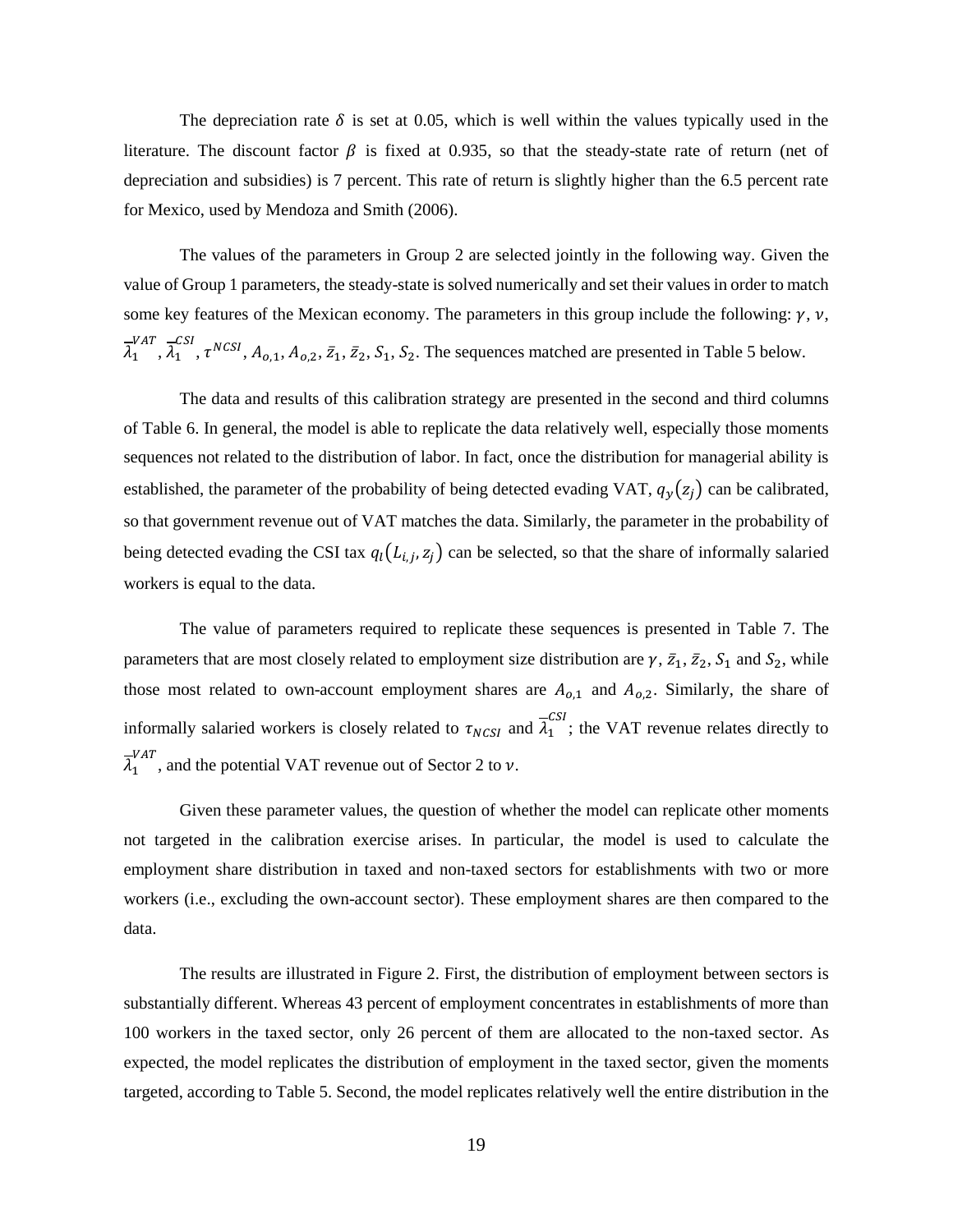The depreciation rate  $\delta$  is set at 0.05, which is well within the values typically used in the literature. The discount factor  $\beta$  is fixed at 0.935, so that the steady-state rate of return (net of depreciation and subsidies) is 7 percent. This rate of return is slightly higher than the 6.5 percent rate for Mexico, used by Mendoza and Smith (2006).

The values of the parameters in Group 2 are selected jointly in the following way. Given the value of Group 1 parameters, the steady-state is solved numerically and set their values in order to match some key features of the Mexican economy. The parameters in this group include the following:  $\gamma$ ,  $\nu$ ,  $\overline{\lambda}_1^{VAT}$ ,  $\overline{\lambda}_1^{CSI}$ ,  $\tau^{NCSI}$ ,  $A_{0,1}$ ,  $A_{0,2}$ ,  $\overline{z}_1$ ,  $\overline{z}_2$ ,  $S_1$ ,  $S_2$ . The sequences matched are presented in Table 5 below.

The data and results of this calibration strategy are presented in the second and third columns of Table 6. In general, the model is able to replicate the data relatively well, especially those moments sequences not related to the distribution of labor. In fact, once the distribution for managerial ability is established, the parameter of the probability of being detected evading VAT,  $q_y(z_j)$  can be calibrated, so that government revenue out of VAT matches the data. Similarly, the parameter in the probability of being detected evading the CSI tax  $q_l(L_{i,j}, z_j)$  can be selected, so that the share of informally salaried workers is equal to the data.

The value of parameters required to replicate these sequences is presented in Table 7. The parameters that are most closely related to employment size distribution are  $\gamma$ ,  $\bar{z}_1$ ,  $\bar{z}_2$ ,  $S_1$  and  $S_2$ , while those most related to own-account employment shares are  $A_{0,1}$  and  $A_{0,2}$ . Similarly, the share of informally salaried workers is closely related to  $\tau_{NCSI}$  and  $\overline{\lambda}_1^{CSI}$ ; the VAT revenue relates directly to  $\overline{\lambda}_1^{VAT}$ , and the potential VAT revenue out of Sector 2 to v.

Given these parameter values, the question of whether the model can replicate other moments not targeted in the calibration exercise arises. In particular, the model is used to calculate the employment share distribution in taxed and non-taxed sectors for establishments with two or more workers (i.e., excluding the own-account sector). These employment shares are then compared to the data.

The results are illustrated in Figure 2. First, the distribution of employment between sectors is substantially different. Whereas 43 percent of employment concentrates in establishments of more than 100 workers in the taxed sector, only 26 percent of them are allocated to the non-taxed sector. As expected, the model replicates the distribution of employment in the taxed sector, given the moments targeted, according to Table 5. Second, the model replicates relatively well the entire distribution in the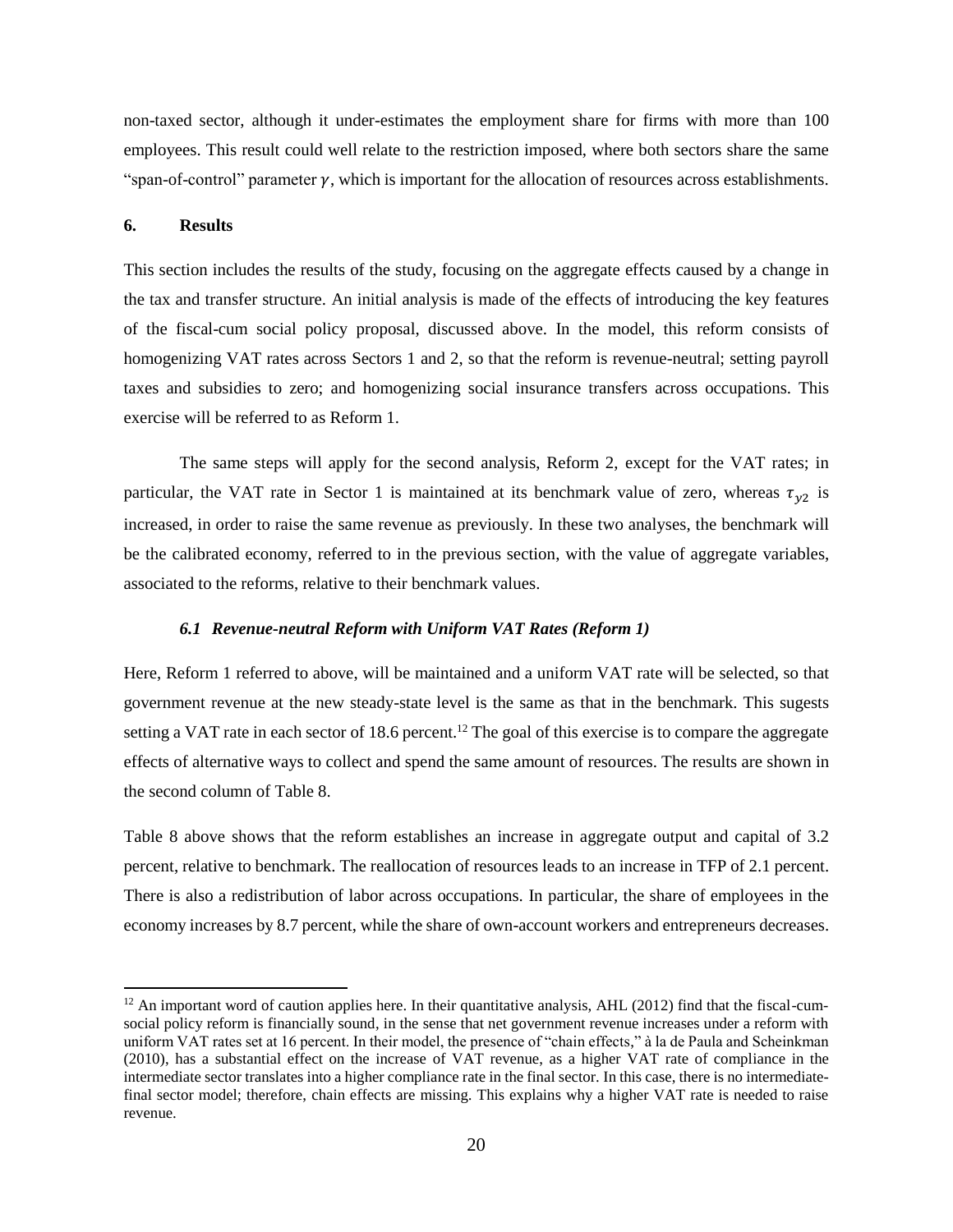non-taxed sector, although it under-estimates the employment share for firms with more than 100 employees. This result could well relate to the restriction imposed, where both sectors share the same "span-of-control" parameter  $\gamma$ , which is important for the allocation of resources across establishments.

### 6. **Results**

This section includes the results of the study, focusing on the aggregate effects caused by a change in the tax and transfer structure. An initial analysis is made of the effects of introducing the key features of the fiscal-cum social policy proposal, discussed above. In the model, this reform consists of homogenizing VAT rates across Sectors 1 and 2, so that the reform is revenue-neutral; setting payroll taxes and subsidies to zero; and homogenizing social insurance transfers across occupations. This exercise will be referred to as Reform 1.

The same steps will apply for the second analysis, Reform 2, except for the VAT rates; in particular, the VAT rate in Sector 1 is maintained at its benchmark value of zero, whereas  $\tau_{y2}$  is increased, in order to raise the same revenue as previously. In these two analyses, the benchmark will be the calibrated economy, referred to in the previous section, with the value of aggregate variables, associated to the reforms, relative to their benchmark values.

### 6.1 Revenue-neutral Reform with Uniform VAT Rates (Reform 1)

Here, Reform 1 referred to above, will be maintained and a uniform VAT rate will be selected, so that government revenue at the new steady-state level is the same as that in the benchmark. This sugests setting a VAT rate in each sector of 18.6 percent.<sup>12</sup> The goal of this exercise is to compare the aggregate effects of alternative ways to collect and spend the same amount of resources. The results are shown in the second column of Table 8.

Table 8 above shows that the reform establishes an increase in aggregate output and capital of 3.2 percent, relative to benchmark. The reallocation of resources leads to an increase in TFP of 2.1 percent. There is also a redistribution of labor across occupations. In particular, the share of employees in the economy increases by 8.7 percent, while the share of own-account workers and entrepreneurs decreases.

 $^{12}$  An important word of caution applies here. In their quantitative analysis, AHL (2012) find that the fiscal-cumsocial policy reform is financially sound, in the sense that net government revenue increases under a reform with uniform VAT rates set at 16 percent. In their model, the presence of "chain effects," à la de Paula and Scheinkman (2010), has a substantial effect on the increase of VAT revenue, as a higher VAT rate of compliance in the intermediate sector translates into a higher compliance rate in the final sector. In this case, there is no intermediatefinal sector model; therefore, chain effects are missing. This explains why a higher VAT rate is needed to raise revenue.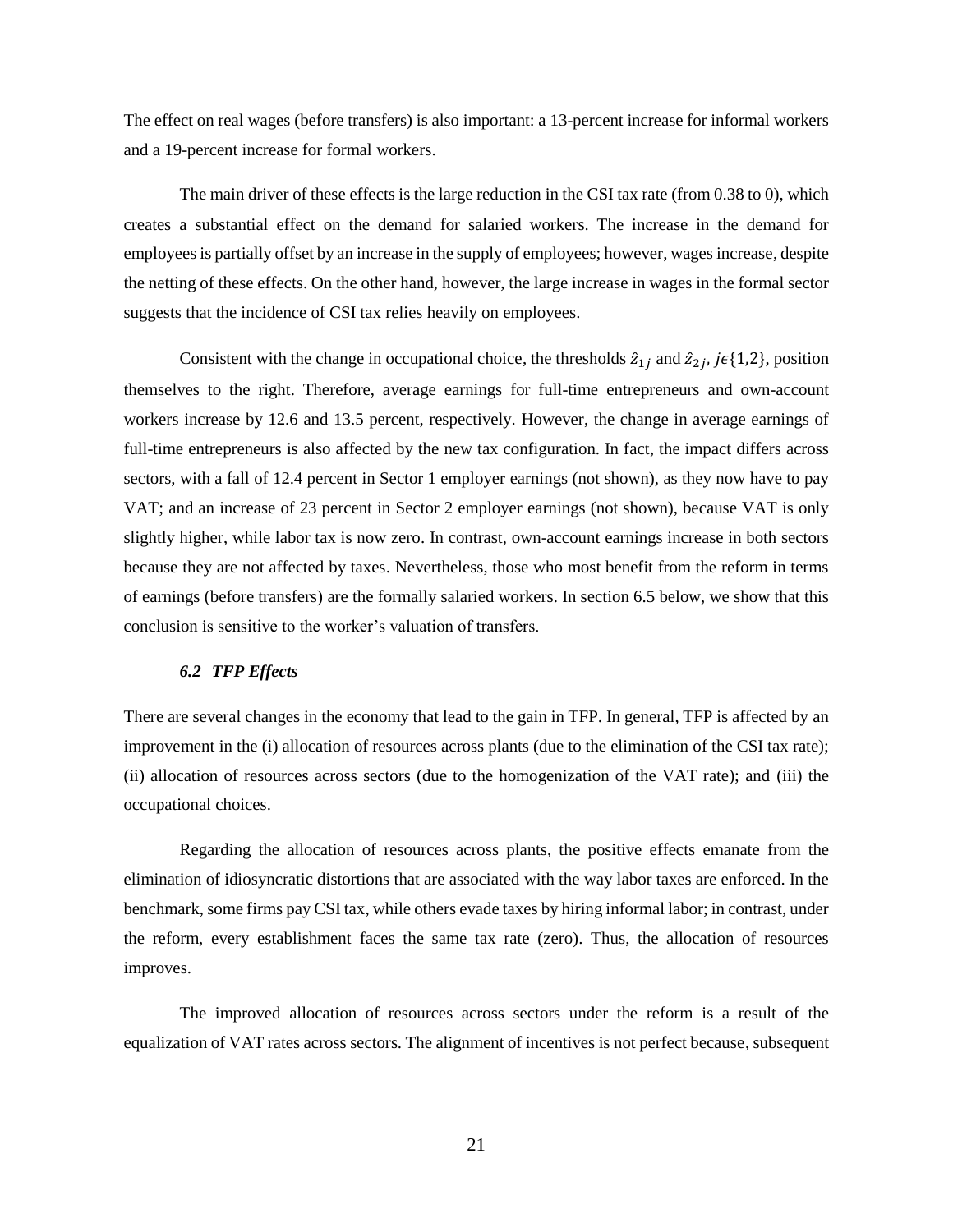The effect on real wages (before transfers) is also important: a 13-percent increase for informal workers and a 19-percent increase for formal workers.

The main driver of these effects is the large reduction in the CSI tax rate (from 0.38 to 0), which creates a substantial effect on the demand for salaried workers. The increase in the demand for employees is partially offset by an increase in the supply of employees; however, wages increase, despite the netting of these effects. On the other hand, however, the large increase in wages in the formal sector suggests that the incidence of CSI tax relies heavily on employees.

Consistent with the change in occupational choice, the thresholds  $\hat{z}_{1i}$  and  $\hat{z}_{2i}$ , je{1,2}, position themselves to the right. Therefore, average earnings for full-time entrepreneurs and own-account workers increase by 12.6 and 13.5 percent, respectively. However, the change in average earnings of full-time entrepreneurs is also affected by the new tax configuration. In fact, the impact differs across sectors, with a fall of 12.4 percent in Sector 1 employer earnings (not shown), as they now have to pay VAT; and an increase of 23 percent in Sector 2 employer earnings (not shown), because VAT is only slightly higher, while labor tax is now zero. In contrast, own-account earnings increase in both sectors because they are not affected by taxes. Nevertheless, those who most benefit from the reform in terms of earnings (before transfers) are the formally salaried workers. In section 6.5 below, we show that this conclusion is sensitive to the worker's valuation of transfers.

## 6.2 TFP Effects

There are several changes in the economy that lead to the gain in TFP. In general, TFP is affected by an improvement in the (i) allocation of resources across plants (due to the elimination of the CSI tax rate); (ii) allocation of resources across sectors (due to the homogenization of the VAT rate); and (iii) the occupational choices.

Regarding the allocation of resources across plants, the positive effects emanate from the elimination of idiosyncratic distortions that are associated with the way labor taxes are enforced. In the benchmark, some firms pay CSI tax, while others evade taxes by hiring informal labor; in contrast, under the reform, every establishment faces the same tax rate (zero). Thus, the allocation of resources improves.

The improved allocation of resources across sectors under the reform is a result of the equalization of VAT rates across sectors. The alignment of incentives is not perfect because, subsequent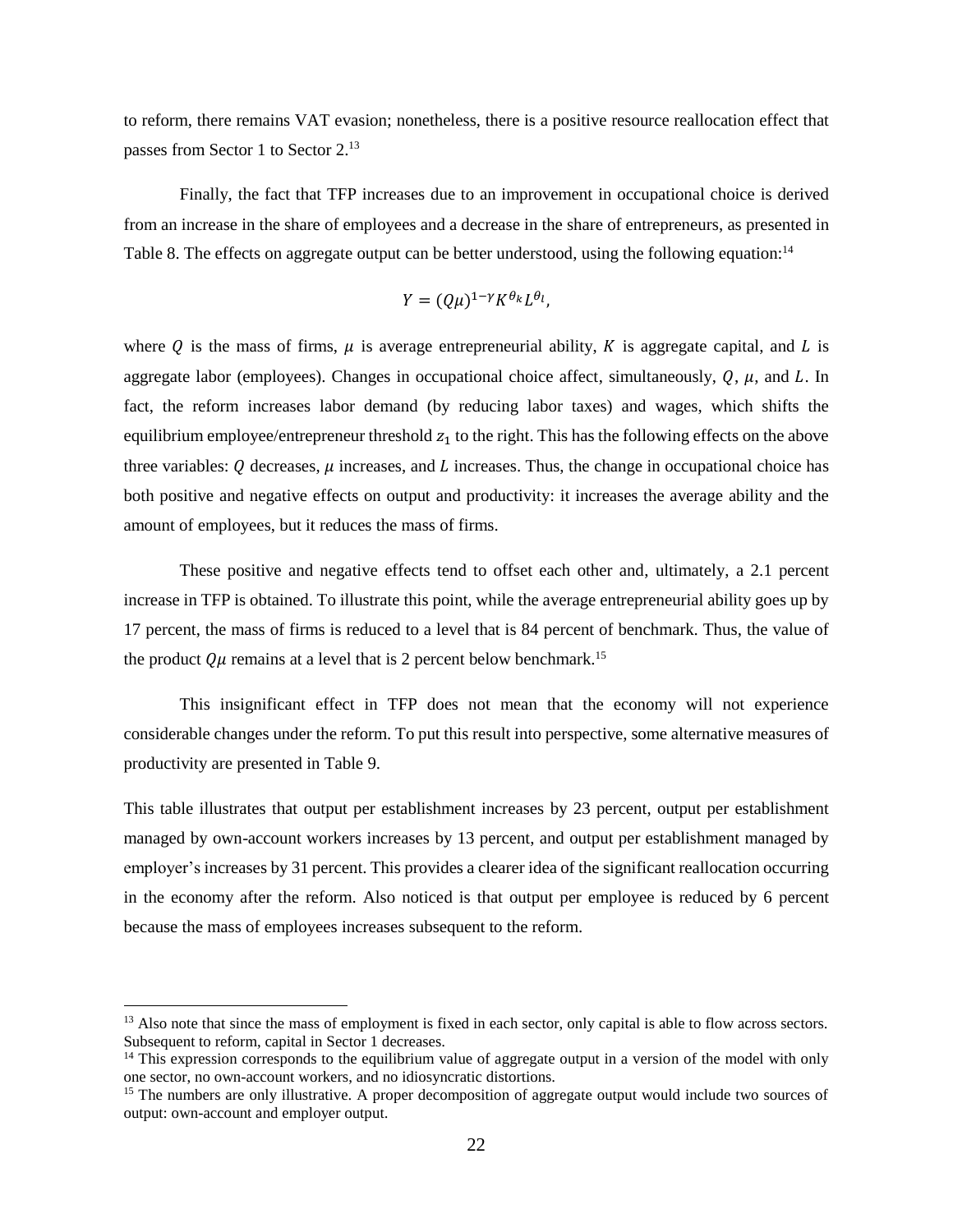to reform, there remains VAT evasion; nonetheless, there is a positive resource reallocation effect that passes from Sector 1 to Sector 2.<sup>13</sup>

Finally, the fact that TFP increases due to an improvement in occupational choice is derived from an increase in the share of employees and a decrease in the share of entrepreneurs, as presented in Table 8. The effects on aggregate output can be better understood, using the following equation:<sup>14</sup>

$$
Y = (Q\mu)^{1-\gamma} K^{\theta_k} L^{\theta_l},
$$

where Q is the mass of firms,  $\mu$  is average entrepreneurial ability, K is aggregate capital, and L is aggregate labor (employees). Changes in occupational choice affect, simultaneously,  $Q$ ,  $\mu$ , and L. In fact, the reform increases labor demand (by reducing labor taxes) and wages, which shifts the equilibrium employee/entrepreneur threshold  $z_1$  to the right. This has the following effects on the above three variables:  $Q$  decreases,  $\mu$  increases, and  $L$  increases. Thus, the change in occupational choice has both positive and negative effects on output and productivity: it increases the average ability and the amount of employees, but it reduces the mass of firms.

These positive and negative effects tend to offset each other and, ultimately, a 2.1 percent increase in TFP is obtained. To illustrate this point, while the average entrepreneurial ability goes up by 17 percent, the mass of firms is reduced to a level that is 84 percent of benchmark. Thus, the value of the product  $Q\mu$  remains at a level that is 2 percent below benchmark.<sup>15</sup>

This insignificant effect in TFP does not mean that the economy will not experience considerable changes under the reform. To put this result into perspective, some alternative measures of productivity are presented in Table 9.

This table illustrates that output per establishment increases by 23 percent, output per establishment managed by own-account workers increases by 13 percent, and output per establishment managed by employer's increases by 31 percent. This provides a clearer idea of the significant reallocation occurring in the economy after the reform. Also noticed is that output per employee is reduced by 6 percent because the mass of employees increases subsequent to the reform.

<sup>&</sup>lt;sup>13</sup> Also note that since the mass of employment is fixed in each sector, only capital is able to flow across sectors. Subsequent to reform, capital in Sector 1 decreases.

 $14$  This expression corresponds to the equilibrium value of aggregate output in a version of the model with only one sector, no own-account workers, and no idiosyncratic distortions.

 $15$  The numbers are only illustrative. A proper decomposition of aggregate output would include two sources of output: own-account and employer output.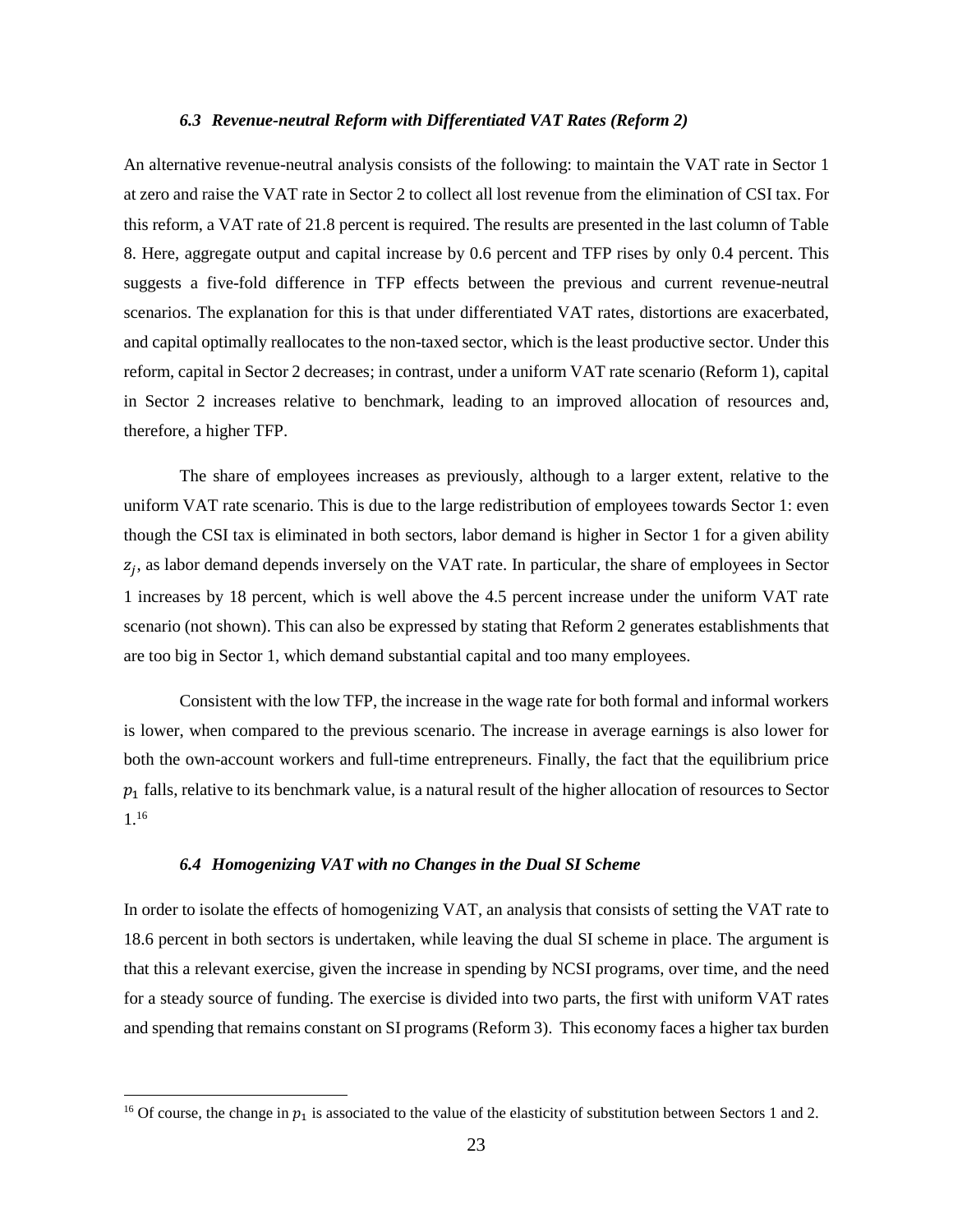### 6.3 Revenue-neutral Reform with Differentiated VAT Rates (Reform 2)

An alternative revenue-neutral analysis consists of the following: to maintain the VAT rate in Sector 1 at zero and raise the VAT rate in Sector 2 to collect all lost revenue from the elimination of CSI tax. For this reform, a VAT rate of 21.8 percent is required. The results are presented in the last column of Table 8. Here, aggregate output and capital increase by 0.6 percent and TFP rises by only 0.4 percent. This suggests a five-fold difference in TFP effects between the previous and current revenue-neutral scenarios. The explanation for this is that under differentiated VAT rates, distortions are exacerbated, and capital optimally reallocates to the non-taxed sector, which is the least productive sector. Under this reform, capital in Sector 2 decreases; in contrast, under a uniform VAT rate scenario (Reform 1), capital in Sector 2 increases relative to benchmark, leading to an improved allocation of resources and, therefore, a higher TFP.

The share of employees increases as previously, although to a larger extent, relative to the uniform VAT rate scenario. This is due to the large redistribution of employees towards Sector 1: even though the CSI tax is eliminated in both sectors, labor demand is higher in Sector 1 for a given ability  $z_i$ , as labor demand depends inversely on the VAT rate. In particular, the share of employees in Sector 1 increases by 18 percent, which is well above the 4.5 percent increase under the uniform VAT rate scenario (not shown). This can also be expressed by stating that Reform 2 generates establishments that are too big in Sector 1, which demand substantial capital and too many employees.

Consistent with the low TFP, the increase in the wage rate for both formal and informal workers is lower, when compared to the previous scenario. The increase in average earnings is also lower for both the own-account workers and full-time entrepreneurs. Finally, the fact that the equilibrium price  $p_1$  falls, relative to its benchmark value, is a natural result of the higher allocation of resources to Sector  $1^{16}$ 

### 6.4 Homogenizing VAT with no Changes in the Dual SI Scheme

In order to isolate the effects of homogenizing VAT, an analysis that consists of setting the VAT rate to 18.6 percent in both sectors is undertaken, while leaving the dual SI scheme in place. The argument is that this a relevant exercise, given the increase in spending by NCSI programs, over time, and the need for a steady source of funding. The exercise is divided into two parts, the first with uniform VAT rates and spending that remains constant on SI programs (Reform 3). This economy faces a higher tax burden

<sup>&</sup>lt;sup>16</sup> Of course, the change in  $p_1$  is associated to the value of the elasticity of substitution between Sectors 1 and 2.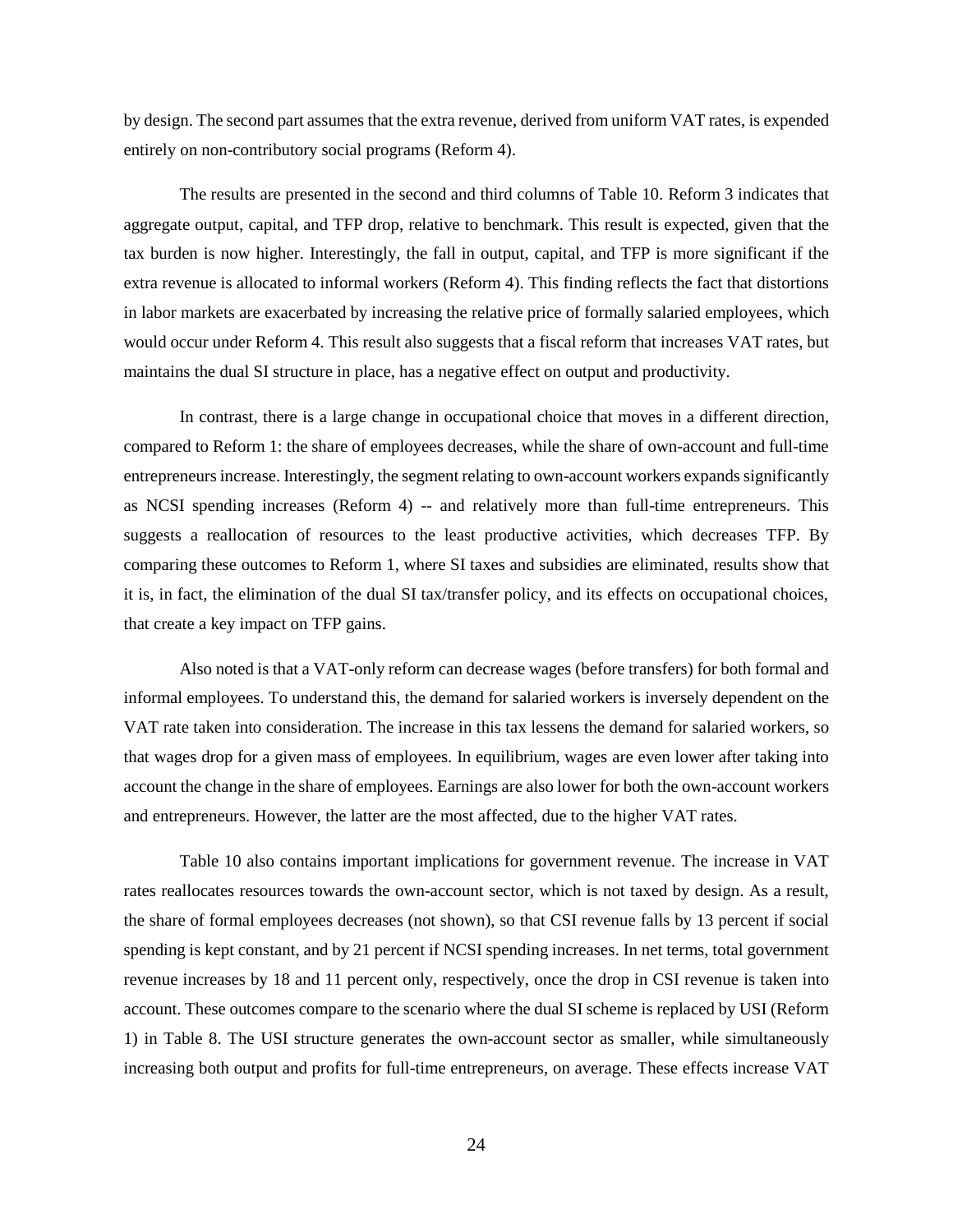by design. The second part assumes that the extra revenue, derived from uniform VAT rates, is expended entirely on non-contributory social programs (Reform 4).

The results are presented in the second and third columns of Table 10. Reform 3 indicates that aggregate output, capital, and TFP drop, relative to benchmark. This result is expected, given that the tax burden is now higher. Interestingly, the fall in output, capital, and TFP is more significant if the extra revenue is allocated to informal workers (Reform 4). This finding reflects the fact that distortions in labor markets are exacerbated by increasing the relative price of formally salaried employees, which would occur under Reform 4. This result also suggests that a fiscal reform that increases VAT rates, but maintains the dual SI structure in place, has a negative effect on output and productivity.

In contrast, there is a large change in occupational choice that moves in a different direction, compared to Reform 1: the share of employees decreases, while the share of own-account and full-time entrepreneurs increase. Interestingly, the segment relating to own-account workers expands significantly as NCSI spending increases (Reform 4) -- and relatively more than full-time entrepreneurs. This suggests a reallocation of resources to the least productive activities, which decreases TFP. By comparing these outcomes to Reform 1, where SI taxes and subsidies are eliminated, results show that it is, in fact, the elimination of the dual SI tax/transfer policy, and its effects on occupational choices, that create a key impact on TFP gains.

Also noted is that a VAT-only reform can decrease wages (before transfers) for both formal and informal employees. To understand this, the demand for salaried workers is inversely dependent on the VAT rate taken into consideration. The increase in this tax lessens the demand for salaried workers, so that wages drop for a given mass of employees. In equilibrium, wages are even lower after taking into account the change in the share of employees. Earnings are also lower for both the own-account workers and entrepreneurs. However, the latter are the most affected, due to the higher VAT rates.

Table 10 also contains important implications for government revenue. The increase in VAT rates reallocates resources towards the own-account sector, which is not taxed by design. As a result, the share of formal employees decreases (not shown), so that CSI revenue falls by 13 percent if social spending is kept constant, and by 21 percent if NCSI spending increases. In net terms, total government revenue increases by 18 and 11 percent only, respectively, once the drop in CSI revenue is taken into account. These outcomes compare to the scenario where the dual SI scheme is replaced by USI (Reform 1) in Table 8. The USI structure generates the own-account sector as smaller, while simultaneously increasing both output and profits for full-time entrepreneurs, on average. These effects increase VAT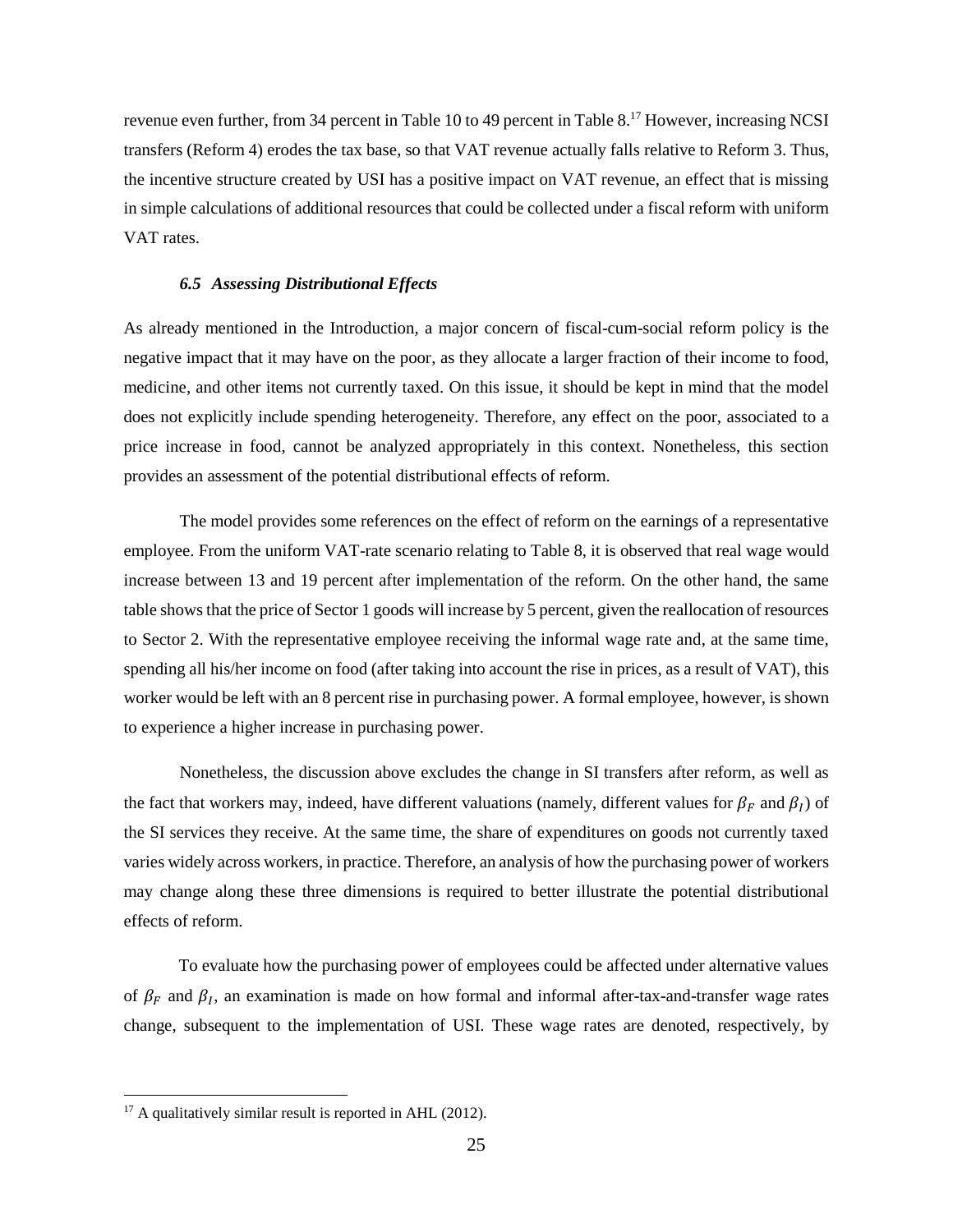revenue even further, from 34 percent in Table 10 to 49 percent in Table 8.<sup>17</sup> However, increasing NCSI transfers (Reform 4) erodes the tax base, so that VAT revenue actually falls relative to Reform 3. Thus, the incentive structure created by USI has a positive impact on VAT revenue, an effect that is missing in simple calculations of additional resources that could be collected under a fiscal reform with uniform VAT rates.

### **6.5 Assessing Distributional Effects**

As already mentioned in the Introduction, a major concern of fiscal-cum-social reform policy is the negative impact that it may have on the poor, as they allocate a larger fraction of their income to food, medicine, and other items not currently taxed. On this issue, it should be kept in mind that the model does not explicitly include spending heterogeneity. Therefore, any effect on the poor, associated to a price increase in food, cannot be analyzed appropriately in this context. Nonetheless, this section provides an assessment of the potential distributional effects of reform.

The model provides some references on the effect of reform on the earnings of a representative employee. From the uniform VAT-rate scenario relating to Table 8, it is observed that real wage would increase between 13 and 19 percent after implementation of the reform. On the other hand, the same table shows that the price of Sector 1 goods will increase by 5 percent, given the reallocation of resources to Sector 2. With the representative employee receiving the informal wage rate and, at the same time, spending all his/her income on food (after taking into account the rise in prices, as a result of VAT), this worker would be left with an 8 percent rise in purchasing power. A formal employee, however, is shown to experience a higher increase in purchasing power.

Nonetheless, the discussion above excludes the change in SI transfers after reform, as well as the fact that workers may, indeed, have different valuations (namely, different values for  $\beta_F$  and  $\beta_I$ ) of the SI services they receive. At the same time, the share of expenditures on goods not currently taxed varies widely across workers, in practice. Therefore, an analysis of how the purchasing power of workers may change along these three dimensions is required to better illustrate the potential distributional effects of reform.

To evaluate how the purchasing power of employees could be affected under alternative values of  $\beta_F$  and  $\beta_I$ , an examination is made on how formal and informal after-tax-and-transfer wage rates change, subsequent to the implementation of USI. These wage rates are denoted, respectively, by

 $17$  A qualitatively similar result is reported in AHL (2012).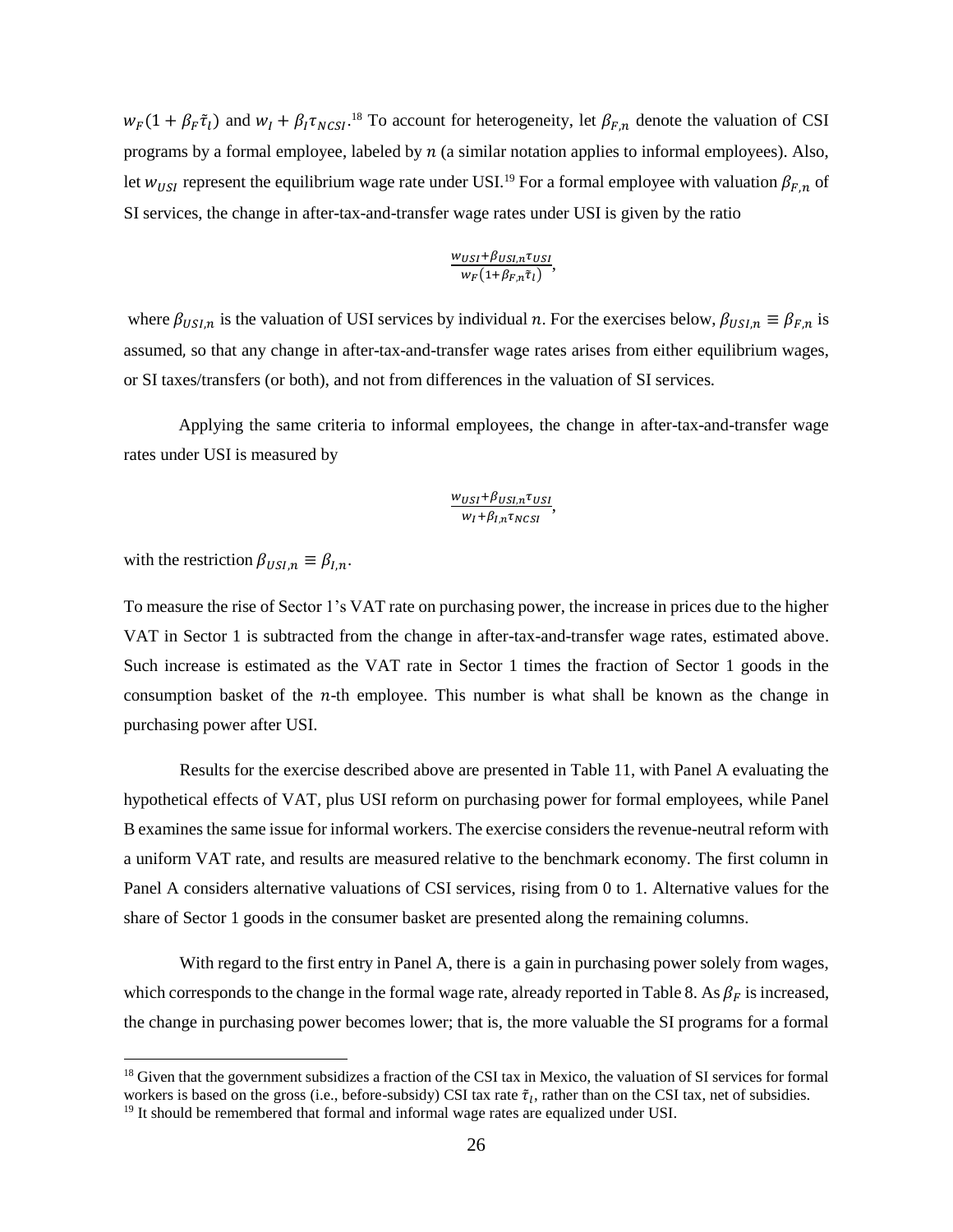$w_F(1 + \beta_F \tilde{\tau}_l)$  and  $w_I + \beta_I \tau_{NCSI}$ .<sup>18</sup> To account for heterogeneity, let  $\beta_{F,n}$  denote the valuation of CSI programs by a formal employee, labeled by  $n$  (a similar notation applies to informal employees). Also, let  $w_{USI}$  represent the equilibrium wage rate under USI.<sup>19</sup> For a formal employee with valuation  $\beta_{F,n}$  of SI services, the change in after-tax-and-transfer wage rates under USI is given by the ratio

$$
\frac{w_{USI} + \beta_{USI,n} \tau_{USI}}{w_F(1 + \beta_{F,n} \tilde{\tau}_l)}
$$

where  $\beta_{USI,n}$  is the valuation of USI services by individual n. For the exercises below,  $\beta_{USI,n} \equiv \beta_{F,n}$  is assumed, so that any change in after-tax-and-transfer wage rates arises from either equilibrium wages, or SI taxes/transfers (or both), and not from differences in the valuation of SI services.

Applying the same criteria to informal employees, the change in after-tax-and-transfer wage rates under USI is measured by

# $\frac{w_{USI} + \beta_{USI,n} \tau_{USI}}{w_I + \beta_{I,n} \tau_{NCSI}},$

with the restriction  $\beta_{USI,n} \equiv \beta_{I,n}$ .

To measure the rise of Sector 1's VAT rate on purchasing power, the increase in prices due to the higher VAT in Sector 1 is subtracted from the change in after-tax-and-transfer wage rates, estimated above. Such increase is estimated as the VAT rate in Sector 1 times the fraction of Sector 1 goods in the consumption basket of the  $n$ -th employee. This number is what shall be known as the change in purchasing power after USI.

Results for the exercise described above are presented in Table 11, with Panel A evaluating the hypothetical effects of VAT, plus USI reform on purchasing power for formal employees, while Panel B examines the same issue for informal workers. The exercise considers the revenue-neutral reform with a uniform VAT rate, and results are measured relative to the benchmark economy. The first column in Panel A considers alternative valuations of CSI services, rising from 0 to 1. Alternative values for the share of Sector 1 goods in the consumer basket are presented along the remaining columns.

With regard to the first entry in Panel A, there is a gain in purchasing power solely from wages, which corresponds to the change in the formal wage rate, already reported in Table 8. As  $\beta_F$  is increased, the change in purchasing power becomes lower; that is, the more valuable the SI programs for a formal

<sup>&</sup>lt;sup>18</sup> Given that the government subsidizes a fraction of the CSI tax in Mexico, the valuation of SI services for formal workers is based on the gross (i.e., before-subsidy) CSI tax rate  $\tilde{\tau}_l$ , rather than on the CSI tax, net of subsidies.

 $19$  It should be remembered that formal and informal wage rates are equalized under USI.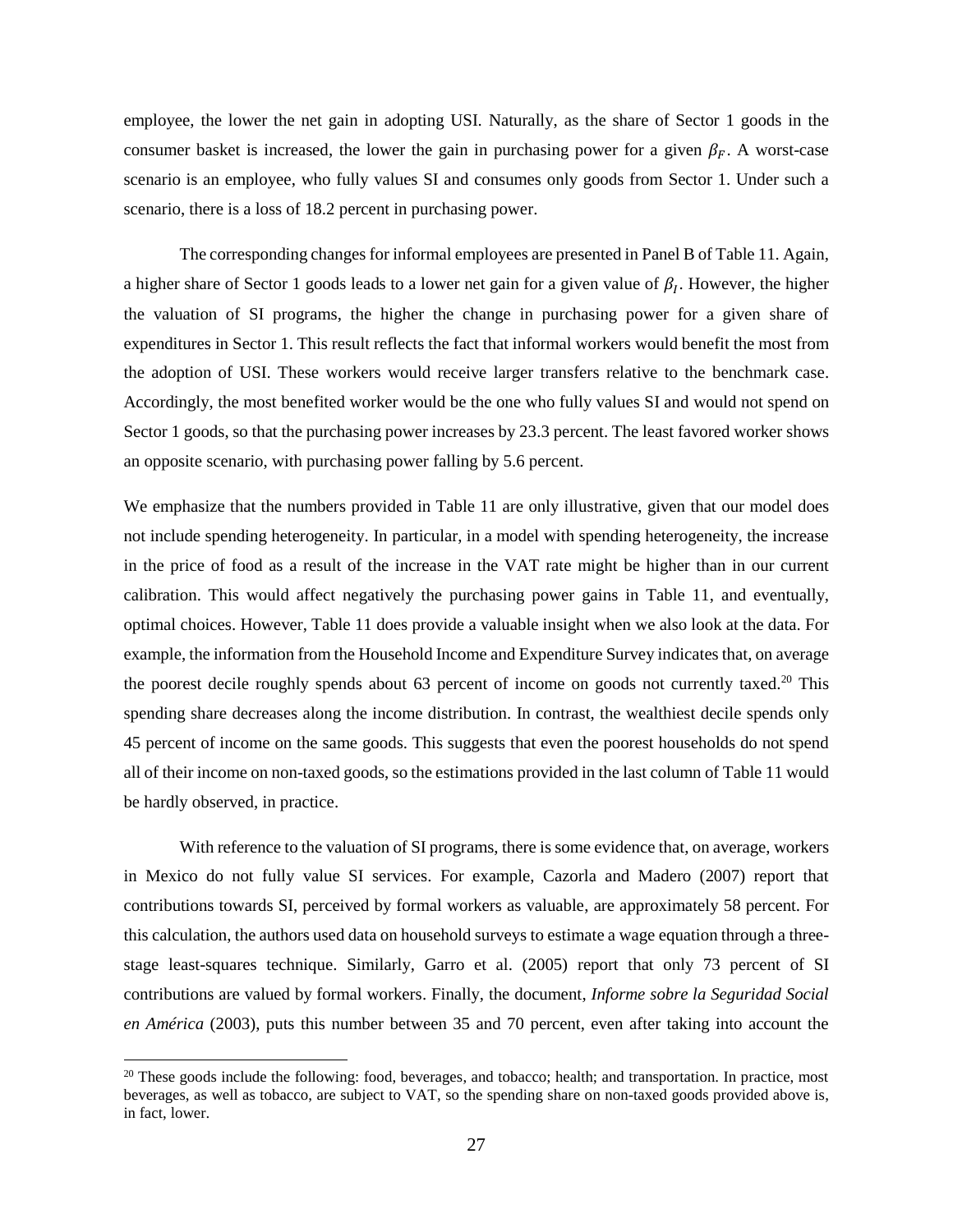employee, the lower the net gain in adopting USI. Naturally, as the share of Sector 1 goods in the consumer basket is increased, the lower the gain in purchasing power for a given  $\beta_F$ . A worst-case scenario is an employee, who fully values SI and consumes only goods from Sector 1. Under such a scenario, there is a loss of 18.2 percent in purchasing power.

The corresponding changes for informal employees are presented in Panel B of Table 11. Again, a higher share of Sector 1 goods leads to a lower net gain for a given value of  $\beta_I$ . However, the higher the valuation of SI programs, the higher the change in purchasing power for a given share of expenditures in Sector 1. This result reflects the fact that informal workers would benefit the most from the adoption of USI. These workers would receive larger transfers relative to the benchmark case. Accordingly, the most benefited worker would be the one who fully values SI and would not spend on Sector 1 goods, so that the purchasing power increases by 23.3 percent. The least favored worker shows an opposite scenario, with purchasing power falling by 5.6 percent.

We emphasize that the numbers provided in Table 11 are only illustrative, given that our model does not include spending heterogeneity. In particular, in a model with spending heterogeneity, the increase in the price of food as a result of the increase in the VAT rate might be higher than in our current calibration. This would affect negatively the purchasing power gains in Table 11, and eventually, optimal choices. However, Table 11 does provide a valuable insight when we also look at the data. For example, the information from the Household Income and Expenditure Survey indicates that, on average the poorest decile roughly spends about 63 percent of income on goods not currently taxed.<sup>20</sup> This spending share decreases along the income distribution. In contrast, the wealthiest decile spends only 45 percent of income on the same goods. This suggests that even the poorest households do not spend all of their income on non-taxed goods, so the estimations provided in the last column of Table 11 would be hardly observed, in practice.

With reference to the valuation of SI programs, there is some evidence that, on average, workers in Mexico do not fully value SI services. For example, Cazorla and Madero (2007) report that contributions towards SI, perceived by formal workers as valuable, are approximately 58 percent. For this calculation, the authors used data on household surveys to estimate a wage equation through a threestage least-squares technique. Similarly, Garro et al. (2005) report that only 73 percent of SI contributions are valued by formal workers. Finally, the document, *Informe sobre la Seguridad Social* en América (2003), puts this number between 35 and 70 percent, even after taking into account the

<sup>&</sup>lt;sup>20</sup> These goods include the following: food, beverages, and tobacco; health; and transportation. In practice, most beverages, as well as tobacco, are subject to VAT, so the spending share on non-taxed goods provided above is, in fact, lower.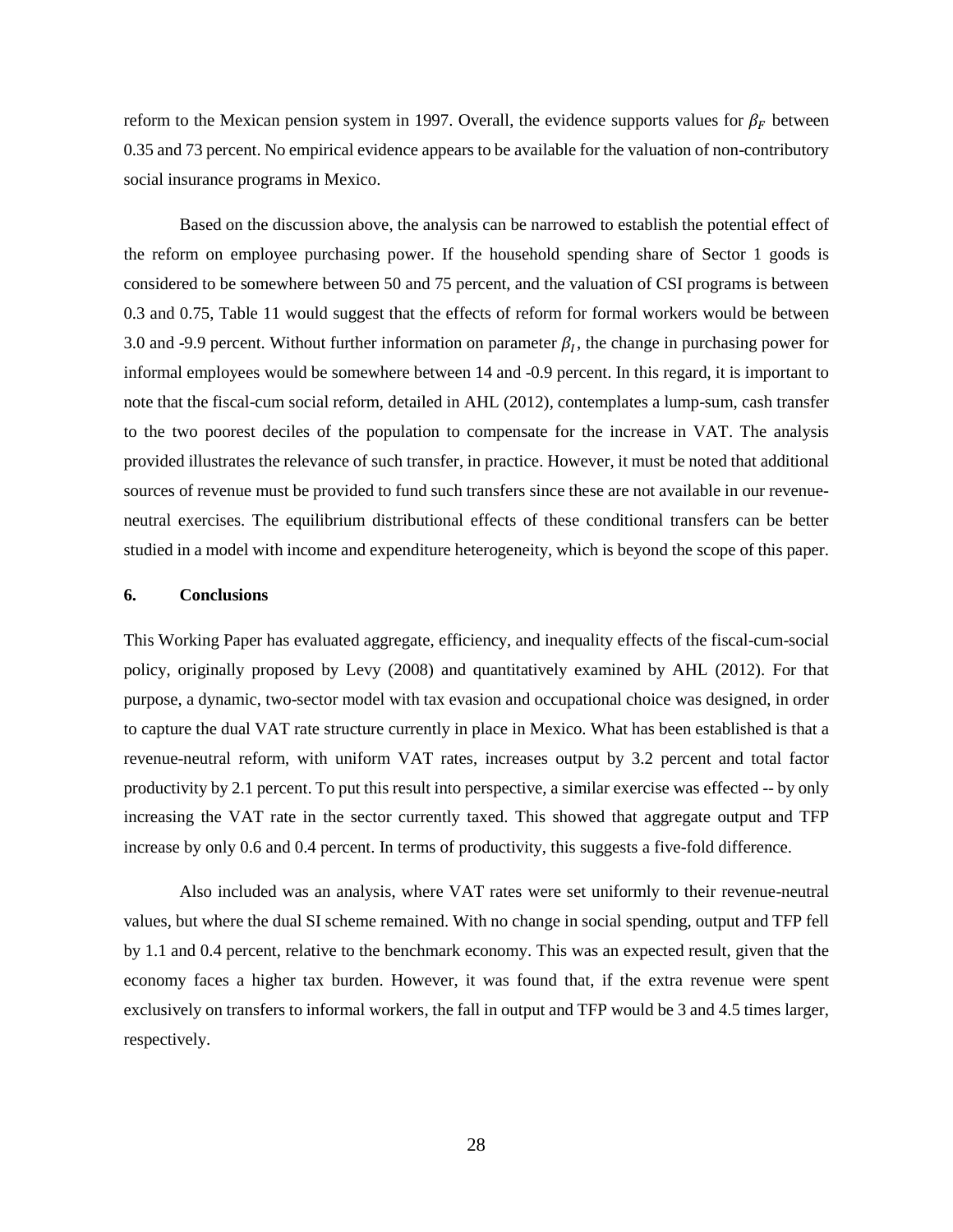reform to the Mexican pension system in 1997. Overall, the evidence supports values for  $\beta_F$  between 0.35 and 73 percent. No empirical evidence appears to be available for the valuation of non-contributory social insurance programs in Mexico.

Based on the discussion above, the analysis can be narrowed to establish the potential effect of the reform on employee purchasing power. If the household spending share of Sector 1 goods is considered to be somewhere between 50 and 75 percent, and the valuation of CSI programs is between 0.3 and 0.75, Table 11 would suggest that the effects of reform for formal workers would be between 3.0 and -9.9 percent. Without further information on parameter  $\beta_I$ , the change in purchasing power for informal employees would be somewhere between 14 and -0.9 percent. In this regard, it is important to note that the fiscal-cum social reform, detailed in AHL (2012), contemplates a lump-sum, cash transfer to the two poorest deciles of the population to compensate for the increase in VAT. The analysis provided illustrates the relevance of such transfer, in practice. However, it must be noted that additional sources of revenue must be provided to fund such transfers since these are not available in our revenueneutral exercises. The equilibrium distributional effects of these conditional transfers can be better studied in a model with income and expenditure heterogeneity, which is beyond the scope of this paper.

### 6. **Conclusions**

This Working Paper has evaluated aggregate, efficiency, and inequality effects of the fiscal-cum-social policy, originally proposed by Levy (2008) and quantitatively examined by AHL (2012). For that purpose, a dynamic, two-sector model with tax evasion and occupational choice was designed, in order to capture the dual VAT rate structure currently in place in Mexico. What has been established is that a revenue-neutral reform, with uniform VAT rates, increases output by 3.2 percent and total factor productivity by 2.1 percent. To put this result into perspective, a similar exercise was effected -- by only increasing the VAT rate in the sector currently taxed. This showed that aggregate output and TFP increase by only 0.6 and 0.4 percent. In terms of productivity, this suggests a five-fold difference.

Also included was an analysis, where VAT rates were set uniformly to their revenue-neutral values, but where the dual SI scheme remained. With no change in social spending, output and TFP fell by 1.1 and 0.4 percent, relative to the benchmark economy. This was an expected result, given that the economy faces a higher tax burden. However, it was found that, if the extra revenue were spent exclusively on transfers to informal workers, the fall in output and TFP would be 3 and 4.5 times larger, respectively.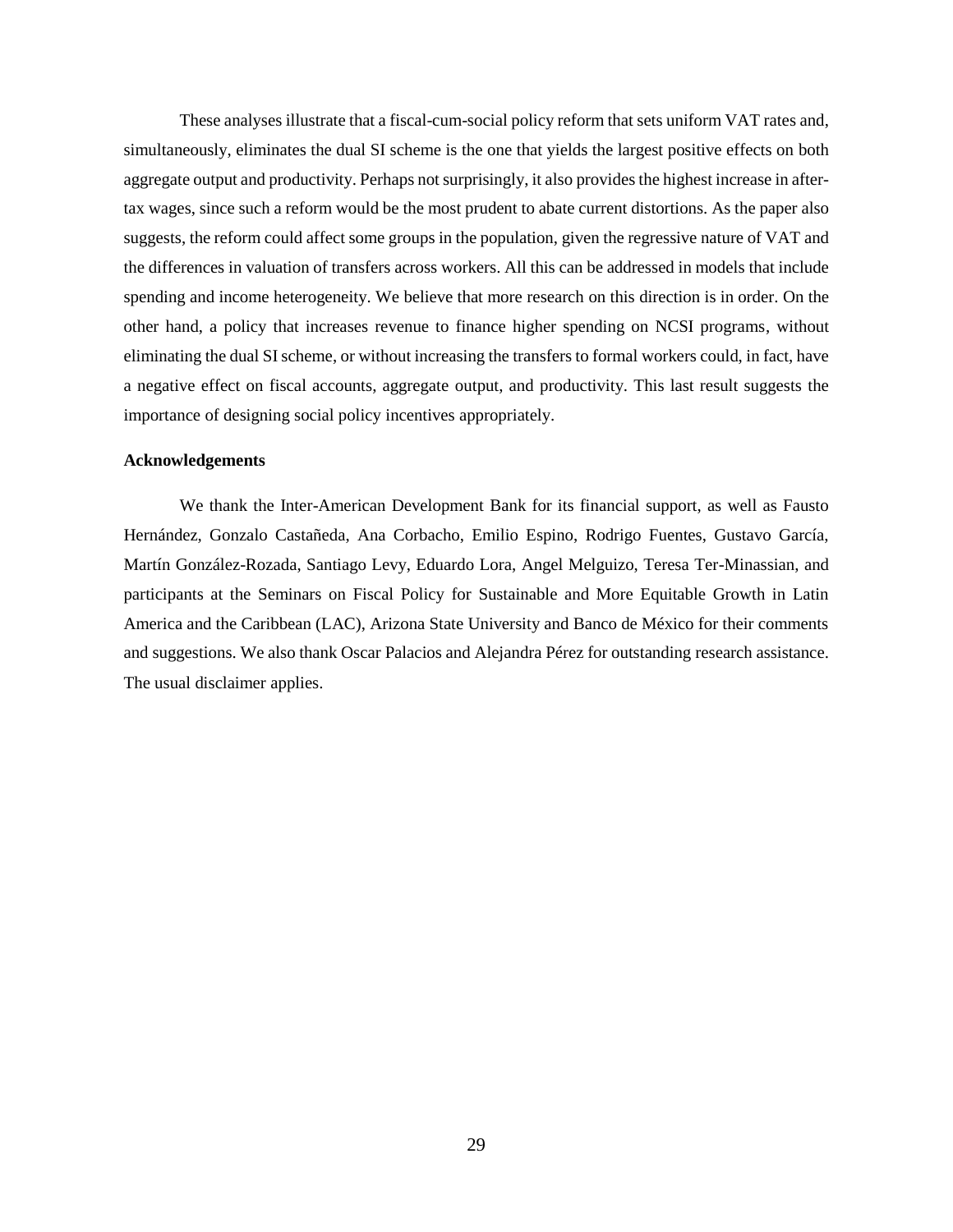These analyses illustrate that a fiscal-cum-social policy reform that sets uniform VAT rates and, simultaneously, eliminates the dual SI scheme is the one that yields the largest positive effects on both aggregate output and productivity. Perhaps not surprisingly, it also provides the highest increase in aftertax wages, since such a reform would be the most prudent to abate current distortions. As the paper also suggests, the reform could affect some groups in the population, given the regressive nature of VAT and the differences in valuation of transfers across workers. All this can be addressed in models that include spending and income heterogeneity. We believe that more research on this direction is in order. On the other hand, a policy that increases revenue to finance higher spending on NCSI programs, without eliminating the dual SI scheme, or without increasing the transfers to formal workers could, in fact, have a negative effect on fiscal accounts, aggregate output, and productivity. This last result suggests the importance of designing social policy incentives appropriately.

### **Acknowledgements**

We thank the Inter-American Development Bank for its financial support, as well as Fausto Hernández, Gonzalo Castañeda, Ana Corbacho, Emilio Espino, Rodrigo Fuentes, Gustavo García, Martín González-Rozada, Santiago Levy, Eduardo Lora, Angel Melguizo, Teresa Ter-Minassian, and participants at the Seminars on Fiscal Policy for Sustainable and More Equitable Growth in Latin America and the Caribbean (LAC), Arizona State University and Banco de México for their comments and suggestions. We also thank Oscar Palacios and Alejandra Pérez for outstanding research assistance. The usual disclaimer applies.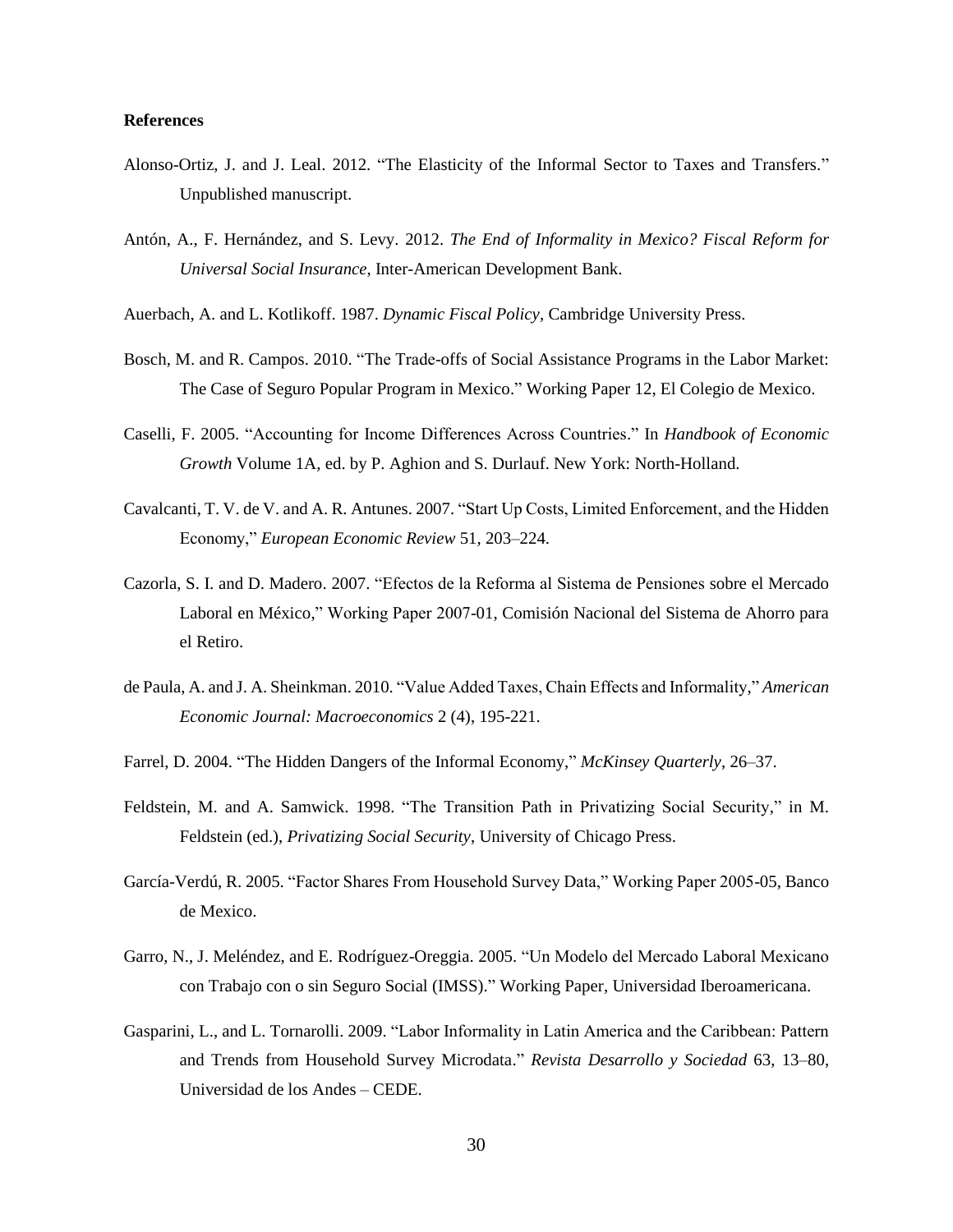### **References**

- Alonso-Ortiz, J. and J. Leal. 2012. "The Elasticity of the Informal Sector to Taxes and Transfers." Unpublished manuscript.
- Antón, A., F. Hernández, and S. Levy. 2012. The End of Informality in Mexico? Fiscal Reform for Universal Social Insurance, Inter-American Development Bank.
- Auerbach, A. and L. Kotlikoff. 1987. Dynamic Fiscal Policy, Cambridge University Press.
- Bosch, M. and R. Campos. 2010. "The Trade-offs of Social Assistance Programs in the Labor Market: The Case of Seguro Popular Program in Mexico." Working Paper 12, El Colegio de Mexico.
- Caselli, F. 2005. "Accounting for Income Differences Across Countries." In *Handbook of Economic* Growth Volume 1A, ed. by P. Aghion and S. Durlauf. New York: North-Holland.
- Cavalcanti, T. V. de V. and A. R. Antunes. 2007. "Start Up Costs, Limited Enforcement, and the Hidden Economy," European Economic Review 51, 203-224.
- Cazorla, S. I. and D. Madero. 2007. "Efectos de la Reforma al Sistema de Pensiones sobre el Mercado Laboral en México," Working Paper 2007-01, Comisión Nacional del Sistema de Ahorro para el Retiro.
- de Paula, A. and J. A. Sheinkman. 2010. "Value Added Taxes, Chain Effects and Informality," American Economic Journal: Macroeconomics 2 (4), 195-221.
- Farrel, D. 2004. "The Hidden Dangers of the Informal Economy," McKinsey Quarterly, 26–37.
- Feldstein, M. and A. Samwick. 1998. "The Transition Path in Privatizing Social Security," in M. Feldstein (ed.), Privatizing Social Security, University of Chicago Press.
- García-Verdú, R. 2005. "Factor Shares From Household Survey Data," Working Paper 2005-05, Banco de Mexico.
- Garro, N., J. Meléndez, and E. Rodríguez-Oreggia. 2005. "Un Modelo del Mercado Laboral Mexicano con Trabajo con o sin Seguro Social (IMSS)." Working Paper, Universidad Iberoamericana.
- Gasparini, L., and L. Tornarolli. 2009. "Labor Informality in Latin America and the Caribbean: Pattern and Trends from Household Survey Microdata." Revista Desarrollo y Sociedad 63, 13-80, Universidad de los Andes – CEDE.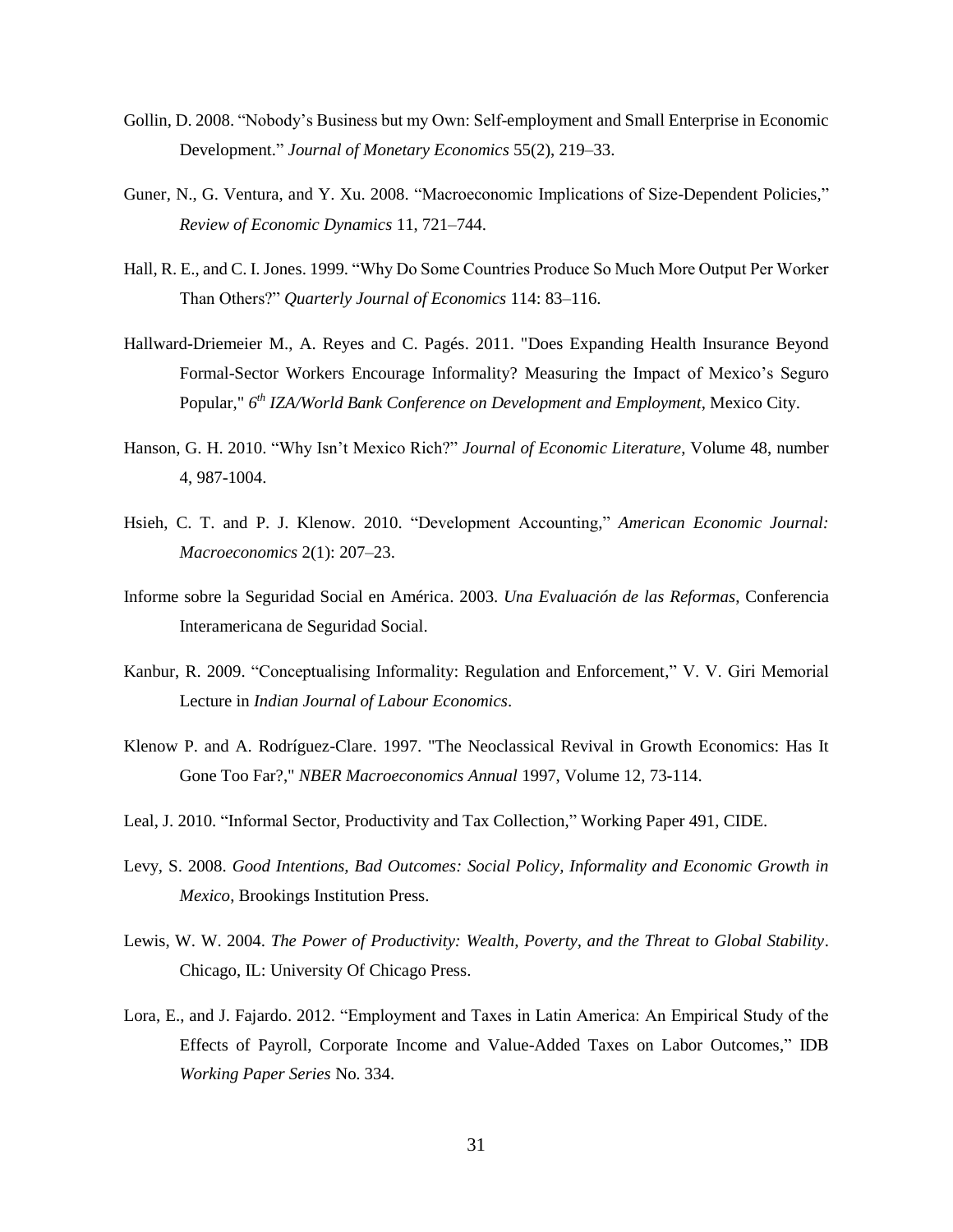- Gollin, D. 2008. "Nobody's Business but my Own: Self-employment and Small Enterprise in Economic Development." Journal of Monetary Economics 55(2), 219-33.
- Guner, N., G. Ventura, and Y. Xu. 2008. "Macroeconomic Implications of Size-Dependent Policies," Review of Economic Dynamics 11, 721-744.
- Hall, R. E., and C. I. Jones. 1999. "Why Do Some Countries Produce So Much More Output Per Worker Than Others?" Quarterly Journal of Economics 114: 83-116.
- Hallward-Driemeier M., A. Reyes and C. Pagés. 2011. "Does Expanding Health Insurance Beyond Formal-Sector Workers Encourage Informality? Measuring the Impact of Mexico's Seguro Popular," 6<sup>th</sup> IZA/World Bank Conference on Development and Employment, Mexico City.
- Hanson, G. H. 2010. "Why Isn't Mexico Rich?" Journal of Economic Literature, Volume 48, number 4, 987-1004.
- Hsieh, C. T. and P. J. Klenow. 2010. "Development Accounting," American Economic Journal: Macroeconomics 2(1): 207-23.
- Informe sobre la Seguridad Social en América. 2003. Una Evaluación de las Reformas, Conferencia Interamericana de Seguridad Social.
- Kanbur, R. 2009. "Conceptualising Informality: Regulation and Enforcement," V. V. Giri Memorial Lecture in Indian Journal of Labour Economics.
- Klenow P. and A. Rodríguez-Clare. 1997. "The Neoclassical Revival in Growth Economics: Has It Gone Too Far?," NBER Macroeconomics Annual 1997, Volume 12, 73-114.
- Leal, J. 2010. "Informal Sector, Productivity and Tax Collection," Working Paper 491, CIDE.
- Levy, S. 2008. Good Intentions, Bad Outcomes: Social Policy, Informality and Economic Growth in Mexico, Brookings Institution Press.
- Lewis, W. W. 2004. The Power of Productivity: Wealth, Poverty, and the Threat to Global Stability. Chicago, IL: University Of Chicago Press.
- Lora, E., and J. Fajardo. 2012. "Employment and Taxes in Latin America: An Empirical Study of the Effects of Payroll, Corporate Income and Value-Added Taxes on Labor Outcomes," IDB *Working Paper Series No. 334.*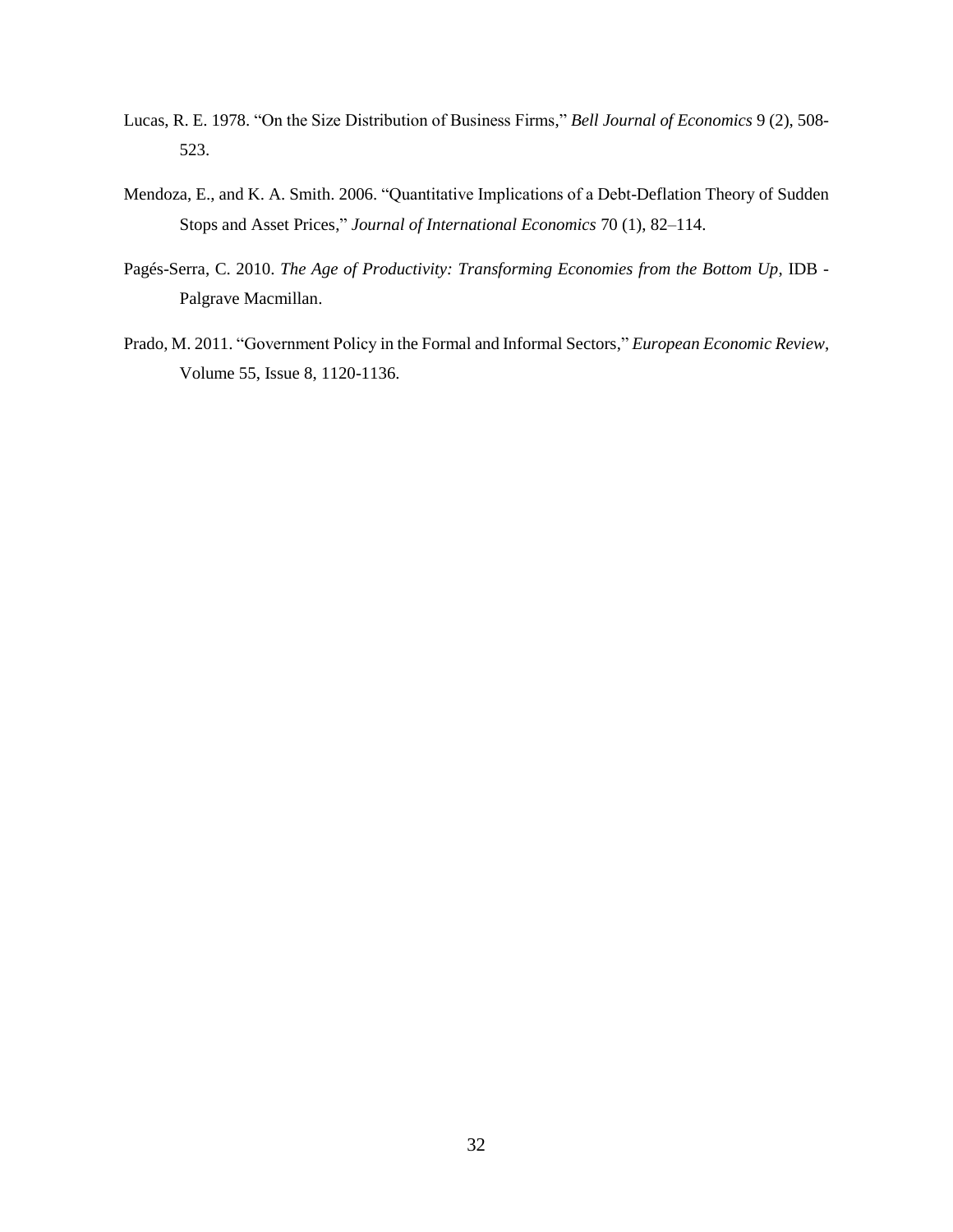- Lucas, R. E. 1978. "On the Size Distribution of Business Firms," Bell Journal of Economics 9 (2), 508-523.
- Mendoza, E., and K. A. Smith. 2006. "Quantitative Implications of a Debt-Deflation Theory of Sudden Stops and Asset Prices," Journal of International Economics 70 (1), 82-114.
- Pagés-Serra, C. 2010. The Age of Productivity: Transforming Economies from the Bottom Up, IDB -Palgrave Macmillan.
- Prado, M. 2011. "Government Policy in the Formal and Informal Sectors," European Economic Review, Volume 55, Issue 8, 1120-1136.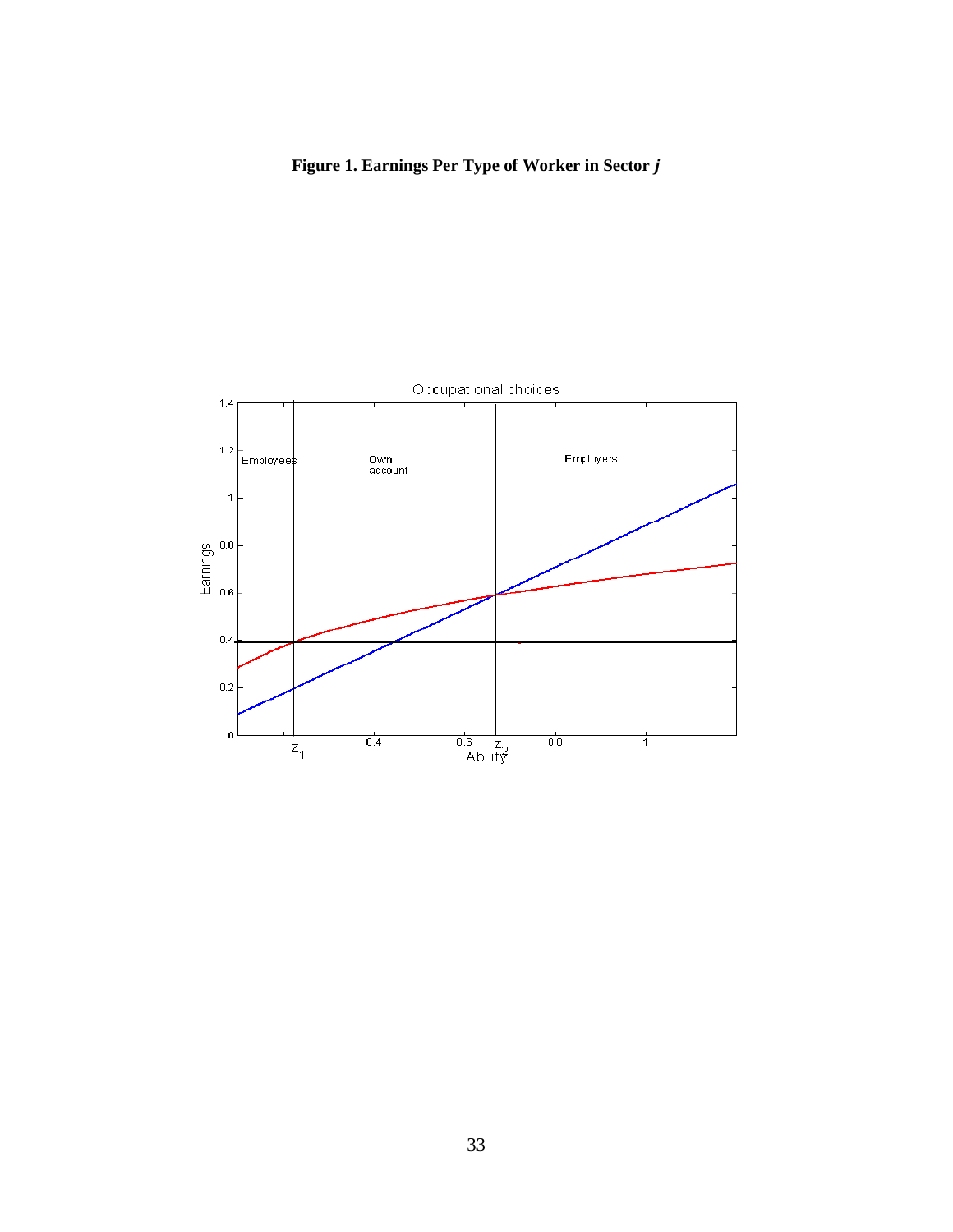# Figure 1. Earnings Per Type of Worker in Sector j

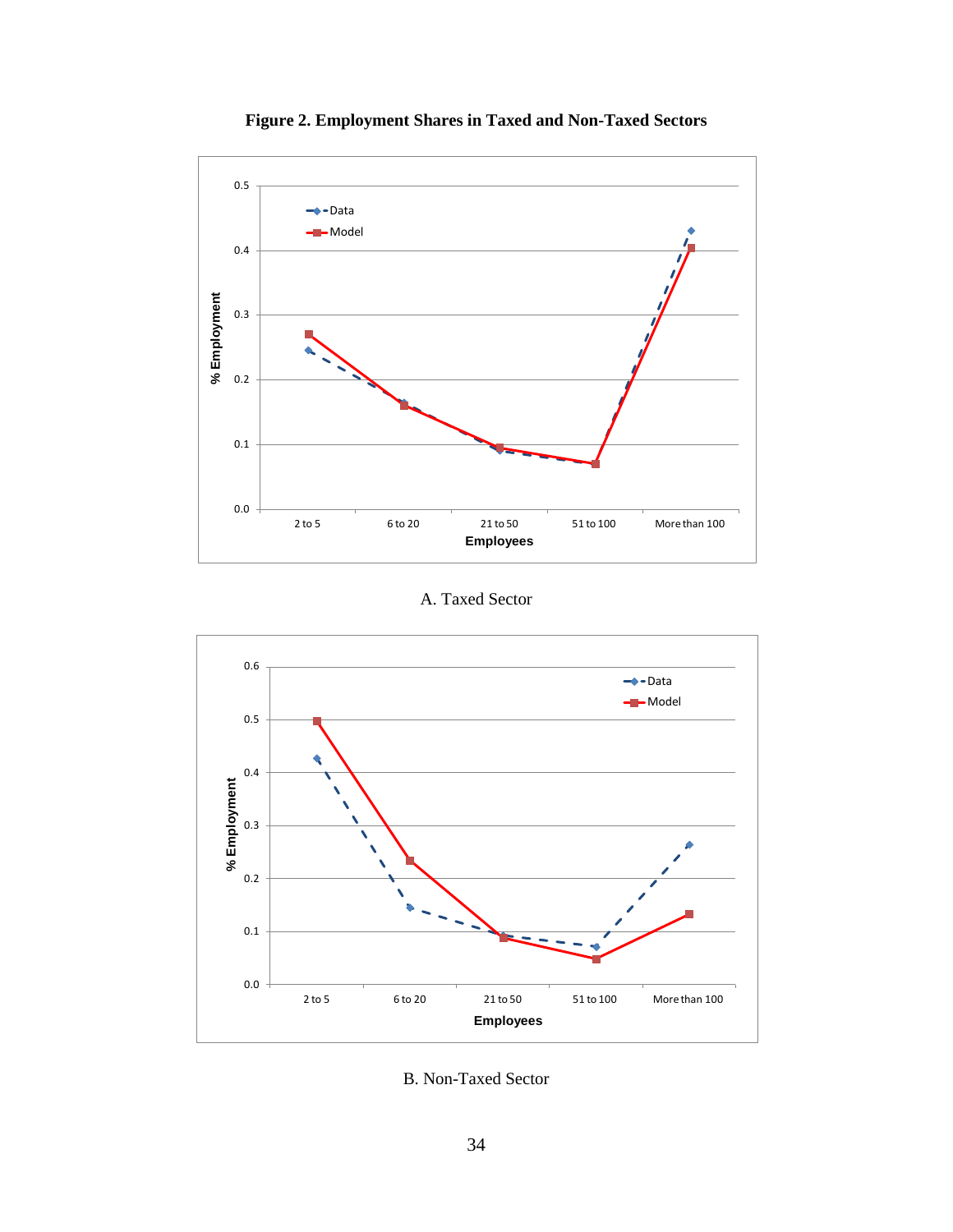

Figure 2. Employment Shares in Taxed and Non-Taxed Sectors

A. Taxed Sector



**B. Non-Taxed Sector**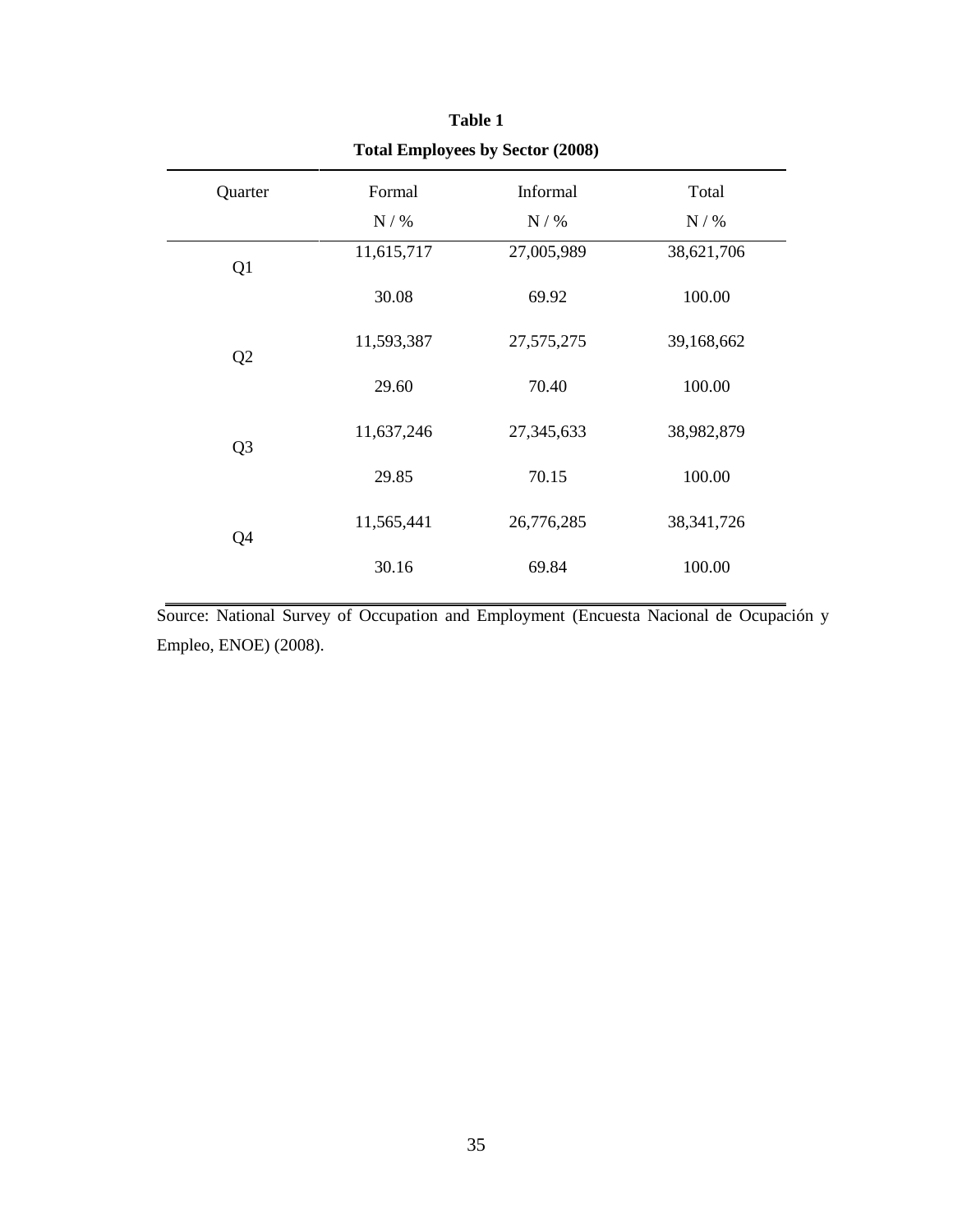| <b>Total Employees by Sector (2008)</b> |            |              |              |  |  |
|-----------------------------------------|------------|--------------|--------------|--|--|
| Quarter                                 | Formal     | Informal     | Total        |  |  |
|                                         | $N/$ %     | N / %        | $N/$ %       |  |  |
| Q1                                      | 11,615,717 | 27,005,989   | 38,621,706   |  |  |
|                                         | 30.08      | 69.92        | 100.00       |  |  |
| Q <sub>2</sub>                          | 11,593,387 | 27, 575, 275 | 39,168,662   |  |  |
|                                         | 29.60      | 70.40        | 100.00       |  |  |
| Q <sub>3</sub>                          | 11,637,246 | 27,345,633   | 38,982,879   |  |  |
|                                         | 29.85      | 70.15        | 100.00       |  |  |
| Q4                                      | 11,565,441 | 26,776,285   | 38, 341, 726 |  |  |
|                                         | 30.16      | 69.84        | 100.00       |  |  |

Source: National Survey of Occupation and Employment (Encuesta Nacional de Ocupación y Empleo, ENOE) (2008).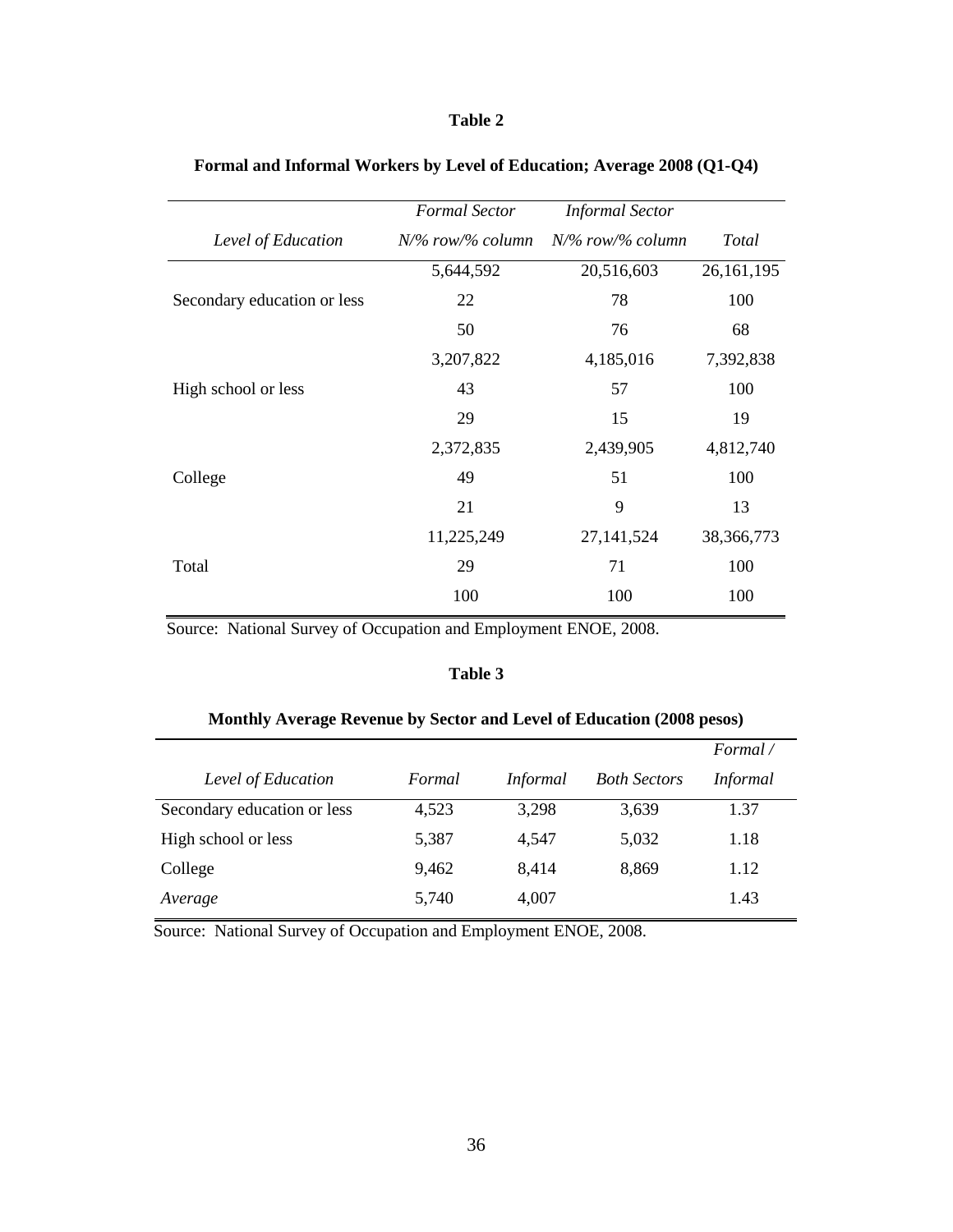|                             | <b>Formal Sector</b> | <b>Informal Sector</b> |              |
|-----------------------------|----------------------|------------------------|--------------|
| Level of Education          | $N\%$ row/% column   | $N\%$ row/% column     | Total        |
|                             | 5,644,592            | 20,516,603             | 26, 161, 195 |
| Secondary education or less | 22                   | 78                     | 100          |
|                             | 50                   | 76                     | 68           |
|                             | 3,207,822            | 4,185,016              | 7,392,838    |
| High school or less         | 43                   | 57                     | 100          |
|                             | 29                   | 15                     | 19           |
|                             | 2,372,835            | 2,439,905              | 4,812,740    |
| College                     | 49                   | 51                     | 100          |
|                             | 21                   | 9                      | 13           |
|                             | 11,225,249           | 27, 141, 524           | 38,366,773   |
| Total                       | 29                   | 71                     | 100          |
|                             | 100                  | 100                    | 100          |
|                             |                      |                        |              |

## Formal and Informal Workers by Level of Education; Average 2008 (Q1-Q4)

Source: National Survey of Occupation and Employment ENOE, 2008.

### Table 3

## Monthly Average Revenue by Sector and Level of Education (2008 pesos)

|                             |        |                 |                     | Formal/         |
|-----------------------------|--------|-----------------|---------------------|-----------------|
| Level of Education          | Formal | <i>Informal</i> | <b>Both Sectors</b> | <i>Informal</i> |
| Secondary education or less | 4,523  | 3,298           | 3,639               | 1.37            |
| High school or less         | 5,387  | 4,547           | 5,032               | 1.18            |
| College                     | 9,462  | 8,414           | 8,869               | 1.12            |
| Average                     | 5,740  | 4,007           |                     | 1.43            |

Source: National Survey of Occupation and Employment ENOE, 2008.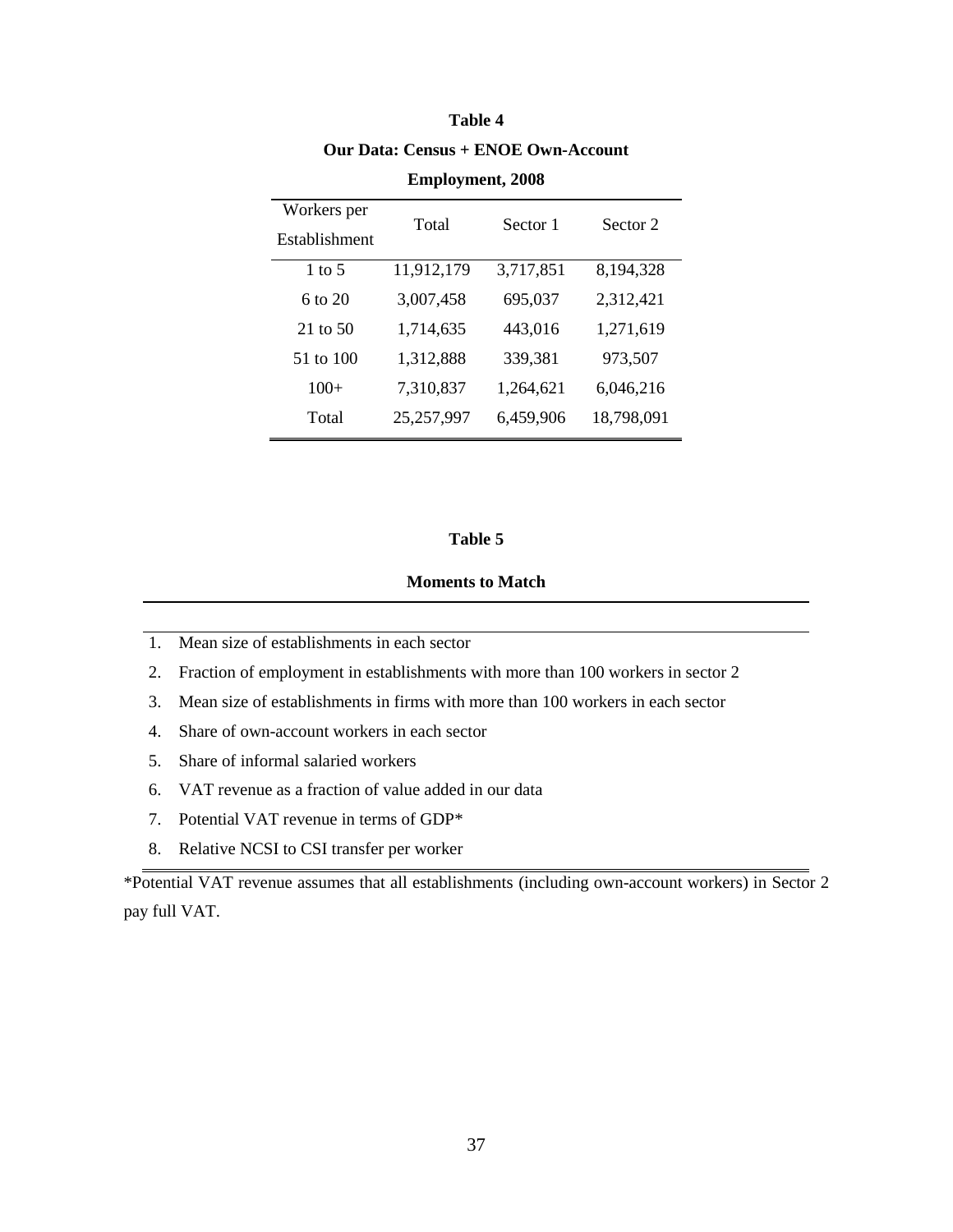| Workers per<br>Establishment | Total      | Sector 1  | Sector 2   |
|------------------------------|------------|-----------|------------|
| 1 to 5                       | 11,912,179 | 3,717,851 | 8,194,328  |
| 6 to 20                      | 3,007,458  | 695,037   | 2,312,421  |
| $21$ to 50                   | 1,714,635  | 443,016   | 1,271,619  |
| 51 to 100                    | 1,312,888  | 339,381   | 973,507    |
| $100+$                       | 7,310,837  | 1,264,621 | 6,046,216  |
| Total                        | 25,257,997 | 6,459,906 | 18,798,091 |

# Table 4 **Our Data: Census + ENOE Own-Account**

**Employment, 2008** 

### Table 5

## **Moments to Match**

- 1. Mean size of establishments in each sector
- 2. Fraction of employment in establishments with more than 100 workers in sector 2
- 3. Mean size of establishments in firms with more than 100 workers in each sector
- 4. Share of own-account workers in each sector
- 5. Share of informal salaried workers
- 6. VAT revenue as a fraction of value added in our data
- 7. Potential VAT revenue in terms of GDP\*
- 8. Relative NCSI to CSI transfer per worker

\*Potential VAT revenue assumes that all establishments (including own-account workers) in Sector 2 pay full VAT.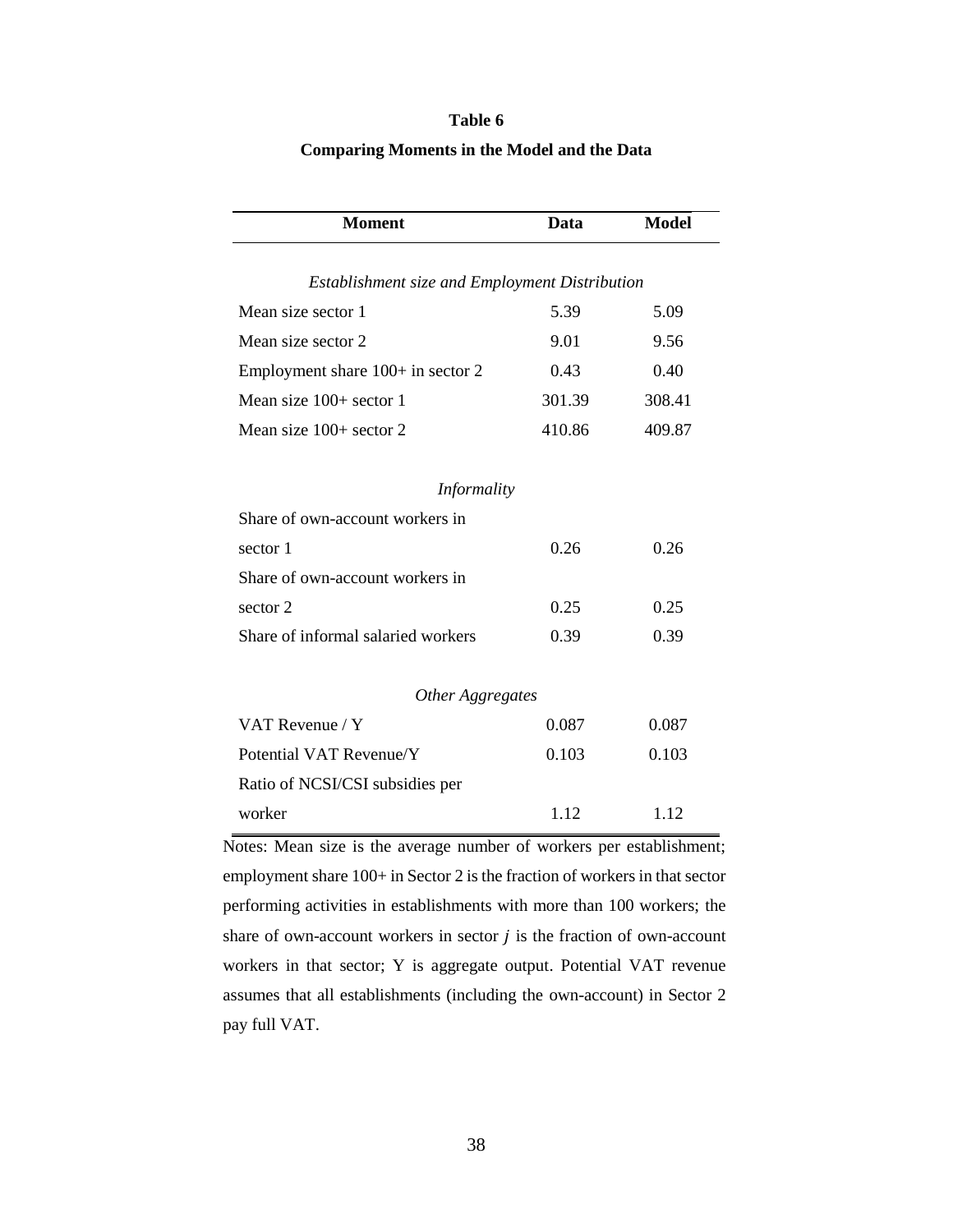### **Comparing Moments in the Model and the Data**

| <b>Moment</b>                                  | Data   | <b>Model</b> |  |  |  |
|------------------------------------------------|--------|--------------|--|--|--|
|                                                |        |              |  |  |  |
| Establishment size and Employment Distribution |        |              |  |  |  |
| Mean size sector 1                             | 5.39   | 5.09         |  |  |  |
| Mean size sector 2                             | 9.01   | 9.56         |  |  |  |
| Employment share 100+ in sector 2              | 0.43   | 0.40         |  |  |  |
| Mean size $100+$ sector 1                      | 301.39 | 308.41       |  |  |  |
| Mean size $100+$ sector 2                      | 410.86 | 409.87       |  |  |  |
| Informality                                    |        |              |  |  |  |
| Share of own-account workers in                |        |              |  |  |  |
| sector 1                                       | 0.26   | 0.26         |  |  |  |
| Share of own-account workers in                |        |              |  |  |  |
| sector 2                                       | 0.25   | 0.25         |  |  |  |
| Share of informal salaried workers             | 0.39   | 0.39         |  |  |  |
| Other Aggregates                               |        |              |  |  |  |
| VAT Revenue / Y                                | 0.087  | 0.087        |  |  |  |
| Potential VAT Revenue/Y                        | 0.103  | 0.103        |  |  |  |
| Ratio of NCSI/CSI subsidies per                |        |              |  |  |  |
| worker                                         | 1.12   | 1.12         |  |  |  |

Notes: Mean size is the average number of workers per establishment; employment share 100+ in Sector 2 is the fraction of workers in that sector performing activities in establishments with more than 100 workers; the share of own-account workers in sector  $j$  is the fraction of own-account workers in that sector; Y is aggregate output. Potential VAT revenue assumes that all establishments (including the own-account) in Sector 2 pay full VAT.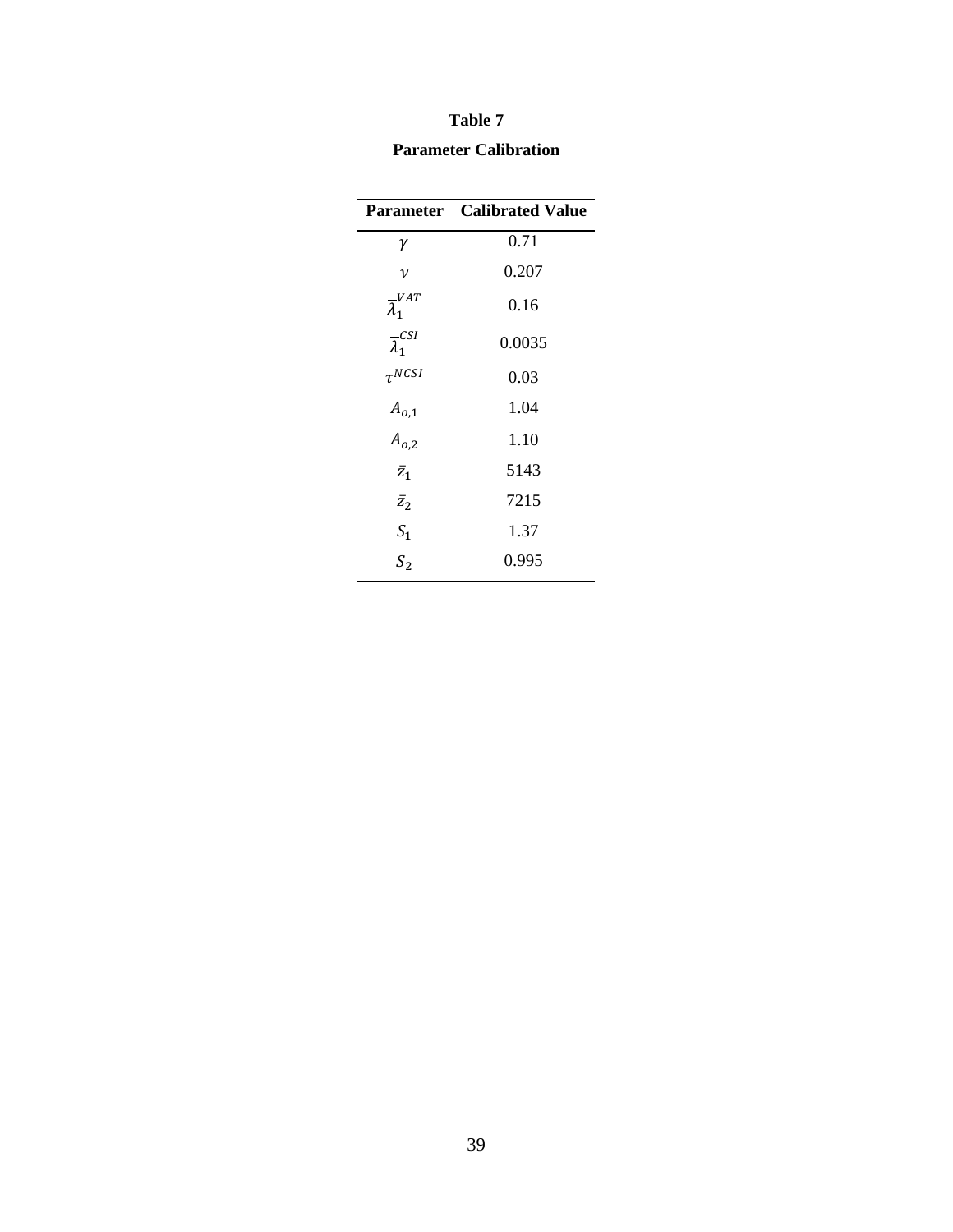# Table 7 **Parameter Calibration**

|                              | <b>Parameter</b> Calibrated Value |
|------------------------------|-----------------------------------|
| γ                            | 0.71                              |
| ν                            | 0.207                             |
| $\overline{\lambda}_1^{VAT}$ | 0.16                              |
| $\overline{\lambda}_1^{CSI}$ | 0.0035                            |
| $\tau^{NCSI}$                | 0.03                              |
| $A_{o,1}$                    | 1.04                              |
| $A_{0,2}$                    | 1.10                              |
| $\bar{z}_1$                  | 5143                              |
| $\bar{z}_2$                  | 7215                              |
| $S_1$                        | 1.37                              |
| S <sub>2</sub>               | 0.995                             |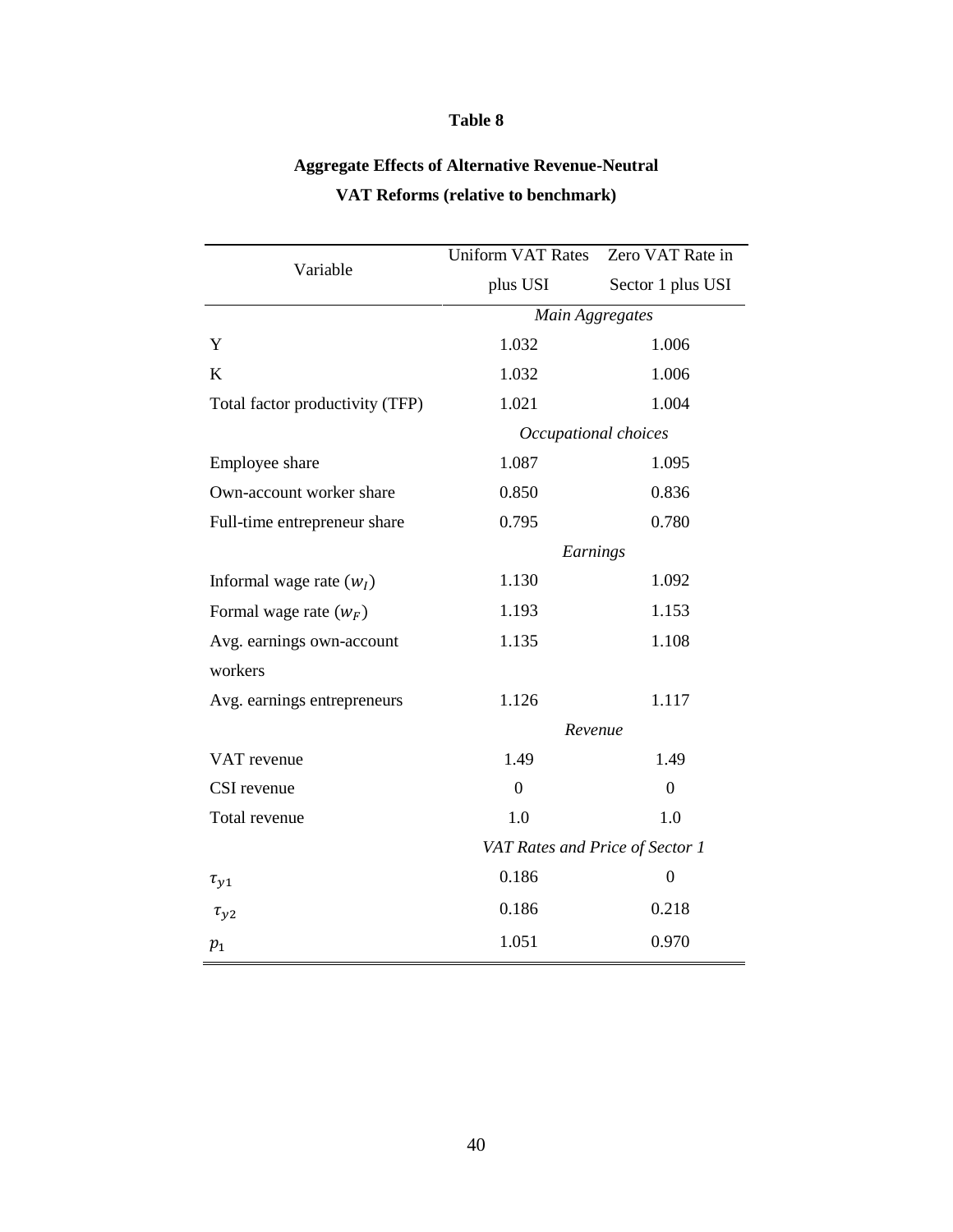# **Aggregate Effects of Alternative Revenue-Neutral** VAT Reforms (relative to benchmark)

|                                 | <b>Uniform VAT Rates</b>        | Zero VAT Rate in  |  |
|---------------------------------|---------------------------------|-------------------|--|
| Variable                        | plus USI                        | Sector 1 plus USI |  |
|                                 | Main Aggregates                 |                   |  |
| Y                               | 1.032                           | 1.006             |  |
| $\bf K$                         | 1.032                           | 1.006             |  |
| Total factor productivity (TFP) | 1.021                           | 1.004             |  |
|                                 | Occupational choices            |                   |  |
| Employee share                  | 1.087                           | 1.095             |  |
| Own-account worker share        | 0.850                           | 0.836             |  |
| Full-time entrepreneur share    | 0.795                           | 0.780             |  |
|                                 | Earnings                        |                   |  |
| Informal wage rate $(w_I)$      | 1.130                           | 1.092             |  |
| Formal wage rate $(w_F)$        | 1.193                           | 1.153             |  |
| Avg. earnings own-account       | 1.135                           | 1.108             |  |
| workers                         |                                 |                   |  |
| Avg. earnings entrepreneurs     | 1.126                           | 1.117             |  |
|                                 | Revenue                         |                   |  |
| VAT revenue                     | 1.49                            | 1.49              |  |
| CSI revenue                     | $\overline{0}$                  | $\boldsymbol{0}$  |  |
| Total revenue                   | 1.0                             | 1.0               |  |
|                                 | VAT Rates and Price of Sector 1 |                   |  |
| $\tau_{y1}$                     | 0.186                           | $\overline{0}$    |  |
| $\tau_{y2}$                     | 0.186                           | 0.218             |  |
| $p_{1}$                         | 1.051                           | 0.970             |  |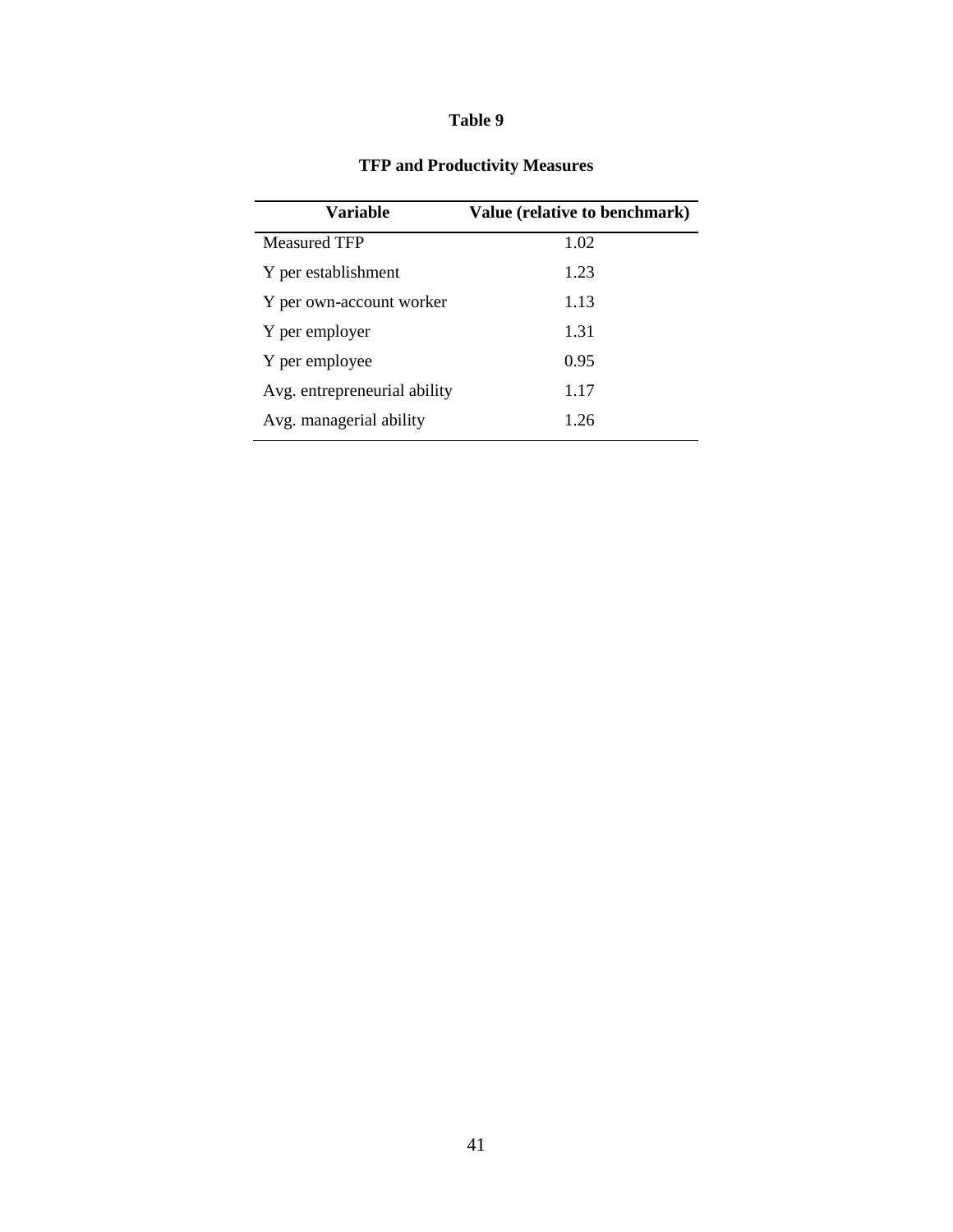| Variable                     | Value (relative to benchmark) |
|------------------------------|-------------------------------|
| <b>Measured TFP</b>          | 1.02                          |
| Y per establishment          | 1.23                          |
| Y per own-account worker     | 1.13                          |
| Y per employer               | 1.31                          |
| Y per employee               | 0.95                          |
| Avg. entrepreneurial ability | 1.17                          |
| Avg. managerial ability      | 1.26                          |

## **TFP and Productivity Measures**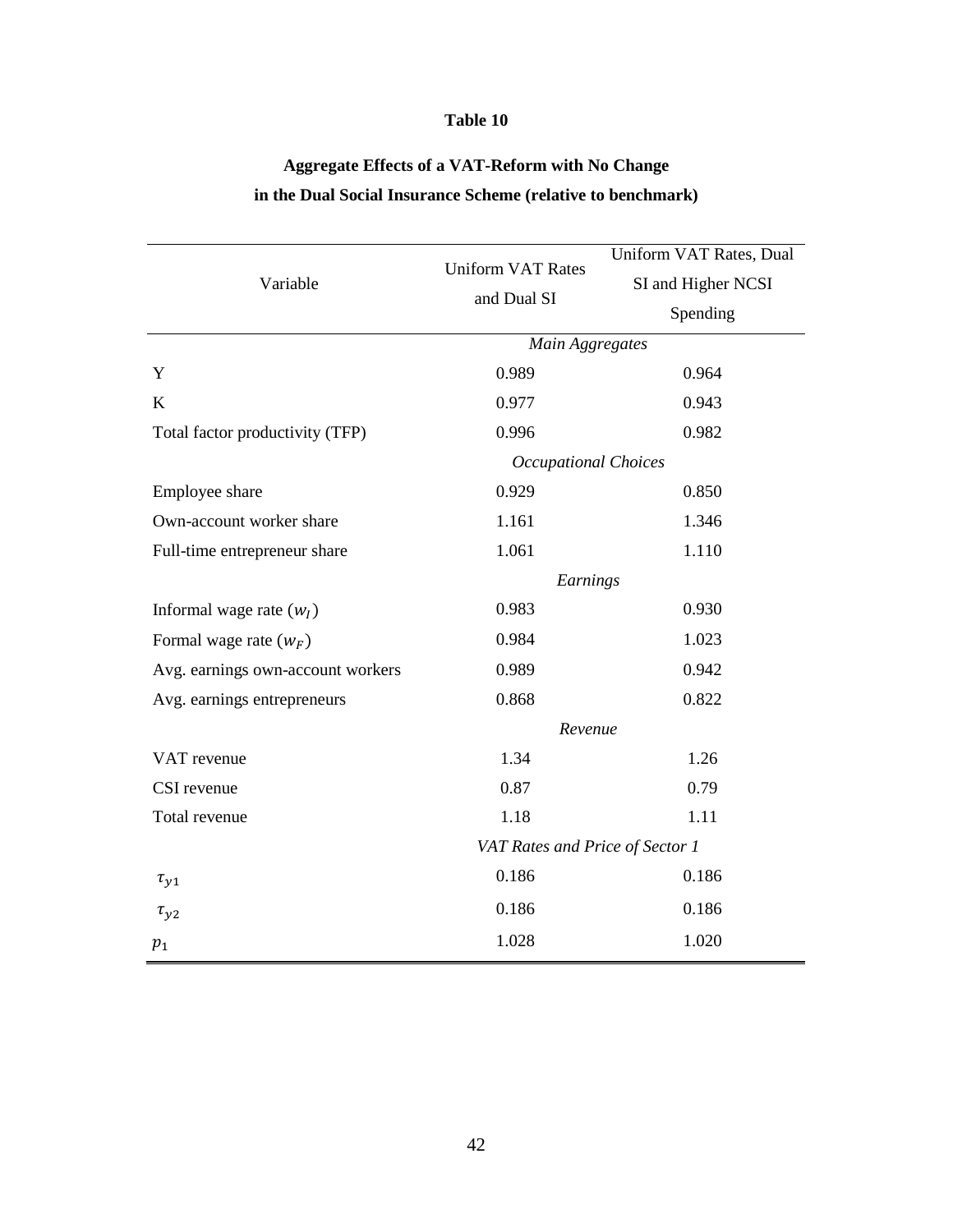# Aggregate Effects of a VAT-Reform with No Change in the Dual Social Insurance Scheme (relative to benchmark)

|                                   | <b>Uniform VAT Rates</b>        | Uniform VAT Rates, Dual |  |
|-----------------------------------|---------------------------------|-------------------------|--|
| Variable                          | and Dual SI                     | SI and Higher NCSI      |  |
|                                   |                                 | Spending                |  |
|                                   | Main Aggregates                 |                         |  |
| Y                                 | 0.989                           | 0.964                   |  |
| $\bf K$                           | 0.977                           | 0.943                   |  |
| Total factor productivity (TFP)   | 0.996                           | 0.982                   |  |
|                                   | <b>Occupational Choices</b>     |                         |  |
| Employee share                    | 0.929                           | 0.850                   |  |
| Own-account worker share          | 1.161                           | 1.346                   |  |
| Full-time entrepreneur share      | 1.061                           | 1.110                   |  |
|                                   | Earnings                        |                         |  |
| Informal wage rate $(wI)$         | 0.983                           | 0.930                   |  |
| Formal wage rate $(w_F)$          | 0.984                           | 1.023                   |  |
| Avg. earnings own-account workers | 0.989                           | 0.942                   |  |
| Avg. earnings entrepreneurs       | 0.868                           | 0.822                   |  |
|                                   | Revenue                         |                         |  |
| VAT revenue                       | 1.34                            | 1.26                    |  |
| CSI revenue                       | 0.87                            | 0.79                    |  |
| Total revenue                     | 1.18                            | 1.11                    |  |
|                                   | VAT Rates and Price of Sector 1 |                         |  |
| $\tau_{y1}$                       | 0.186                           | 0.186                   |  |
| $\tau_{y2}$                       | 0.186                           | 0.186                   |  |
| $p_1$                             | 1.028                           | 1.020                   |  |